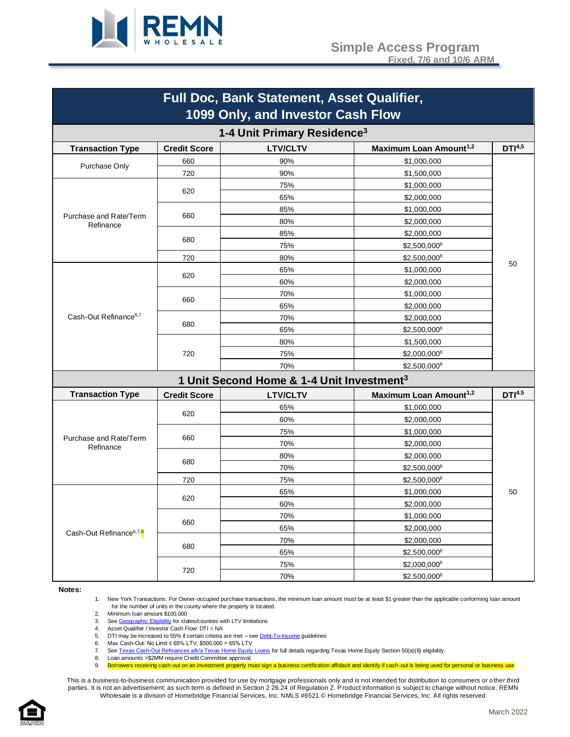

| Full Doc, Bank Statement, Asset Qualifier,<br>1099 Only, and Investor Cash Flow |                     |                                                       |                                    |                    |
|---------------------------------------------------------------------------------|---------------------|-------------------------------------------------------|------------------------------------|--------------------|
| 1-4 Unit Primary Residence <sup>3</sup>                                         |                     |                                                       |                                    |                    |
| <b>Transaction Type</b>                                                         | <b>Credit Score</b> | <b>LTV/CLTV</b>                                       | Maximum Loan Amount <sup>1,2</sup> | DTI <sup>4,5</sup> |
|                                                                                 | 660                 | 90%                                                   | \$1,000,000                        |                    |
| Purchase Only                                                                   | 720                 | 90%                                                   | \$1,500,000                        |                    |
|                                                                                 |                     | 75%                                                   | \$1,000,000                        |                    |
|                                                                                 | 620                 | 65%                                                   | \$2,000,000                        |                    |
|                                                                                 |                     | 85%                                                   | \$1,000,000                        |                    |
| Purchase and Rate/Term<br>Refinance                                             | 660                 | 80%                                                   | \$2,000,000                        |                    |
|                                                                                 |                     | 85%                                                   | \$2,000,000                        |                    |
|                                                                                 | 680                 | 75%                                                   | \$2,500,000 <sup>8</sup>           |                    |
|                                                                                 | 720                 | 80%                                                   | \$2,500,0008                       |                    |
|                                                                                 |                     | 65%                                                   | \$1,000,000                        | 50                 |
|                                                                                 | 620                 | 60%                                                   | \$2,000,000                        |                    |
|                                                                                 |                     | 70%                                                   | \$1,000,000                        |                    |
|                                                                                 | 660                 | 65%                                                   | \$2,000,000                        |                    |
| Cash-Out Refinance <sup>6,7</sup>                                               |                     | 70%                                                   | \$2,000,000                        |                    |
|                                                                                 | 680                 | 65%                                                   | $$2,500,000^8$                     |                    |
|                                                                                 | 720                 | 80%                                                   | \$1,500,000                        |                    |
|                                                                                 |                     | 75%                                                   | \$2,000,000 <sup>8</sup>           |                    |
|                                                                                 |                     | 70%                                                   | \$2,500,000 <sup>8</sup>           |                    |
|                                                                                 |                     | 1 Unit Second Home & 1-4 Unit Investment <sup>3</sup> |                                    |                    |
| <b>Transaction Type</b>                                                         | <b>Credit Score</b> | <b>LTV/CLTV</b>                                       | Maximum Loan Amount <sup>1,2</sup> | DTI <sup>4.5</sup> |
|                                                                                 |                     | 65%                                                   | \$1,000,000                        |                    |
|                                                                                 | 620                 | 60%                                                   | \$2,000,000                        |                    |
|                                                                                 |                     | 75%                                                   | \$1,000,000                        |                    |
| Purchase and Rate/Term<br>Refinance                                             | 660                 | 70%                                                   | \$2,000,000                        |                    |
|                                                                                 |                     | 80%                                                   | \$2,000,000                        |                    |
|                                                                                 | 680                 | 70%                                                   | \$2,500,0008                       |                    |
|                                                                                 | 720                 | 75%                                                   | \$2,500,000 <sup>8</sup>           |                    |
|                                                                                 | 620<br>660          | 65%                                                   | \$1,000,000                        | 50                 |
|                                                                                 |                     | 60%                                                   | \$2,000,000                        |                    |
|                                                                                 |                     | 70%                                                   | \$1,000,000                        |                    |
| Cash-Out Refinance <sup>6,7,9</sup>                                             |                     | 65%                                                   | \$2,000,000                        |                    |
|                                                                                 | 680                 | 70%                                                   | \$2,000,000                        |                    |
|                                                                                 |                     | 65%                                                   | \$2,500,000 <sup>8</sup>           |                    |
|                                                                                 |                     | 75%                                                   | \$2,000,000 <sup>8</sup>           |                    |
|                                                                                 | 720                 | 70%                                                   | \$2,500,0008                       |                    |

#### **Notes:**

1. New York Transactions: For Owner-occupied purchase transactions, the minimum loan amount must be at least \$1 greater than the applicable conforming loan amount for the number of units in the county where the property is located.

2. Minimum loan amount \$100,000

3. Se[e Geographic Eligibility](#page-9-0) for states/counties with LTV limitations<br>4. Asset Qualifier / Investor Cash Flow: DTI = NA

4. Asset Qualifier / Investor Cash Flow: DTI = NA

5. DTI may be increased to 55% if certain criteria are met – see **Debt-To-Income guidelines**<br>6. Max Cash-Out: No Limit ≤ 65% LTV. \$500.000 > 65% LTV

Max Cash-Out: No Limit ≤ 65% LTV, \$500,000 > 65% LTV

7. Se[e Texas Cash-Out Refinances a/k/a Texas Home Equity Loans](#page-11-0) for full details regarding Texas Home Equity Section 50(a)(6) eligibility.

8. Loan amounts >\$2MM require Credit Committee approval. 9. Borrowers receiving cash-out on an investment property must sign a business certification affidavit and identify if cash-out is being used for personal or business use

This is a business-to-business communication provided for use by mortgage professionals only and is not intended for distribution to consumers or other third parties. It is not an advertisement; as such term is defined in Section 2 26.24 of Regulation Z. Product information is subject to change without notice. REMN Wholesale is a division of Homebridge Financial Services, Inc. NMLS #6521 © Homebridge Financial Services, Inc. All rights reserved

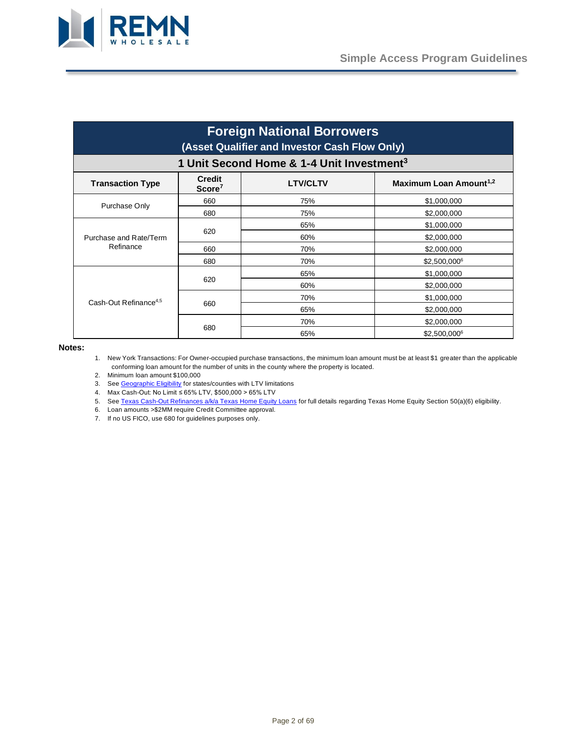

| <b>Foreign National Borrowers</b><br>(Asset Qualifier and Investor Cash Flow Only)<br>1 Unit Second Home & 1-4 Unit Investment <sup>3</sup> |     |     |                          |
|---------------------------------------------------------------------------------------------------------------------------------------------|-----|-----|--------------------------|
|                                                                                                                                             |     |     | <b>Transaction Type</b>  |
| Purchase Only                                                                                                                               | 660 | 75% | \$1,000,000              |
|                                                                                                                                             | 680 | 75% | \$2,000,000              |
|                                                                                                                                             |     | 65% | \$1,000,000              |
| Purchase and Rate/Term                                                                                                                      | 620 | 60% | \$2,000,000              |
| Refinance                                                                                                                                   | 660 | 70% | \$2,000,000              |
|                                                                                                                                             | 680 | 70% | \$2,500,000 <sup>6</sup> |
|                                                                                                                                             |     | 65% | \$1,000,000              |
|                                                                                                                                             | 620 | 60% | \$2,000,000              |
| Cash-Out Refinance <sup>4,5</sup>                                                                                                           |     | 70% | \$1,000,000              |
|                                                                                                                                             | 660 | 65% | \$2,000,000              |
|                                                                                                                                             |     | 70% | \$2,000,000              |
|                                                                                                                                             | 680 | 65% | \$2,500,0006             |

#### **Notes:**

1. New York Transactions: For Owner-occupied purchase transactions, the minimum loan amount must be at least \$1 greater than the applicable conforming loan amount for the number of units in the county where the property is located.

2. Minimum loan amount \$100,000

3. Se[e Geographic Eligibility](#page-9-0) for states/counties with LTV limitations

4. Max Cash-Out: No Limit ≤ 65% LTV, \$500,000 > 65% LTV

5. Se[e Texas Cash-Out Refinances a/k/a Texas Home Equity Loans](#page-11-0) for full details regarding Texas Home Equity Section 50(a)(6) eligibility.

6. Loan amounts >\$2MM require Credit Committee approval.

7. If no US FICO, use 680 for guidelines purposes only.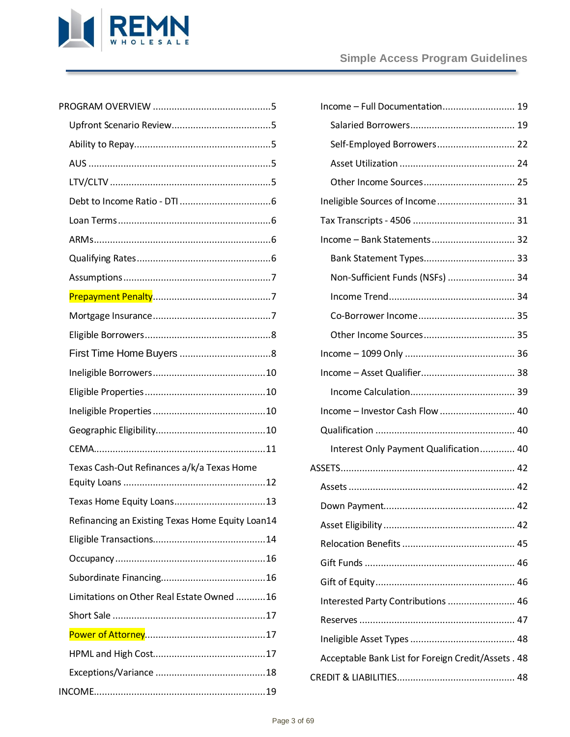

| Texas Cash-Out Refinances a/k/a Texas Home       |  |
|--------------------------------------------------|--|
|                                                  |  |
| Refinancing an Existing Texas Home Equity Loan14 |  |
|                                                  |  |
|                                                  |  |
|                                                  |  |
| Limitations on Other Real Estate Owned 16        |  |
|                                                  |  |
|                                                  |  |
|                                                  |  |
|                                                  |  |
|                                                  |  |

| Self-Employed Borrowers 22                          |  |
|-----------------------------------------------------|--|
|                                                     |  |
|                                                     |  |
| Ineligible Sources of Income 31                     |  |
|                                                     |  |
| Income - Bank Statements 32                         |  |
|                                                     |  |
| Non-Sufficient Funds (NSFs)  34                     |  |
|                                                     |  |
|                                                     |  |
|                                                     |  |
|                                                     |  |
|                                                     |  |
|                                                     |  |
| Income - Investor Cash Flow  40                     |  |
|                                                     |  |
| Interest Only Payment Qualification 40              |  |
|                                                     |  |
|                                                     |  |
|                                                     |  |
|                                                     |  |
|                                                     |  |
|                                                     |  |
|                                                     |  |
| Interested Party Contributions  46                  |  |
|                                                     |  |
|                                                     |  |
| Acceptable Bank List for Foreign Credit/Assets . 48 |  |
|                                                     |  |
|                                                     |  |
|                                                     |  |

Income – [Full Documentation...........................](#page-18-1) 19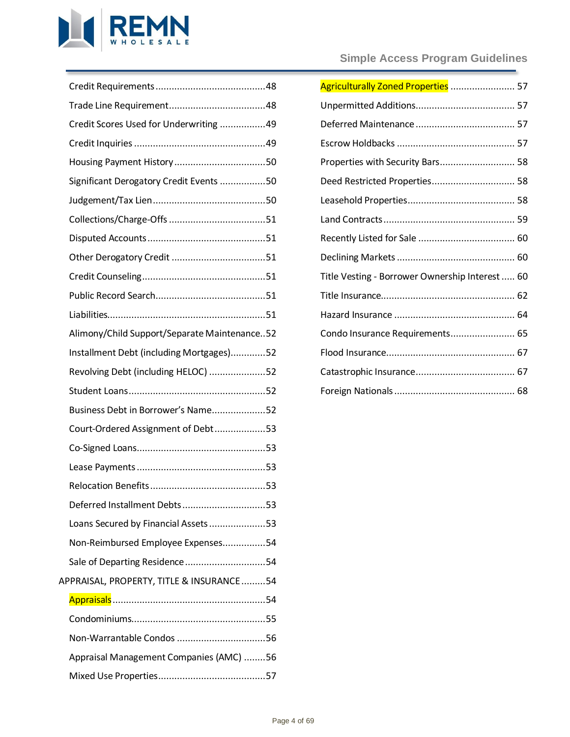

| Credit Scores Used for Underwriting 49       |  |
|----------------------------------------------|--|
|                                              |  |
|                                              |  |
| Significant Derogatory Credit Events 50      |  |
|                                              |  |
|                                              |  |
|                                              |  |
|                                              |  |
|                                              |  |
|                                              |  |
|                                              |  |
| Alimony/Child Support/Separate Maintenance52 |  |
| Installment Debt (including Mortgages)52     |  |
| Revolving Debt (including HELOC) 52          |  |
|                                              |  |
|                                              |  |
| Business Debt in Borrower's Name52           |  |
| Court-Ordered Assignment of Debt53           |  |
|                                              |  |
|                                              |  |
|                                              |  |
| Deferred Installment Debts53                 |  |
| Loans Secured by Financial Assets53          |  |
| Non-Reimbursed Employee Expenses54           |  |
| Sale of Departing Residence54                |  |
| APPRAISAL, PROPERTY, TITLE & INSURANCE54     |  |
|                                              |  |
|                                              |  |
|                                              |  |
| Appraisal Management Companies (AMC) 56      |  |

# **Simple Access Program Guidelines**

| Agriculturally Zoned Properties  57             |  |
|-------------------------------------------------|--|
|                                                 |  |
|                                                 |  |
|                                                 |  |
| Properties with Security Bars 58                |  |
| Deed Restricted Properties 58                   |  |
|                                                 |  |
|                                                 |  |
|                                                 |  |
|                                                 |  |
| Title Vesting - Borrower Ownership Interest  60 |  |
|                                                 |  |
|                                                 |  |
| Condo Insurance Requirements 65                 |  |
|                                                 |  |
|                                                 |  |
|                                                 |  |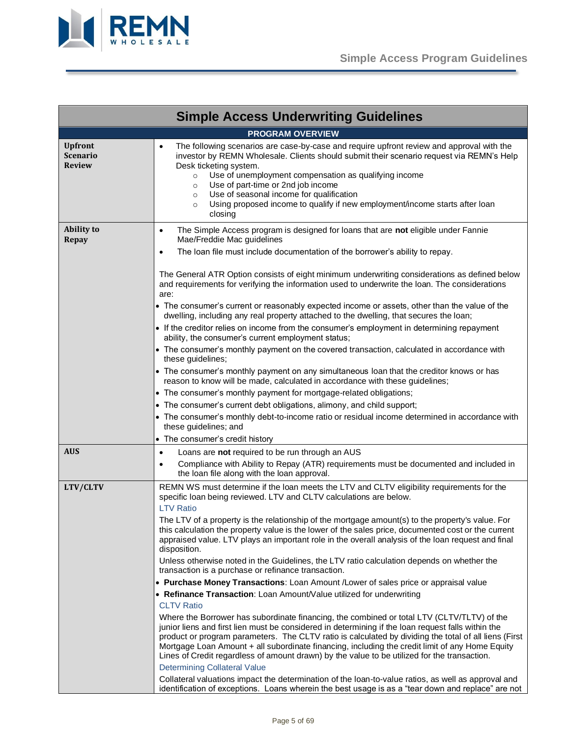

<span id="page-4-4"></span><span id="page-4-3"></span><span id="page-4-2"></span><span id="page-4-1"></span><span id="page-4-0"></span>

|                                                    | <b>Simple Access Underwriting Guidelines</b>                                                                                                                                                                                                                                                                                                                                                                                                                                                                  |  |  |  |
|----------------------------------------------------|---------------------------------------------------------------------------------------------------------------------------------------------------------------------------------------------------------------------------------------------------------------------------------------------------------------------------------------------------------------------------------------------------------------------------------------------------------------------------------------------------------------|--|--|--|
| <b>PROGRAM OVERVIEW</b>                            |                                                                                                                                                                                                                                                                                                                                                                                                                                                                                                               |  |  |  |
| <b>Upfront</b><br><b>Scenario</b><br><b>Review</b> | The following scenarios are case-by-case and require upfront review and approval with the<br>$\bullet$<br>investor by REMN Wholesale. Clients should submit their scenario request via REMN's Help<br>Desk ticketing system.<br>Use of unemployment compensation as qualifying income<br>$\circ$<br>Use of part-time or 2nd job income<br>$\circ$<br>Use of seasonal income for qualification<br>$\circ$<br>Using proposed income to qualify if new employment/income starts after loan<br>$\circ$<br>closing |  |  |  |
| <b>Ability to</b><br><b>Repay</b>                  | The Simple Access program is designed for loans that are not eligible under Fannie<br>٠<br>Mae/Freddie Mac guidelines<br>The loan file must include documentation of the borrower's ability to repay.<br>$\bullet$                                                                                                                                                                                                                                                                                            |  |  |  |
|                                                    | The General ATR Option consists of eight minimum underwriting considerations as defined below<br>and requirements for verifying the information used to underwrite the loan. The considerations<br>are:<br>• The consumer's current or reasonably expected income or assets, other than the value of the<br>dwelling, including any real property attached to the dwelling, that secures the loan;                                                                                                            |  |  |  |
|                                                    | • If the creditor relies on income from the consumer's employment in determining repayment<br>ability, the consumer's current employment status;                                                                                                                                                                                                                                                                                                                                                              |  |  |  |
|                                                    | • The consumer's monthly payment on the covered transaction, calculated in accordance with<br>these guidelines;                                                                                                                                                                                                                                                                                                                                                                                               |  |  |  |
|                                                    | • The consumer's monthly payment on any simultaneous loan that the creditor knows or has<br>reason to know will be made, calculated in accordance with these guidelines;                                                                                                                                                                                                                                                                                                                                      |  |  |  |
|                                                    | • The consumer's monthly payment for mortgage-related obligations;                                                                                                                                                                                                                                                                                                                                                                                                                                            |  |  |  |
|                                                    | • The consumer's current debt obligations, alimony, and child support;                                                                                                                                                                                                                                                                                                                                                                                                                                        |  |  |  |
|                                                    | • The consumer's monthly debt-to-income ratio or residual income determined in accordance with<br>these guidelines; and                                                                                                                                                                                                                                                                                                                                                                                       |  |  |  |
|                                                    | • The consumer's credit history                                                                                                                                                                                                                                                                                                                                                                                                                                                                               |  |  |  |
| <b>AUS</b>                                         | Loans are not required to be run through an AUS<br>٠                                                                                                                                                                                                                                                                                                                                                                                                                                                          |  |  |  |
|                                                    | Compliance with Ability to Repay (ATR) requirements must be documented and included in<br>$\bullet$<br>the loan file along with the loan approval.                                                                                                                                                                                                                                                                                                                                                            |  |  |  |
| LTV/CLTV                                           | REMN WS must determine if the loan meets the LTV and CLTV eligibility requirements for the<br>specific loan being reviewed. LTV and CLTV calculations are below.<br><b>LTV Ratio</b>                                                                                                                                                                                                                                                                                                                          |  |  |  |
|                                                    | The LTV of a property is the relationship of the mortgage amount(s) to the property's value. For<br>this calculation the property value is the lower of the sales price, documented cost or the current<br>appraised value. LTV plays an important role in the overall analysis of the loan request and final<br>disposition.                                                                                                                                                                                 |  |  |  |
|                                                    | Unless otherwise noted in the Guidelines, the LTV ratio calculation depends on whether the<br>transaction is a purchase or refinance transaction.                                                                                                                                                                                                                                                                                                                                                             |  |  |  |
|                                                    | • Purchase Money Transactions: Loan Amount /Lower of sales price or appraisal value                                                                                                                                                                                                                                                                                                                                                                                                                           |  |  |  |
|                                                    | • Refinance Transaction: Loan Amount/Value utilized for underwriting                                                                                                                                                                                                                                                                                                                                                                                                                                          |  |  |  |
|                                                    | <b>CLTV Ratio</b>                                                                                                                                                                                                                                                                                                                                                                                                                                                                                             |  |  |  |
|                                                    | Where the Borrower has subordinate financing, the combined or total LTV (CLTV/TLTV) of the<br>junior liens and first lien must be considered in determining if the loan request falls within the<br>product or program parameters. The CLTV ratio is calculated by dividing the total of all liens (First<br>Mortgage Loan Amount + all subordinate financing, including the credit limit of any Home Equity<br>Lines of Credit regardless of amount drawn) by the value to be utilized for the transaction.  |  |  |  |
|                                                    | <b>Determining Collateral Value</b>                                                                                                                                                                                                                                                                                                                                                                                                                                                                           |  |  |  |
|                                                    | Collateral valuations impact the determination of the loan-to-value ratios, as well as approval and<br>identification of exceptions. Loans wherein the best usage is as a "tear down and replace" are not                                                                                                                                                                                                                                                                                                     |  |  |  |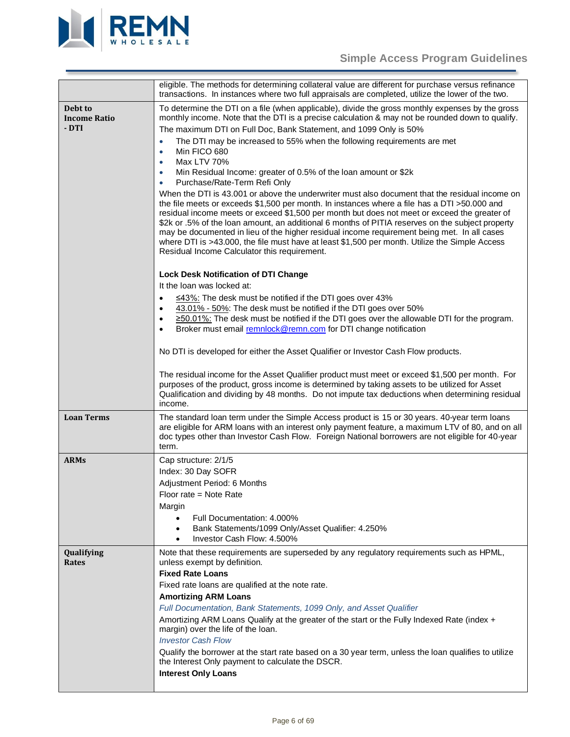

<span id="page-5-3"></span><span id="page-5-2"></span><span id="page-5-1"></span><span id="page-5-0"></span>

|                                         | eligible. The methods for determining collateral value are different for purchase versus refinance<br>transactions. In instances where two full appraisals are completed, utilize the lower of the two.                                                                                                                                                                                                                                                                                                                                                                                                                                                                                                                                                                                                                                                                                                                                                                                                                                                                                                                                                                                                                                                                                                                                                                                                                                                                                                                                                                                                                                                                                                                                                                                                                                                                                                                                                                                                                                    |
|-----------------------------------------|--------------------------------------------------------------------------------------------------------------------------------------------------------------------------------------------------------------------------------------------------------------------------------------------------------------------------------------------------------------------------------------------------------------------------------------------------------------------------------------------------------------------------------------------------------------------------------------------------------------------------------------------------------------------------------------------------------------------------------------------------------------------------------------------------------------------------------------------------------------------------------------------------------------------------------------------------------------------------------------------------------------------------------------------------------------------------------------------------------------------------------------------------------------------------------------------------------------------------------------------------------------------------------------------------------------------------------------------------------------------------------------------------------------------------------------------------------------------------------------------------------------------------------------------------------------------------------------------------------------------------------------------------------------------------------------------------------------------------------------------------------------------------------------------------------------------------------------------------------------------------------------------------------------------------------------------------------------------------------------------------------------------------------------------|
| Debt to<br><b>Income Ratio</b><br>- DTI | To determine the DTI on a file (when applicable), divide the gross monthly expenses by the gross<br>monthly income. Note that the DTI is a precise calculation & may not be rounded down to qualify.<br>The maximum DTI on Full Doc, Bank Statement, and 1099 Only is 50%<br>The DTI may be increased to 55% when the following requirements are met<br>$\bullet$<br>Min FICO 680<br>$\bullet$<br>Max LTV 70%<br>$\bullet$<br>Min Residual Income: greater of 0.5% of the loan amount or \$2k<br>$\bullet$<br>Purchase/Rate-Term Refi Only<br>$\bullet$<br>When the DTI is 43.001 or above the underwriter must also document that the residual income on<br>the file meets or exceeds \$1,500 per month. In instances where a file has a DTI >50.000 and<br>residual income meets or exceed \$1,500 per month but does not meet or exceed the greater of<br>\$2k or .5% of the loan amount, an additional 6 months of PITIA reserves on the subject property<br>may be documented in lieu of the higher residual income requirement being met. In all cases<br>where DTI is >43.000, the file must have at least \$1,500 per month. Utilize the Simple Access<br>Residual Income Calculator this requirement.<br><b>Lock Desk Notification of DTI Change</b><br>It the loan was locked at:<br>≤43%: The desk must be notified if the DTI goes over 43%<br>$\bullet$<br>43.01% - 50%: The desk must be notified if the DTI goes over 50%<br>≥50.01%: The desk must be notified if the DTI goes over the allowable DTI for the program.<br>$\bullet$<br>Broker must email remnlock@remn.com for DTI change notification<br>$\bullet$<br>No DTI is developed for either the Asset Qualifier or Investor Cash Flow products.<br>The residual income for the Asset Qualifier product must meet or exceed \$1,500 per month. For<br>purposes of the product, gross income is determined by taking assets to be utilized for Asset<br>Qualification and dividing by 48 months. Do not impute tax deductions when determining residual<br>income. |
| <b>Loan Terms</b>                       | The standard loan term under the Simple Access product is 15 or 30 years. 40-year term loans<br>are eligible for ARM loans with an interest only payment feature, a maximum LTV of 80, and on all<br>doc types other than Investor Cash Flow. Foreign National borrowers are not eligible for 40-year<br>term.                                                                                                                                                                                                                                                                                                                                                                                                                                                                                                                                                                                                                                                                                                                                                                                                                                                                                                                                                                                                                                                                                                                                                                                                                                                                                                                                                                                                                                                                                                                                                                                                                                                                                                                             |
| <b>ARMs</b>                             | Cap structure: 2/1/5<br>Index: 30 Day SOFR<br>Adjustment Period: 6 Months<br>Floor rate = Note Rate<br>Margin<br>Full Documentation: 4.000%<br>$\bullet$<br>Bank Statements/1099 Only/Asset Qualifier: 4.250%<br>$\bullet$<br>Investor Cash Flow: 4.500%                                                                                                                                                                                                                                                                                                                                                                                                                                                                                                                                                                                                                                                                                                                                                                                                                                                                                                                                                                                                                                                                                                                                                                                                                                                                                                                                                                                                                                                                                                                                                                                                                                                                                                                                                                                   |
| Qualifying<br>Rates                     | Note that these requirements are superseded by any regulatory requirements such as HPML,<br>unless exempt by definition.<br><b>Fixed Rate Loans</b><br>Fixed rate loans are qualified at the note rate.<br><b>Amortizing ARM Loans</b><br>Full Documentation, Bank Statements, 1099 Only, and Asset Qualifier<br>Amortizing ARM Loans Qualify at the greater of the start or the Fully Indexed Rate (index +<br>margin) over the life of the loan.<br><b>Investor Cash Flow</b><br>Qualify the borrower at the start rate based on a 30 year term, unless the loan qualifies to utilize<br>the Interest Only payment to calculate the DSCR.<br><b>Interest Only Loans</b>                                                                                                                                                                                                                                                                                                                                                                                                                                                                                                                                                                                                                                                                                                                                                                                                                                                                                                                                                                                                                                                                                                                                                                                                                                                                                                                                                                  |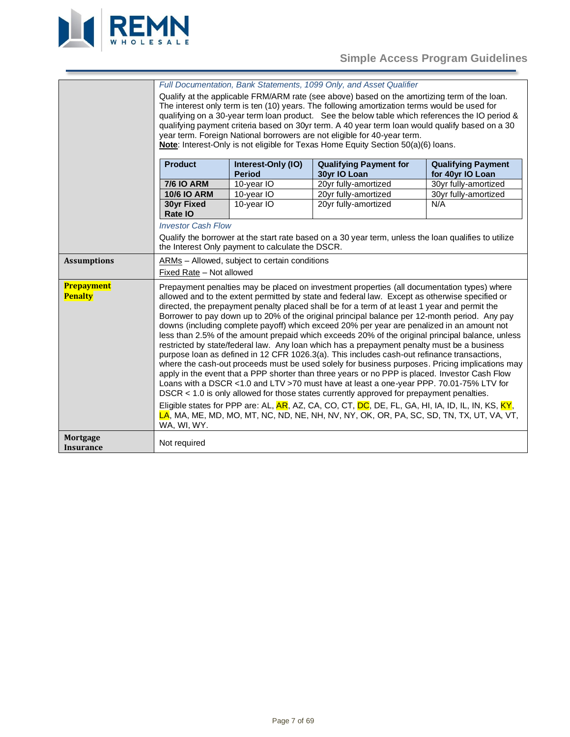

<span id="page-6-2"></span><span id="page-6-1"></span><span id="page-6-0"></span>

|                              | Full Documentation, Bank Statements, 1099 Only, and Asset Qualifier                                                                                                                                                                                                                                                                                                                                                                                                                                                                                                                                                                                                                                                                                                                                                                                                                                                                                                                                                                                                                                                                                                                                                                                                                                                                                                                                                    |                                                  |                                                                                                      |                                               |
|------------------------------|------------------------------------------------------------------------------------------------------------------------------------------------------------------------------------------------------------------------------------------------------------------------------------------------------------------------------------------------------------------------------------------------------------------------------------------------------------------------------------------------------------------------------------------------------------------------------------------------------------------------------------------------------------------------------------------------------------------------------------------------------------------------------------------------------------------------------------------------------------------------------------------------------------------------------------------------------------------------------------------------------------------------------------------------------------------------------------------------------------------------------------------------------------------------------------------------------------------------------------------------------------------------------------------------------------------------------------------------------------------------------------------------------------------------|--------------------------------------------------|------------------------------------------------------------------------------------------------------|-----------------------------------------------|
|                              | Qualify at the applicable FRM/ARM rate (see above) based on the amortizing term of the loan.                                                                                                                                                                                                                                                                                                                                                                                                                                                                                                                                                                                                                                                                                                                                                                                                                                                                                                                                                                                                                                                                                                                                                                                                                                                                                                                           |                                                  |                                                                                                      |                                               |
|                              | The interest only term is ten (10) years. The following amortization terms would be used for                                                                                                                                                                                                                                                                                                                                                                                                                                                                                                                                                                                                                                                                                                                                                                                                                                                                                                                                                                                                                                                                                                                                                                                                                                                                                                                           |                                                  |                                                                                                      |                                               |
|                              | qualifying on a 30-year term loan product. See the below table which references the IO period &                                                                                                                                                                                                                                                                                                                                                                                                                                                                                                                                                                                                                                                                                                                                                                                                                                                                                                                                                                                                                                                                                                                                                                                                                                                                                                                        |                                                  |                                                                                                      |                                               |
|                              | qualifying payment criteria based on 30yr term. A 40 year term loan would qualify based on a 30                                                                                                                                                                                                                                                                                                                                                                                                                                                                                                                                                                                                                                                                                                                                                                                                                                                                                                                                                                                                                                                                                                                                                                                                                                                                                                                        |                                                  |                                                                                                      |                                               |
|                              | year term. Foreign National borrowers are not eligible for 40-year term.                                                                                                                                                                                                                                                                                                                                                                                                                                                                                                                                                                                                                                                                                                                                                                                                                                                                                                                                                                                                                                                                                                                                                                                                                                                                                                                                               |                                                  |                                                                                                      |                                               |
|                              |                                                                                                                                                                                                                                                                                                                                                                                                                                                                                                                                                                                                                                                                                                                                                                                                                                                                                                                                                                                                                                                                                                                                                                                                                                                                                                                                                                                                                        |                                                  | Note: Interest-Only is not eligible for Texas Home Equity Section 50(a)(6) loans.                    |                                               |
|                              |                                                                                                                                                                                                                                                                                                                                                                                                                                                                                                                                                                                                                                                                                                                                                                                                                                                                                                                                                                                                                                                                                                                                                                                                                                                                                                                                                                                                                        |                                                  |                                                                                                      |                                               |
|                              | <b>Product</b>                                                                                                                                                                                                                                                                                                                                                                                                                                                                                                                                                                                                                                                                                                                                                                                                                                                                                                                                                                                                                                                                                                                                                                                                                                                                                                                                                                                                         | Interest-Only (IO)<br><b>Period</b>              | <b>Qualifying Payment for</b><br>30yr IO Loan                                                        | <b>Qualifying Payment</b><br>for 40yr IO Loan |
|                              | <b>7/6 IO ARM</b>                                                                                                                                                                                                                                                                                                                                                                                                                                                                                                                                                                                                                                                                                                                                                                                                                                                                                                                                                                                                                                                                                                                                                                                                                                                                                                                                                                                                      | 10-year IO                                       | 20yr fully-amortized                                                                                 | 30yr fully-amortized                          |
|                              | <b>10/6 IO ARM</b>                                                                                                                                                                                                                                                                                                                                                                                                                                                                                                                                                                                                                                                                                                                                                                                                                                                                                                                                                                                                                                                                                                                                                                                                                                                                                                                                                                                                     | 10-year IO                                       | 20yr fully-amortized                                                                                 | 30yr fully-amortized                          |
|                              | <b>30yr Fixed</b><br>Rate IO                                                                                                                                                                                                                                                                                                                                                                                                                                                                                                                                                                                                                                                                                                                                                                                                                                                                                                                                                                                                                                                                                                                                                                                                                                                                                                                                                                                           | 10-year IO                                       | 20yr fully-amortized                                                                                 | N/A                                           |
|                              | <b>Investor Cash Flow</b>                                                                                                                                                                                                                                                                                                                                                                                                                                                                                                                                                                                                                                                                                                                                                                                                                                                                                                                                                                                                                                                                                                                                                                                                                                                                                                                                                                                              |                                                  |                                                                                                      |                                               |
|                              |                                                                                                                                                                                                                                                                                                                                                                                                                                                                                                                                                                                                                                                                                                                                                                                                                                                                                                                                                                                                                                                                                                                                                                                                                                                                                                                                                                                                                        |                                                  | Qualify the borrower at the start rate based on a 30 year term, unless the loan qualifies to utilize |                                               |
|                              |                                                                                                                                                                                                                                                                                                                                                                                                                                                                                                                                                                                                                                                                                                                                                                                                                                                                                                                                                                                                                                                                                                                                                                                                                                                                                                                                                                                                                        | the Interest Only payment to calculate the DSCR. |                                                                                                      |                                               |
| <b>Assumptions</b>           |                                                                                                                                                                                                                                                                                                                                                                                                                                                                                                                                                                                                                                                                                                                                                                                                                                                                                                                                                                                                                                                                                                                                                                                                                                                                                                                                                                                                                        | ARMs - Allowed, subject to certain conditions    |                                                                                                      |                                               |
|                              |                                                                                                                                                                                                                                                                                                                                                                                                                                                                                                                                                                                                                                                                                                                                                                                                                                                                                                                                                                                                                                                                                                                                                                                                                                                                                                                                                                                                                        |                                                  |                                                                                                      |                                               |
| Prepayment<br><b>Penalty</b> | Fixed Rate - Not allowed<br>Prepayment penalties may be placed on investment properties (all documentation types) where<br>allowed and to the extent permitted by state and federal law. Except as otherwise specified or<br>directed, the prepayment penalty placed shall be for a term of at least 1 year and permit the<br>Borrower to pay down up to 20% of the original principal balance per 12-month period. Any pay<br>downs (including complete payoff) which exceed 20% per year are penalized in an amount not<br>less than 2.5% of the amount prepaid which exceeds 20% of the original principal balance, unless<br>restricted by state/federal law. Any loan which has a prepayment penalty must be a business<br>purpose loan as defined in 12 CFR 1026.3(a). This includes cash-out refinance transactions,<br>where the cash-out proceeds must be used solely for business purposes. Pricing implications may<br>apply in the event that a PPP shorter than three years or no PPP is placed. Investor Cash Flow<br>Loans with a DSCR <1.0 and LTV >70 must have at least a one-year PPP. 70.01-75% LTV for<br>DSCR < 1.0 is only allowed for those states currently approved for prepayment penalties.<br>Eligible states for PPP are: AL, AR, AZ, CA, CO, CT, DC, DE, FL, GA, HI, IA, ID, IL, IN, KS, KY,<br>LA, MA, ME, MD, MO, MT, NC, ND, NE, NH, NV, NY, OK, OR, PA, SC, SD, TN, TX, UT, VA, VT, |                                                  |                                                                                                      |                                               |
| Mortgage<br><b>Insurance</b> | Not required                                                                                                                                                                                                                                                                                                                                                                                                                                                                                                                                                                                                                                                                                                                                                                                                                                                                                                                                                                                                                                                                                                                                                                                                                                                                                                                                                                                                           |                                                  |                                                                                                      |                                               |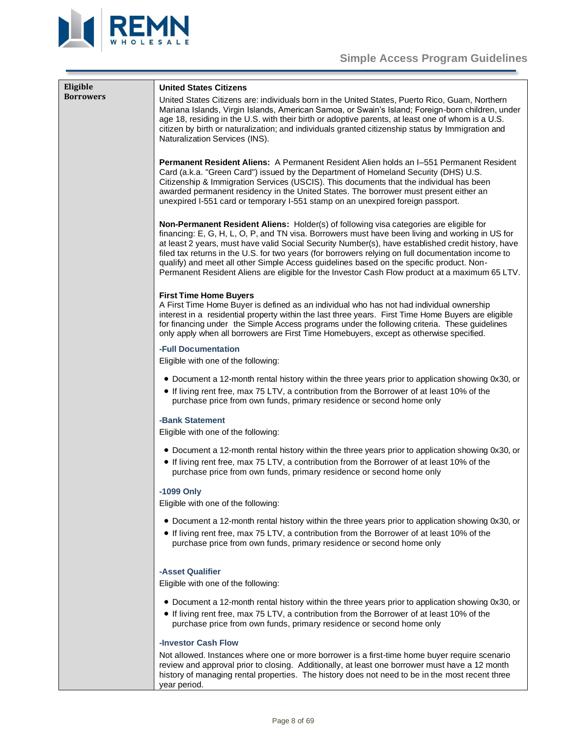



<span id="page-7-1"></span><span id="page-7-0"></span>

| Eligible<br><b>Borrowers</b> | <b>United States Citizens</b><br>United States Citizens are: individuals born in the United States, Puerto Rico, Guam, Northern<br>Mariana Islands, Virgin Islands, American Samoa, or Swain's Island; Foreign-born children, under<br>age 18, residing in the U.S. with their birth or adoptive parents, at least one of whom is a U.S.<br>citizen by birth or naturalization; and individuals granted citizenship status by Immigration and<br>Naturalization Services (INS).                                                                                                                     |
|------------------------------|-----------------------------------------------------------------------------------------------------------------------------------------------------------------------------------------------------------------------------------------------------------------------------------------------------------------------------------------------------------------------------------------------------------------------------------------------------------------------------------------------------------------------------------------------------------------------------------------------------|
|                              | <b>Permanent Resident Aliens:</b> A Permanent Resident Alien holds an I-551 Permanent Resident<br>Card (a.k.a. "Green Card") issued by the Department of Homeland Security (DHS) U.S.<br>Citizenship & Immigration Services (USCIS). This documents that the individual has been<br>awarded permanent residency in the United States. The borrower must present either an<br>unexpired I-551 card or temporary I-551 stamp on an unexpired foreign passport.                                                                                                                                        |
|                              | Non-Permanent Resident Aliens: Holder(s) of following visa categories are eligible for<br>financing: E, G, H, L, O, P, and TN visa. Borrowers must have been living and working in US for<br>at least 2 years, must have valid Social Security Number(s), have established credit history, have<br>filed tax returns in the U.S. for two years (for borrowers relying on full documentation income to<br>qualify) and meet all other Simple Access guidelines based on the specific product. Non-<br>Permanent Resident Aliens are eligible for the Investor Cash Flow product at a maximum 65 LTV. |
|                              | <b>First Time Home Buyers</b><br>A First Time Home Buyer is defined as an individual who has not had individual ownership<br>interest in a residential property within the last three years. First Time Home Buyers are eligible<br>for financing under the Simple Access programs under the following criteria. These guidelines<br>only apply when all borrowers are First Time Homebuyers, except as otherwise specified.                                                                                                                                                                        |
|                              | -Full Documentation<br>Eligible with one of the following:                                                                                                                                                                                                                                                                                                                                                                                                                                                                                                                                          |
|                              | • Document a 12-month rental history within the three years prior to application showing 0x30, or<br>• If living rent free, max 75 LTV, a contribution from the Borrower of at least 10% of the<br>purchase price from own funds, primary residence or second home only                                                                                                                                                                                                                                                                                                                             |
|                              | -Bank Statement<br>Eligible with one of the following:                                                                                                                                                                                                                                                                                                                                                                                                                                                                                                                                              |
|                              | • Document a 12-month rental history within the three years prior to application showing 0x30, or<br>• If living rent free, max 75 LTV, a contribution from the Borrower of at least 10% of the<br>purchase price from own funds, primary residence or second home only                                                                                                                                                                                                                                                                                                                             |
|                              | -1099 Only<br>Eligible with one of the following:                                                                                                                                                                                                                                                                                                                                                                                                                                                                                                                                                   |
|                              | • Document a 12-month rental history within the three years prior to application showing 0x30, or<br>• If living rent free, max 75 LTV, a contribution from the Borrower of at least 10% of the<br>purchase price from own funds, primary residence or second home only                                                                                                                                                                                                                                                                                                                             |
|                              | -Asset Qualifier<br>Eligible with one of the following:                                                                                                                                                                                                                                                                                                                                                                                                                                                                                                                                             |
|                              | • Document a 12-month rental history within the three years prior to application showing 0x30, or<br>• If living rent free, max 75 LTV, a contribution from the Borrower of at least 10% of the<br>purchase price from own funds, primary residence or second home only                                                                                                                                                                                                                                                                                                                             |
|                              | <b>-Investor Cash Flow</b><br>Not allowed. Instances where one or more borrower is a first-time home buyer require scenario<br>rough prior to cloging. Additionally, at logat and berrought must beyo a 12 month                                                                                                                                                                                                                                                                                                                                                                                    |

review and approval prior to closing. Additionally, at least one borrower must have a 12 month history of managing rental properties. The history does not need to be in the most recent three year period.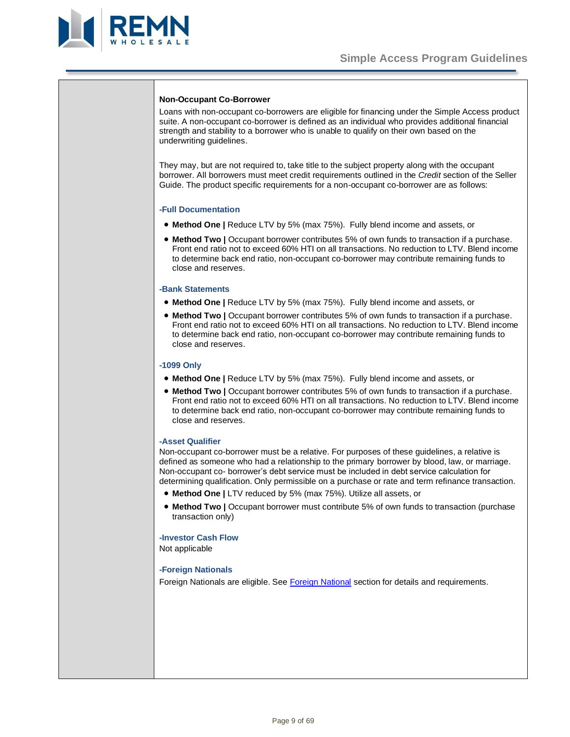

# **Non-Occupant Co-Borrower**

Loans with non-occupant co-borrowers are eligible for financing under the Simple Access product suite. A non-occupant co-borrower is defined as an individual who provides additional financial strength and stability to a borrower who is unable to qualify on their own based on the underwriting guidelines.

They may, but are not required to, take title to the subject property along with the occupant borrower. All borrowers must meet credit requirements outlined in the *Credit* section of the Seller Guide. The product specific requirements for a non-occupant co-borrower are as follows:

#### **-Full Documentation**

- **Method One |** Reduce LTV by 5% (max 75%). Fully blend income and assets, or
- **Method Two |** Occupant borrower contributes 5% of own funds to transaction if a purchase. Front end ratio not to exceed 60% HTI on all transactions. No reduction to LTV. Blend income to determine back end ratio, non-occupant co-borrower may contribute remaining funds to close and reserves.

#### **-Bank Statements**

- **Method One |** Reduce LTV by 5% (max 75%). Fully blend income and assets, or
- Method Two | Occupant borrower contributes 5% of own funds to transaction if a purchase. Front end ratio not to exceed 60% HTI on all transactions. No reduction to LTV. Blend income to determine back end ratio, non-occupant co-borrower may contribute remaining funds to close and reserves.

#### **-1099 Only**

- **Method One |** Reduce LTV by 5% (max 75%). Fully blend income and assets, or
- Method Two | Occupant borrower contributes 5% of own funds to transaction if a purchase. Front end ratio not to exceed 60% HTI on all transactions. No reduction to LTV. Blend income to determine back end ratio, non-occupant co-borrower may contribute remaining funds to close and reserves.

#### **-Asset Qualifier**

Non-occupant co-borrower must be a relative. For purposes of these guidelines, a relative is defined as someone who had a relationship to the primary borrower by blood, law, or marriage. Non-occupant co- borrower's debt service must be included in debt service calculation for determining qualification. Only permissible on a purchase or rate and term refinance transaction.

- **Method One |** LTV reduced by 5% (max 75%). Utilize all assets, or
- Method Two | Occupant borrower must contribute 5% of own funds to transaction (purchase transaction only)

# **-Investor Cash Flow**

Not applicable

#### **-Foreign Nationals**

Foreign Nationals are eligible. See [Foreign National](#page-67-0) section for details and requirements.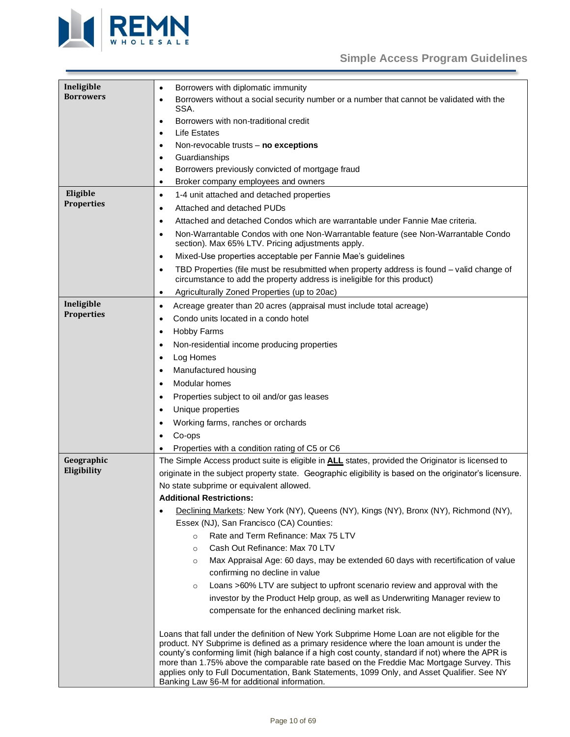# **Simple Access Program Guidelines**



<span id="page-9-3"></span><span id="page-9-2"></span><span id="page-9-1"></span><span id="page-9-0"></span>

| Ineligible<br><b>Borrowers</b> | Borrowers with diplomatic immunity<br>$\bullet$                                                                                                                                           |
|--------------------------------|-------------------------------------------------------------------------------------------------------------------------------------------------------------------------------------------|
|                                | Borrowers without a social security number or a number that cannot be validated with the<br>$\bullet$<br>SSA.                                                                             |
|                                | Borrowers with non-traditional credit<br>$\bullet$                                                                                                                                        |
|                                | <b>Life Estates</b><br>$\bullet$                                                                                                                                                          |
|                                | Non-revocable trusts - no exceptions<br>$\bullet$                                                                                                                                         |
|                                | Guardianships<br>٠                                                                                                                                                                        |
|                                | Borrowers previously convicted of mortgage fraud<br>$\bullet$                                                                                                                             |
|                                | Broker company employees and owners<br>$\bullet$                                                                                                                                          |
| Eligible                       | 1-4 unit attached and detached properties<br>$\bullet$                                                                                                                                    |
| <b>Properties</b>              | Attached and detached PUDs<br>$\bullet$                                                                                                                                                   |
|                                | Attached and detached Condos which are warrantable under Fannie Mae criteria.<br>$\bullet$                                                                                                |
|                                | Non-Warrantable Condos with one Non-Warrantable feature (see Non-Warrantable Condo<br>$\bullet$<br>section). Max 65% LTV. Pricing adjustments apply.                                      |
|                                | Mixed-Use properties acceptable per Fannie Mae's guidelines<br>$\bullet$                                                                                                                  |
|                                | TBD Properties (file must be resubmitted when property address is found - valid change of<br>$\bullet$<br>circumstance to add the property address is ineligible for this product)        |
|                                | Agriculturally Zoned Properties (up to 20ac)<br>$\bullet$                                                                                                                                 |
| Ineligible                     | Acreage greater than 20 acres (appraisal must include total acreage)<br>$\bullet$                                                                                                         |
| <b>Properties</b>              | Condo units located in a condo hotel<br>$\bullet$                                                                                                                                         |
|                                | <b>Hobby Farms</b><br>٠                                                                                                                                                                   |
|                                | Non-residential income producing properties<br>$\bullet$                                                                                                                                  |
|                                | Log Homes<br>$\bullet$                                                                                                                                                                    |
|                                | Manufactured housing<br>$\bullet$                                                                                                                                                         |
|                                | Modular homes<br>$\bullet$                                                                                                                                                                |
|                                | Properties subject to oil and/or gas leases<br>$\bullet$                                                                                                                                  |
|                                | Unique properties<br>$\bullet$                                                                                                                                                            |
|                                | Working farms, ranches or orchards                                                                                                                                                        |
|                                | Co-ops<br>٠                                                                                                                                                                               |
|                                | Properties with a condition rating of C5 or C6                                                                                                                                            |
| Geographic                     | The Simple Access product suite is eligible in ALL states, provided the Originator is licensed to                                                                                         |
| Eligibility                    | originate in the subject property state. Geographic eligibility is based on the originator's licensure.                                                                                   |
|                                | No state subprime or equivalent allowed.                                                                                                                                                  |
|                                | <b>Additional Restrictions:</b>                                                                                                                                                           |
|                                | Declining Markets: New York (NY), Queens (NY), Kings (NY), Bronx (NY), Richmond (NY),                                                                                                     |
|                                | Essex (NJ), San Francisco (CA) Counties:                                                                                                                                                  |
|                                | Rate and Term Refinance: Max 75 LTV<br>$\circ$                                                                                                                                            |
|                                | Cash Out Refinance: Max 70 LTV<br>$\circ$                                                                                                                                                 |
|                                | Max Appraisal Age: 60 days, may be extended 60 days with recertification of value<br>$\circ$                                                                                              |
|                                | confirming no decline in value                                                                                                                                                            |
|                                | Loans >60% LTV are subject to upfront scenario review and approval with the<br>$\circ$                                                                                                    |
|                                | investor by the Product Help group, as well as Underwriting Manager review to                                                                                                             |
|                                | compensate for the enhanced declining market risk.                                                                                                                                        |
|                                |                                                                                                                                                                                           |
|                                | Loans that fall under the definition of New York Subprime Home Loan are not eligible for the<br>product. NY Subprime is defined as a primary residence where the loan amount is under the |
|                                | county's conforming limit (high balance if a high cost county, standard if not) where the APR is                                                                                          |
|                                | more than 1.75% above the comparable rate based on the Freddie Mac Mortgage Survey. This<br>applies only to Full Documentation, Bank Statements, 1099 Only, and Asset Qualifier. See NY   |
|                                | Banking Law §6-M for additional information.                                                                                                                                              |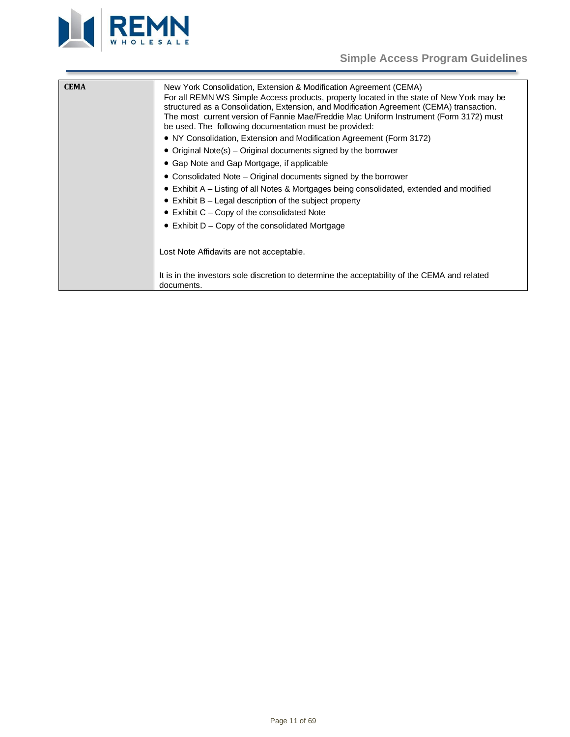



<span id="page-10-0"></span>

| <b>CEMA</b> | New York Consolidation, Extension & Modification Agreement (CEMA)<br>For all REMN WS Simple Access products, property located in the state of New York may be<br>structured as a Consolidation, Extension, and Modification Agreement (CEMA) transaction.<br>The most current version of Fannie Mae/Freddie Mac Uniform Instrument (Form 3172) must<br>be used. The following documentation must be provided:<br>• NY Consolidation, Extension and Modification Agreement (Form 3172)<br>• Original Note(s) – Original documents signed by the borrower<br>• Gap Note and Gap Mortgage, if applicable<br>• Consolidated Note – Original documents signed by the borrower<br>$\bullet$ Exhibit A – Listing of all Notes & Mortgages being consolidated, extended and modified<br>$\bullet$ Exhibit B – Legal description of the subject property<br>$\bullet$ Exhibit C – Copy of the consolidated Note<br>$\bullet$ Exhibit D – Copy of the consolidated Mortgage<br>Lost Note Affidavits are not acceptable. |
|-------------|---------------------------------------------------------------------------------------------------------------------------------------------------------------------------------------------------------------------------------------------------------------------------------------------------------------------------------------------------------------------------------------------------------------------------------------------------------------------------------------------------------------------------------------------------------------------------------------------------------------------------------------------------------------------------------------------------------------------------------------------------------------------------------------------------------------------------------------------------------------------------------------------------------------------------------------------------------------------------------------------------------------|
|             | It is in the investors sole discretion to determine the acceptability of the CEMA and related<br>documents.                                                                                                                                                                                                                                                                                                                                                                                                                                                                                                                                                                                                                                                                                                                                                                                                                                                                                                   |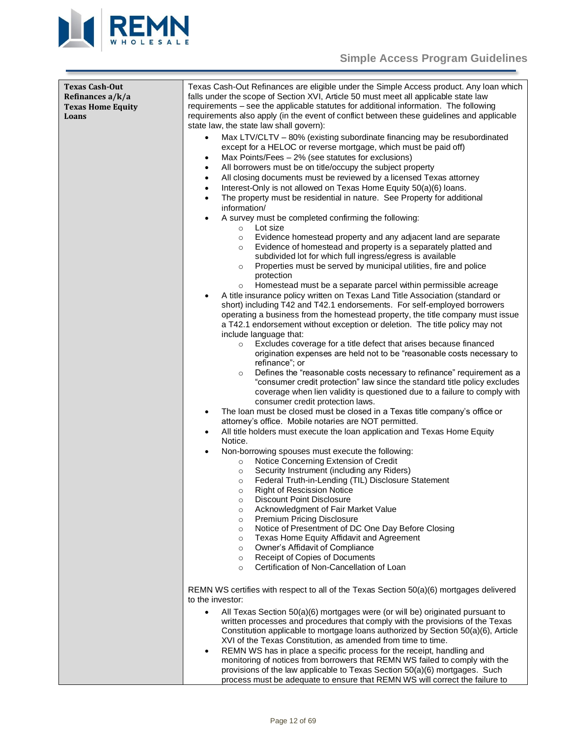

<span id="page-11-0"></span>

| Texas Cash-Out<br>Refinances a/k/a<br><b>Texas Home Equity</b><br>Loans | Texas Cash-Out Refinances are eligible under the Simple Access product. Any loan which<br>falls under the scope of Section XVI, Article 50 must meet all applicable state law<br>requirements – see the applicable statutes for additional information. The following<br>requirements also apply (in the event of conflict between these guidelines and applicable<br>state law, the state law shall govern):<br>Max LTV/CLTV - 80% (existing subordinate financing may be resubordinated<br>$\bullet$<br>except for a HELOC or reverse mortgage, which must be paid off)<br>Max Points/Fees - 2% (see statutes for exclusions)<br>$\bullet$<br>All borrowers must be on title/occupy the subject property<br>$\bullet$<br>All closing documents must be reviewed by a licensed Texas attorney<br>$\bullet$<br>Interest-Only is not allowed on Texas Home Equity 50(a)(6) loans.<br>$\bullet$<br>The property must be residential in nature. See Property for additional<br>$\bullet$<br>information/<br>A survey must be completed confirming the following:<br>$\bullet$<br>Lot size<br>$\circ$<br>Evidence homestead property and any adjacent land are separate<br>$\circ$<br>Evidence of homestead and property is a separately platted and<br>$\circ$<br>subdivided lot for which full ingress/egress is available<br>Properties must be served by municipal utilities, fire and police<br>$\circ$<br>protection<br>Homestead must be a separate parcel within permissible acreage<br>$\circ$<br>A title insurance policy written on Texas Land Title Association (standard or<br>$\bullet$<br>short) including T42 and T42.1 endorsements. For self-employed borrowers |
|-------------------------------------------------------------------------|-------------------------------------------------------------------------------------------------------------------------------------------------------------------------------------------------------------------------------------------------------------------------------------------------------------------------------------------------------------------------------------------------------------------------------------------------------------------------------------------------------------------------------------------------------------------------------------------------------------------------------------------------------------------------------------------------------------------------------------------------------------------------------------------------------------------------------------------------------------------------------------------------------------------------------------------------------------------------------------------------------------------------------------------------------------------------------------------------------------------------------------------------------------------------------------------------------------------------------------------------------------------------------------------------------------------------------------------------------------------------------------------------------------------------------------------------------------------------------------------------------------------------------------------------------------------------------------------------------------------------------------------------------------------------------|
|                                                                         | operating a business from the homestead property, the title company must issue<br>a T42.1 endorsement without exception or deletion. The title policy may not<br>include language that:<br>Excludes coverage for a title defect that arises because financed<br>$\circ$<br>origination expenses are held not to be "reasonable costs necessary to<br>refinance"; or<br>Defines the "reasonable costs necessary to refinance" requirement as a<br>$\circ$<br>"consumer credit protection" law since the standard title policy excludes<br>coverage when lien validity is questioned due to a failure to comply with                                                                                                                                                                                                                                                                                                                                                                                                                                                                                                                                                                                                                                                                                                                                                                                                                                                                                                                                                                                                                                                            |
|                                                                         | consumer credit protection laws.<br>The loan must be closed must be closed in a Texas title company's office or<br>$\bullet$<br>attorney's office. Mobile notaries are NOT permitted.<br>All title holders must execute the loan application and Texas Home Equity<br>$\bullet$<br>Notice.<br>Non-borrowing spouses must execute the following:<br>$\bullet$<br>Notice Concerning Extension of Credit<br>$\circ$<br>Security Instrument (including any Riders)<br>$\circ$<br>Federal Truth-in-Lending (TIL) Disclosure Statement<br>$\circ$<br><b>Right of Rescission Notice</b><br>$\circ$<br><b>Discount Point Disclosure</b><br>$\circ$<br>Acknowledgment of Fair Market Value<br>$\circ$<br>Premium Pricing Disclosure<br>$\circ$<br>Notice of Presentment of DC One Day Before Closing<br>$\circ$<br>Texas Home Equity Affidavit and Agreement<br>$\circ$<br>Owner's Affidavit of Compliance<br>$\circ$<br>Receipt of Copies of Documents<br>$\circ$<br>Certification of Non-Cancellation of Loan<br>$\circ$                                                                                                                                                                                                                                                                                                                                                                                                                                                                                                                                                                                                                                                             |
|                                                                         | REMN WS certifies with respect to all of the Texas Section 50(a)(6) mortgages delivered<br>to the investor:<br>All Texas Section 50(a)(6) mortgages were (or will be) originated pursuant to<br>written processes and procedures that comply with the provisions of the Texas<br>Constitution applicable to mortgage loans authorized by Section 50(a)(6), Article<br>XVI of the Texas Constitution, as amended from time to time.<br>REMN WS has in place a specific process for the receipt, handling and<br>$\bullet$<br>monitoring of notices from borrowers that REMN WS failed to comply with the<br>provisions of the law applicable to Texas Section 50(a)(6) mortgages. Such<br>process must be adequate to ensure that REMN WS will correct the failure to                                                                                                                                                                                                                                                                                                                                                                                                                                                                                                                                                                                                                                                                                                                                                                                                                                                                                                          |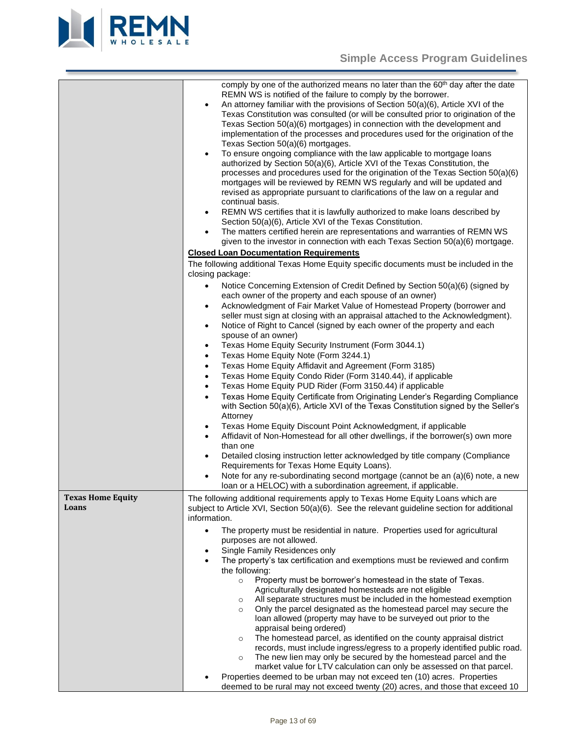

comply by one of the authorized means no later than the 60<sup>th</sup> day after the date REMN WS is notified of the failure to comply by the borrower.

<span id="page-12-0"></span>

|                                   | REMN WS is notified of the failure to comply by the borrower.<br>An attorney familiar with the provisions of Section 50(a)(6), Article XVI of the<br>$\bullet$<br>Texas Constitution was consulted (or will be consulted prior to origination of the<br>Texas Section 50(a)(6) mortgages) in connection with the development and<br>implementation of the processes and procedures used for the origination of the<br>Texas Section 50(a)(6) mortgages.<br>To ensure ongoing compliance with the law applicable to mortgage loans<br>authorized by Section 50(a)(6), Article XVI of the Texas Constitution, the<br>processes and procedures used for the origination of the Texas Section 50(a)(6)<br>mortgages will be reviewed by REMN WS regularly and will be updated and<br>revised as appropriate pursuant to clarifications of the law on a regular and<br>continual basis.<br>REMN WS certifies that it is lawfully authorized to make loans described by<br>$\bullet$<br>Section 50(a)(6), Article XVI of the Texas Constitution.<br>The matters certified herein are representations and warranties of REMN WS<br>given to the investor in connection with each Texas Section 50(a)(6) mortgage.                                                                                                                                                                                                                                                                          |
|-----------------------------------|-------------------------------------------------------------------------------------------------------------------------------------------------------------------------------------------------------------------------------------------------------------------------------------------------------------------------------------------------------------------------------------------------------------------------------------------------------------------------------------------------------------------------------------------------------------------------------------------------------------------------------------------------------------------------------------------------------------------------------------------------------------------------------------------------------------------------------------------------------------------------------------------------------------------------------------------------------------------------------------------------------------------------------------------------------------------------------------------------------------------------------------------------------------------------------------------------------------------------------------------------------------------------------------------------------------------------------------------------------------------------------------------------------------------------------------------------------------------------------------|
|                                   | <b>Closed Loan Documentation Requirements</b>                                                                                                                                                                                                                                                                                                                                                                                                                                                                                                                                                                                                                                                                                                                                                                                                                                                                                                                                                                                                                                                                                                                                                                                                                                                                                                                                                                                                                                       |
|                                   | The following additional Texas Home Equity specific documents must be included in the<br>closing package:                                                                                                                                                                                                                                                                                                                                                                                                                                                                                                                                                                                                                                                                                                                                                                                                                                                                                                                                                                                                                                                                                                                                                                                                                                                                                                                                                                           |
|                                   | Notice Concerning Extension of Credit Defined by Section 50(a)(6) (signed by<br>$\bullet$<br>each owner of the property and each spouse of an owner)<br>Acknowledgment of Fair Market Value of Homestead Property (borrower and<br>٠<br>seller must sign at closing with an appraisal attached to the Acknowledgment).<br>Notice of Right to Cancel (signed by each owner of the property and each<br>$\bullet$<br>spouse of an owner)<br>Texas Home Equity Security Instrument (Form 3044.1)<br>$\bullet$<br>Texas Home Equity Note (Form 3244.1)<br>٠<br>Texas Home Equity Affidavit and Agreement (Form 3185)<br>$\bullet$<br>Texas Home Equity Condo Rider (Form 3140.44), if applicable<br>$\bullet$<br>Texas Home Equity PUD Rider (Form 3150.44) if applicable<br>$\bullet$<br>Texas Home Equity Certificate from Originating Lender's Regarding Compliance<br>$\bullet$<br>with Section 50(a)(6), Article XVI of the Texas Constitution signed by the Seller's<br>Attorney<br>Texas Home Equity Discount Point Acknowledgment, if applicable<br>$\bullet$<br>Affidavit of Non-Homestead for all other dwellings, if the borrower(s) own more<br>$\bullet$<br>than one<br>Detailed closing instruction letter acknowledged by title company (Compliance<br>٠<br>Requirements for Texas Home Equity Loans).<br>Note for any re-subordinating second mortgage (cannot be an (a)(6) note, a new<br>$\bullet$<br>loan or a HELOC) with a subordination agreement, if applicable. |
| <b>Texas Home Equity</b><br>Loans | The following additional requirements apply to Texas Home Equity Loans which are<br>subject to Article XVI, Section 50(a)(6). See the relevant guideline section for additional<br>information.<br>The property must be residential in nature. Properties used for agricultural<br>$\bullet$<br>purposes are not allowed.<br>Single Family Residences only<br>٠<br>The property's tax certification and exemptions must be reviewed and confirm<br>the following:<br>Property must be borrower's homestead in the state of Texas.<br>$\circ$<br>Agriculturally designated homesteads are not eligible<br>All separate structures must be included in the homestead exemption<br>$\circ$<br>Only the parcel designated as the homestead parcel may secure the<br>$\circ$<br>loan allowed (property may have to be surveyed out prior to the<br>appraisal being ordered)<br>The homestead parcel, as identified on the county appraisal district<br>$\circ$<br>records, must include ingress/egress to a properly identified public road.<br>The new lien may only be secured by the homestead parcel and the<br>$\circ$<br>market value for LTV calculation can only be assessed on that parcel.<br>Properties deemed to be urban may not exceed ten (10) acres. Properties<br>deemed to be rural may not exceed twenty (20) acres, and those that exceed 10                                                                                                                         |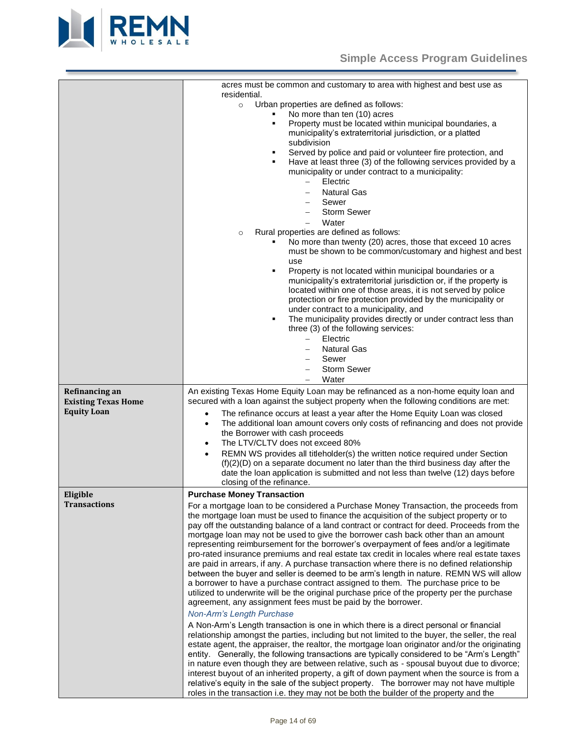

<span id="page-13-1"></span><span id="page-13-0"></span>

|                                                  | acres must be common and customary to area with highest and best use as<br>residential.<br>Urban properties are defined as follows:<br>$\circ$<br>No more than ten (10) acres<br>Property must be located within municipal boundaries, a<br>٠<br>municipality's extraterritorial jurisdiction, or a platted<br>subdivision<br>Served by police and paid or volunteer fire protection, and<br>٠<br>Have at least three (3) of the following services provided by a<br>٠<br>municipality or under contract to a municipality:<br>Electric<br>$\overline{\phantom{0}}$<br><b>Natural Gas</b><br>Sewer<br><b>Storm Sewer</b><br>Water<br>Rural properties are defined as follows:<br>$\circ$<br>No more than twenty (20) acres, those that exceed 10 acres<br>must be shown to be common/customary and highest and best<br>use<br>Property is not located within municipal boundaries or a<br>٠<br>municipality's extraterritorial jurisdiction or, if the property is<br>located within one of those areas, it is not served by police<br>protection or fire protection provided by the municipality or<br>under contract to a municipality, and                                                                                                                                                                                                                                                                                                                                                                                                                                                                                                                                                                                                                                                                                                          |
|--------------------------------------------------|--------------------------------------------------------------------------------------------------------------------------------------------------------------------------------------------------------------------------------------------------------------------------------------------------------------------------------------------------------------------------------------------------------------------------------------------------------------------------------------------------------------------------------------------------------------------------------------------------------------------------------------------------------------------------------------------------------------------------------------------------------------------------------------------------------------------------------------------------------------------------------------------------------------------------------------------------------------------------------------------------------------------------------------------------------------------------------------------------------------------------------------------------------------------------------------------------------------------------------------------------------------------------------------------------------------------------------------------------------------------------------------------------------------------------------------------------------------------------------------------------------------------------------------------------------------------------------------------------------------------------------------------------------------------------------------------------------------------------------------------------------------------------------------------------------------------------------------------------------|
|                                                  | The municipality provides directly or under contract less than<br>٠<br>three (3) of the following services:                                                                                                                                                                                                                                                                                                                                                                                                                                                                                                                                                                                                                                                                                                                                                                                                                                                                                                                                                                                                                                                                                                                                                                                                                                                                                                                                                                                                                                                                                                                                                                                                                                                                                                                                            |
|                                                  | Electric<br>$-$                                                                                                                                                                                                                                                                                                                                                                                                                                                                                                                                                                                                                                                                                                                                                                                                                                                                                                                                                                                                                                                                                                                                                                                                                                                                                                                                                                                                                                                                                                                                                                                                                                                                                                                                                                                                                                        |
|                                                  | <b>Natural Gas</b><br>Sewer                                                                                                                                                                                                                                                                                                                                                                                                                                                                                                                                                                                                                                                                                                                                                                                                                                                                                                                                                                                                                                                                                                                                                                                                                                                                                                                                                                                                                                                                                                                                                                                                                                                                                                                                                                                                                            |
|                                                  | <b>Storm Sewer</b><br>Water<br>$\overline{\phantom{0}}$                                                                                                                                                                                                                                                                                                                                                                                                                                                                                                                                                                                                                                                                                                                                                                                                                                                                                                                                                                                                                                                                                                                                                                                                                                                                                                                                                                                                                                                                                                                                                                                                                                                                                                                                                                                                |
| Refinancing an                                   | An existing Texas Home Equity Loan may be refinanced as a non-home equity loan and                                                                                                                                                                                                                                                                                                                                                                                                                                                                                                                                                                                                                                                                                                                                                                                                                                                                                                                                                                                                                                                                                                                                                                                                                                                                                                                                                                                                                                                                                                                                                                                                                                                                                                                                                                     |
| <b>Existing Texas Home</b><br><b>Equity Loan</b> | secured with a loan against the subject property when the following conditions are met:<br>The refinance occurs at least a year after the Home Equity Loan was closed<br>$\bullet$<br>The additional loan amount covers only costs of refinancing and does not provide<br>$\bullet$<br>the Borrower with cash proceeds<br>The LTV/CLTV does not exceed 80%<br>$\bullet$<br>REMN WS provides all titleholder(s) the written notice required under Section<br>$\bullet$<br>$(f)(2)(D)$ on a separate document no later than the third business day after the<br>date the loan application is submitted and not less than twelve (12) days before                                                                                                                                                                                                                                                                                                                                                                                                                                                                                                                                                                                                                                                                                                                                                                                                                                                                                                                                                                                                                                                                                                                                                                                                         |
|                                                  | closing of the refinance.                                                                                                                                                                                                                                                                                                                                                                                                                                                                                                                                                                                                                                                                                                                                                                                                                                                                                                                                                                                                                                                                                                                                                                                                                                                                                                                                                                                                                                                                                                                                                                                                                                                                                                                                                                                                                              |
| Eligible<br><b>Transactions</b>                  | <b>Purchase Money Transaction</b><br>For a mortgage loan to be considered a Purchase Money Transaction, the proceeds from<br>the mortgage loan must be used to finance the acquisition of the subject property or to<br>pay off the outstanding balance of a land contract or contract for deed. Proceeds from the<br>mortgage loan may not be used to give the borrower cash back other than an amount<br>representing reimbursement for the borrower's overpayment of fees and/or a legitimate<br>pro-rated insurance premiums and real estate tax credit in locales where real estate taxes<br>are paid in arrears, if any. A purchase transaction where there is no defined relationship<br>between the buyer and seller is deemed to be arm's length in nature. REMN WS will allow<br>a borrower to have a purchase contract assigned to them. The purchase price to be<br>utilized to underwrite will be the original purchase price of the property per the purchase<br>agreement, any assignment fees must be paid by the borrower.<br>Non-Arm's Length Purchase<br>A Non-Arm's Length transaction is one in which there is a direct personal or financial<br>relationship amongst the parties, including but not limited to the buyer, the seller, the real<br>estate agent, the appraiser, the realtor, the mortgage loan originator and/or the originating<br>entity. Generally, the following transactions are typically considered to be "Arm's Length"<br>in nature even though they are between relative, such as - spousal buyout due to divorce;<br>interest buyout of an inherited property, a gift of down payment when the source is from a<br>relative's equity in the sale of the subject property. The borrower may not have multiple<br>roles in the transaction i.e. they may not be both the builder of the property and the |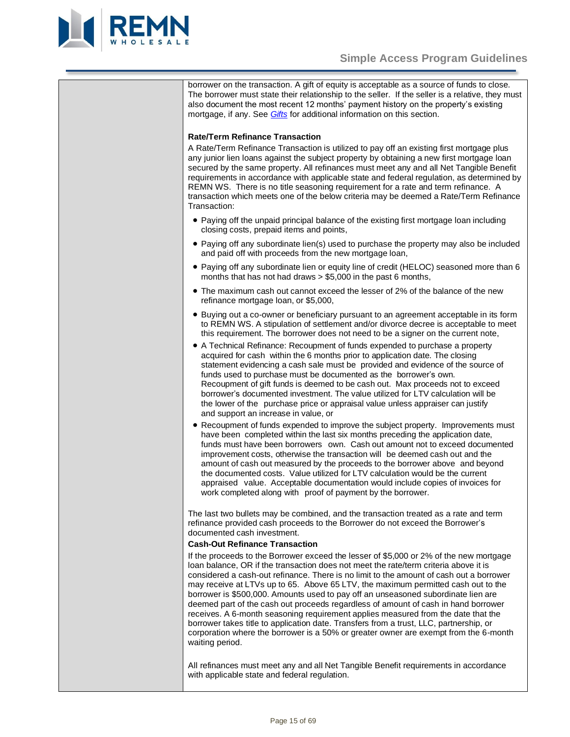

borrower on the transaction. A gift of equity is acceptable as a source of funds to close. The borrower must state their relationship to the seller. If the seller is a relative, they must also document the most recent 12 months' payment history on the property's existing mortgage, if any. See *[Gifts](#page-45-0)* for additional information on this section.

# **Rate/Term Refinance Transaction**

A Rate/Term Refinance Transaction is utilized to pay off an existing first mortgage plus any junior lien loans against the subject property by obtaining a new first mortgage loan secured by the same property. All refinances must meet any and all Net Tangible Benefit requirements in accordance with applicable state and federal regulation, as determined by REMN WS. There is no title seasoning requirement for a rate and term refinance. A transaction which meets one of the below criteria may be deemed a Rate/Term Refinance Transaction:

- Paying off the unpaid principal balance of the existing first mortgage loan including closing costs, prepaid items and points,
- Paying off any subordinate lien(s) used to purchase the property may also be included and paid off with proceeds from the new mortgage loan.
- Paying off any subordinate lien or equity line of credit (HELOC) seasoned more than 6 months that has not had draws > \$5,000 in the past 6 months,
- The maximum cash out cannot exceed the lesser of 2% of the balance of the new refinance mortgage loan, or \$5,000,
- Buying out a co-owner or beneficiary pursuant to an agreement acceptable in its form to REMN WS. A stipulation of settlement and/or divorce decree is acceptable to meet this requirement. The borrower does not need to be a signer on the current note,
- A Technical Refinance: Recoupment of funds expended to purchase a property acquired for cash within the 6 months prior to application date. The closing statement evidencing a cash sale must be provided and evidence of the source of funds used to purchase must be documented as the borrower's own. Recoupment of gift funds is deemed to be cash out. Max proceeds not to exceed borrower's documented investment. The value utilized for LTV calculation will be the lower of the purchase price or appraisal value unless appraiser can justify and support an increase in value, or
- Recoupment of funds expended to improve the subject property. Improvements must have been completed within the last six months preceding the application date, funds must have been borrowers own. Cash out amount not to exceed documented improvement costs, otherwise the transaction will be deemed cash out and the amount of cash out measured by the proceeds to the borrower above and beyond the documented costs. Value utilized for LTV calculation would be the current appraised value. Acceptable documentation would include copies of invoices for work completed along with proof of payment by the borrower.

The last two bullets may be combined, and the transaction treated as a rate and term refinance provided cash proceeds to the Borrower do not exceed the Borrower's documented cash investment.

#### **Cash-Out Refinance Transaction**

If the proceeds to the Borrower exceed the lesser of \$5,000 or 2% of the new mortgage loan balance, OR if the transaction does not meet the rate/term criteria above it is considered a cash-out refinance. There is no limit to the amount of cash out a borrower may receive at LTVs up to 65. Above 65 LTV, the maximum permitted cash out to the borrower is \$500,000. Amounts used to pay off an unseasoned subordinate lien are deemed part of the cash out proceeds regardless of amount of cash in hand borrower receives. A 6-month seasoning requirement applies measured from the date that the borrower takes title to application date. Transfers from a trust, LLC, partnership, or corporation where the borrower is a 50% or greater owner are exempt from the 6-month waiting period.

All refinances must meet any and all Net Tangible Benefit requirements in accordance with applicable state and federal regulation.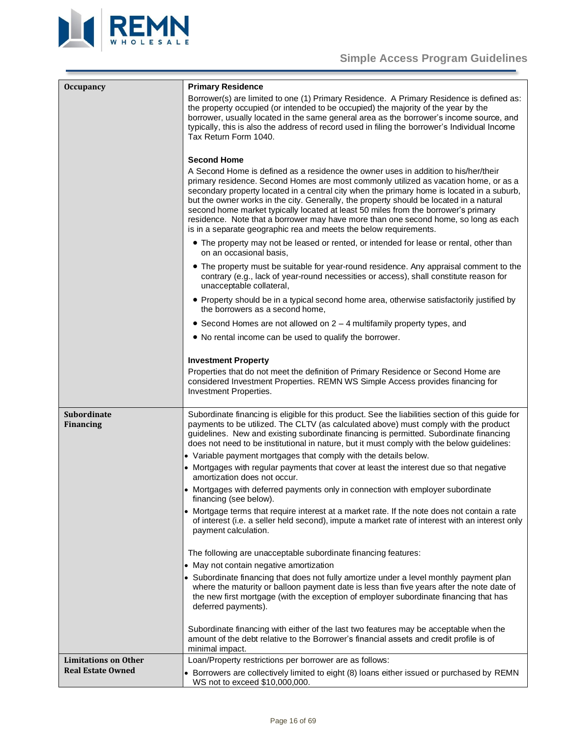

<span id="page-15-2"></span><span id="page-15-1"></span><span id="page-15-0"></span>

| <b>Occupancy</b>                | <b>Primary Residence</b>                                                                                                                                                                                                                                                                                                                                                                                                                                                                                                                                                                                                                     |
|---------------------------------|----------------------------------------------------------------------------------------------------------------------------------------------------------------------------------------------------------------------------------------------------------------------------------------------------------------------------------------------------------------------------------------------------------------------------------------------------------------------------------------------------------------------------------------------------------------------------------------------------------------------------------------------|
|                                 | Borrower(s) are limited to one (1) Primary Residence. A Primary Residence is defined as:<br>the property occupied (or intended to be occupied) the majority of the year by the<br>borrower, usually located in the same general area as the borrower's income source, and<br>typically, this is also the address of record used in filing the borrower's Individual Income<br>Tax Return Form 1040.                                                                                                                                                                                                                                          |
|                                 |                                                                                                                                                                                                                                                                                                                                                                                                                                                                                                                                                                                                                                              |
|                                 | <b>Second Home</b><br>A Second Home is defined as a residence the owner uses in addition to his/her/their<br>primary residence. Second Homes are most commonly utilized as vacation home, or as a<br>secondary property located in a central city when the primary home is located in a suburb,<br>but the owner works in the city. Generally, the property should be located in a natural<br>second home market typically located at least 50 miles from the borrower's primary<br>residence. Note that a borrower may have more than one second home, so long as each<br>is in a separate geographic rea and meets the below requirements. |
|                                 | • The property may not be leased or rented, or intended for lease or rental, other than<br>on an occasional basis,                                                                                                                                                                                                                                                                                                                                                                                                                                                                                                                           |
|                                 | • The property must be suitable for year-round residence. Any appraisal comment to the<br>contrary (e.g., lack of year-round necessities or access), shall constitute reason for<br>unacceptable collateral,                                                                                                                                                                                                                                                                                                                                                                                                                                 |
|                                 | • Property should be in a typical second home area, otherwise satisfactorily justified by<br>the borrowers as a second home,                                                                                                                                                                                                                                                                                                                                                                                                                                                                                                                 |
|                                 | • Second Homes are not allowed on $2 - 4$ multifamily property types, and                                                                                                                                                                                                                                                                                                                                                                                                                                                                                                                                                                    |
|                                 | • No rental income can be used to qualify the borrower.                                                                                                                                                                                                                                                                                                                                                                                                                                                                                                                                                                                      |
|                                 | <b>Investment Property</b>                                                                                                                                                                                                                                                                                                                                                                                                                                                                                                                                                                                                                   |
|                                 | Properties that do not meet the definition of Primary Residence or Second Home are<br>considered Investment Properties. REMN WS Simple Access provides financing for<br>Investment Properties.                                                                                                                                                                                                                                                                                                                                                                                                                                               |
| Subordinate<br><b>Financing</b> | Subordinate financing is eligible for this product. See the liabilities section of this guide for<br>payments to be utilized. The CLTV (as calculated above) must comply with the product<br>guidelines. New and existing subordinate financing is permitted. Subordinate financing<br>does not need to be institutional in nature, but it must comply with the below guidelines:                                                                                                                                                                                                                                                            |
|                                 | • Variable payment mortgages that comply with the details below.                                                                                                                                                                                                                                                                                                                                                                                                                                                                                                                                                                             |
|                                 | • Mortgages with regular payments that cover at least the interest due so that negative<br>amortization does not occur.                                                                                                                                                                                                                                                                                                                                                                                                                                                                                                                      |
|                                 | • Mortgages with deferred payments only in connection with employer subordinate<br>financing (see below).                                                                                                                                                                                                                                                                                                                                                                                                                                                                                                                                    |
|                                 | • Mortgage terms that require interest at a market rate. If the note does not contain a rate<br>of interest (i.e. a seller held second), impute a market rate of interest with an interest only<br>payment calculation.                                                                                                                                                                                                                                                                                                                                                                                                                      |
|                                 | The following are unacceptable subordinate financing features:                                                                                                                                                                                                                                                                                                                                                                                                                                                                                                                                                                               |
|                                 | • May not contain negative amortization                                                                                                                                                                                                                                                                                                                                                                                                                                                                                                                                                                                                      |
|                                 | • Subordinate financing that does not fully amortize under a level monthly payment plan<br>where the maturity or balloon payment date is less than five years after the note date of<br>the new first mortgage (with the exception of employer subordinate financing that has<br>deferred payments).                                                                                                                                                                                                                                                                                                                                         |
|                                 | Subordinate financing with either of the last two features may be acceptable when the<br>amount of the debt relative to the Borrower's financial assets and credit profile is of<br>minimal impact.                                                                                                                                                                                                                                                                                                                                                                                                                                          |
| <b>Limitations on Other</b>     | Loan/Property restrictions per borrower are as follows:                                                                                                                                                                                                                                                                                                                                                                                                                                                                                                                                                                                      |
| <b>Real Estate Owned</b>        | • Borrowers are collectively limited to eight (8) loans either issued or purchased by REMN<br>WS not to exceed \$10,000,000.                                                                                                                                                                                                                                                                                                                                                                                                                                                                                                                 |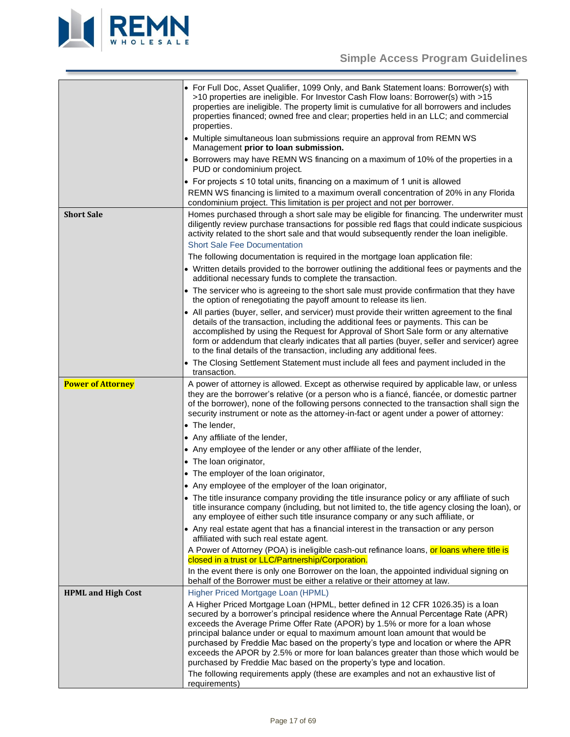

<span id="page-16-2"></span><span id="page-16-1"></span><span id="page-16-0"></span>

|                           | • For Full Doc, Asset Qualifier, 1099 Only, and Bank Statement loans: Borrower(s) with<br>>10 properties are ineligible. For Investor Cash Flow loans: Borrower(s) with >15<br>properties are ineligible. The property limit is cumulative for all borrowers and includes<br>properties financed; owned free and clear; properties held in an LLC; and commercial<br>properties.                                                                                                                                                                                                                                                                                                                                         |
|---------------------------|--------------------------------------------------------------------------------------------------------------------------------------------------------------------------------------------------------------------------------------------------------------------------------------------------------------------------------------------------------------------------------------------------------------------------------------------------------------------------------------------------------------------------------------------------------------------------------------------------------------------------------------------------------------------------------------------------------------------------|
|                           | • Multiple simultaneous loan submissions require an approval from REMN WS<br>Management prior to loan submission.                                                                                                                                                                                                                                                                                                                                                                                                                                                                                                                                                                                                        |
|                           | • Borrowers may have REMN WS financing on a maximum of 10% of the properties in a<br>PUD or condominium project.                                                                                                                                                                                                                                                                                                                                                                                                                                                                                                                                                                                                         |
|                           | • For projects $\leq 10$ total units, financing on a maximum of 1 unit is allowed                                                                                                                                                                                                                                                                                                                                                                                                                                                                                                                                                                                                                                        |
|                           | REMN WS financing is limited to a maximum overall concentration of 20% in any Florida<br>condominium project. This limitation is per project and not per borrower.                                                                                                                                                                                                                                                                                                                                                                                                                                                                                                                                                       |
| <b>Short Sale</b>         | Homes purchased through a short sale may be eligible for financing. The underwriter must<br>diligently review purchase transactions for possible red flags that could indicate suspicious<br>activity related to the short sale and that would subsequently render the loan ineligible.<br><b>Short Sale Fee Documentation</b>                                                                                                                                                                                                                                                                                                                                                                                           |
|                           | The following documentation is required in the mortgage loan application file:                                                                                                                                                                                                                                                                                                                                                                                                                                                                                                                                                                                                                                           |
|                           | • Written details provided to the borrower outlining the additional fees or payments and the<br>additional necessary funds to complete the transaction.                                                                                                                                                                                                                                                                                                                                                                                                                                                                                                                                                                  |
|                           | • The servicer who is agreeing to the short sale must provide confirmation that they have<br>the option of renegotiating the payoff amount to release its lien.                                                                                                                                                                                                                                                                                                                                                                                                                                                                                                                                                          |
|                           | • All parties (buyer, seller, and servicer) must provide their written agreement to the final<br>details of the transaction, including the additional fees or payments. This can be<br>accomplished by using the Request for Approval of Short Sale form or any alternative<br>form or addendum that clearly indicates that all parties (buyer, seller and servicer) agree<br>to the final details of the transaction, including any additional fees.                                                                                                                                                                                                                                                                    |
|                           | • The Closing Settlement Statement must include all fees and payment included in the<br>transaction.                                                                                                                                                                                                                                                                                                                                                                                                                                                                                                                                                                                                                     |
| <b>Power of Attorney</b>  | A power of attorney is allowed. Except as otherwise required by applicable law, or unless<br>they are the borrower's relative (or a person who is a fiancé, fiancée, or domestic partner<br>of the borrower), none of the following persons connected to the transaction shall sign the<br>security instrument or note as the attorney-in-fact or agent under a power of attorney:                                                                                                                                                                                                                                                                                                                                       |
|                           | • The lender,                                                                                                                                                                                                                                                                                                                                                                                                                                                                                                                                                                                                                                                                                                            |
|                           | • Any affiliate of the lender,                                                                                                                                                                                                                                                                                                                                                                                                                                                                                                                                                                                                                                                                                           |
|                           | • Any employee of the lender or any other affiliate of the lender,                                                                                                                                                                                                                                                                                                                                                                                                                                                                                                                                                                                                                                                       |
|                           | • The loan originator,                                                                                                                                                                                                                                                                                                                                                                                                                                                                                                                                                                                                                                                                                                   |
|                           | • The employer of the loan originator,                                                                                                                                                                                                                                                                                                                                                                                                                                                                                                                                                                                                                                                                                   |
|                           | • Any employee of the employer of the loan originator,                                                                                                                                                                                                                                                                                                                                                                                                                                                                                                                                                                                                                                                                   |
|                           | • The title insurance company providing the title insurance policy or any affiliate of such<br>title insurance company (including, but not limited to, the title agency closing the loan), or<br>any employee of either such title insurance company or any such affiliate, or                                                                                                                                                                                                                                                                                                                                                                                                                                           |
|                           | • Any real estate agent that has a financial interest in the transaction or any person<br>affiliated with such real estate agent.                                                                                                                                                                                                                                                                                                                                                                                                                                                                                                                                                                                        |
|                           | A Power of Attorney (POA) is ineligible cash-out refinance loans, or loans where title is<br>closed in a trust or LLC/Partnership/Corporation.                                                                                                                                                                                                                                                                                                                                                                                                                                                                                                                                                                           |
|                           | In the event there is only one Borrower on the loan, the appointed individual signing on<br>behalf of the Borrower must be either a relative or their attorney at law.                                                                                                                                                                                                                                                                                                                                                                                                                                                                                                                                                   |
| <b>HPML and High Cost</b> | Higher Priced Mortgage Loan (HPML)<br>A Higher Priced Mortgage Loan (HPML, better defined in 12 CFR 1026.35) is a loan<br>secured by a borrower's principal residence where the Annual Percentage Rate (APR)<br>exceeds the Average Prime Offer Rate (APOR) by 1.5% or more for a loan whose<br>principal balance under or equal to maximum amount loan amount that would be<br>purchased by Freddie Mac based on the property's type and location or where the APR<br>exceeds the APOR by 2.5% or more for loan balances greater than those which would be<br>purchased by Freddie Mac based on the property's type and location.<br>The following requirements apply (these are examples and not an exhaustive list of |
|                           | requirements)                                                                                                                                                                                                                                                                                                                                                                                                                                                                                                                                                                                                                                                                                                            |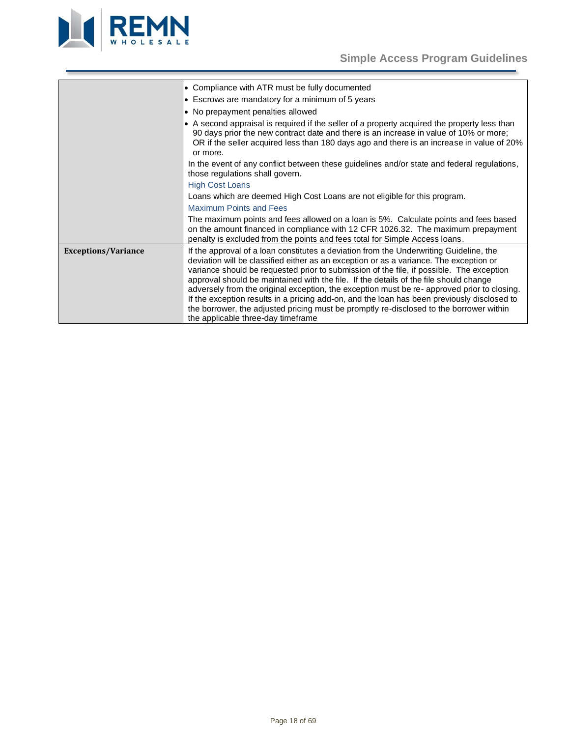

<span id="page-17-0"></span>

| • Compliance with ATR must be fully documented                                                                                                                                                                                                                                                                                                                                                                                                                                                                                                                                                                                                                                                      |
|-----------------------------------------------------------------------------------------------------------------------------------------------------------------------------------------------------------------------------------------------------------------------------------------------------------------------------------------------------------------------------------------------------------------------------------------------------------------------------------------------------------------------------------------------------------------------------------------------------------------------------------------------------------------------------------------------------|
| • Escrows are mandatory for a minimum of 5 years                                                                                                                                                                                                                                                                                                                                                                                                                                                                                                                                                                                                                                                    |
| • No prepayment penalties allowed                                                                                                                                                                                                                                                                                                                                                                                                                                                                                                                                                                                                                                                                   |
| • A second appraisal is required if the seller of a property acquired the property less than<br>90 days prior the new contract date and there is an increase in value of 10% or more;<br>OR if the seller acquired less than 180 days ago and there is an increase in value of 20%<br>or more.                                                                                                                                                                                                                                                                                                                                                                                                      |
| In the event of any conflict between these guidelines and/or state and federal regulations,<br>those regulations shall govern.                                                                                                                                                                                                                                                                                                                                                                                                                                                                                                                                                                      |
| <b>High Cost Loans</b>                                                                                                                                                                                                                                                                                                                                                                                                                                                                                                                                                                                                                                                                              |
| Loans which are deemed High Cost Loans are not eligible for this program.                                                                                                                                                                                                                                                                                                                                                                                                                                                                                                                                                                                                                           |
| <b>Maximum Points and Fees</b>                                                                                                                                                                                                                                                                                                                                                                                                                                                                                                                                                                                                                                                                      |
| The maximum points and fees allowed on a loan is 5%. Calculate points and fees based<br>on the amount financed in compliance with 12 CFR 1026.32. The maximum prepayment<br>penalty is excluded from the points and fees total for Simple Access Ioans.                                                                                                                                                                                                                                                                                                                                                                                                                                             |
| If the approval of a loan constitutes a deviation from the Underwriting Guideline, the<br>deviation will be classified either as an exception or as a variance. The exception or<br>variance should be requested prior to submission of the file, if possible. The exception<br>approval should be maintained with the file. If the details of the file should change<br>adversely from the original exception, the exception must be re-approved prior to closing.<br>If the exception results in a pricing add-on, and the loan has been previously disclosed to<br>the borrower, the adjusted pricing must be promptly re-disclosed to the borrower within<br>the applicable three-day timeframe |
|                                                                                                                                                                                                                                                                                                                                                                                                                                                                                                                                                                                                                                                                                                     |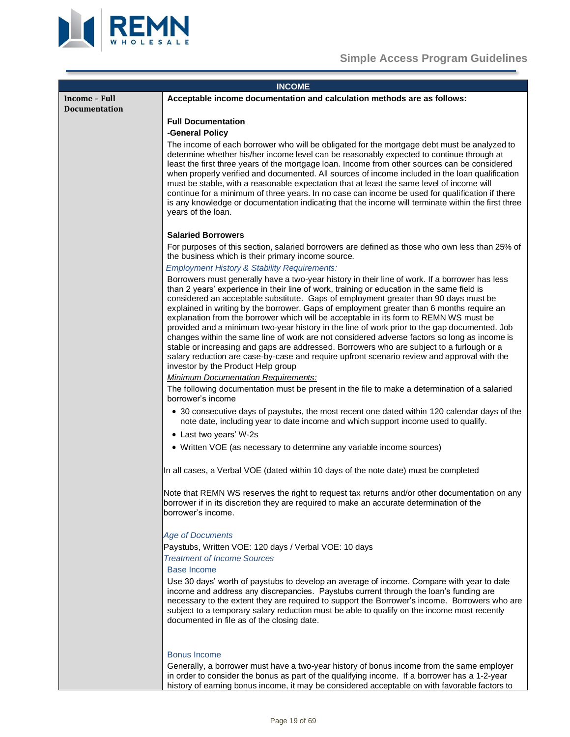



<span id="page-18-2"></span><span id="page-18-1"></span><span id="page-18-0"></span>

|                      | <b>INCOME</b>                                                                                                                                                                                                                                                                                                                                                                                                                                                                                                                                                                                                                                                                                                                                                                                                                                                                                                |  |
|----------------------|--------------------------------------------------------------------------------------------------------------------------------------------------------------------------------------------------------------------------------------------------------------------------------------------------------------------------------------------------------------------------------------------------------------------------------------------------------------------------------------------------------------------------------------------------------------------------------------------------------------------------------------------------------------------------------------------------------------------------------------------------------------------------------------------------------------------------------------------------------------------------------------------------------------|--|
| Income - Full        | Acceptable income documentation and calculation methods are as follows:                                                                                                                                                                                                                                                                                                                                                                                                                                                                                                                                                                                                                                                                                                                                                                                                                                      |  |
| <b>Documentation</b> |                                                                                                                                                                                                                                                                                                                                                                                                                                                                                                                                                                                                                                                                                                                                                                                                                                                                                                              |  |
|                      | <b>Full Documentation</b>                                                                                                                                                                                                                                                                                                                                                                                                                                                                                                                                                                                                                                                                                                                                                                                                                                                                                    |  |
|                      | -General Policy                                                                                                                                                                                                                                                                                                                                                                                                                                                                                                                                                                                                                                                                                                                                                                                                                                                                                              |  |
|                      | The income of each borrower who will be obligated for the mortgage debt must be analyzed to<br>determine whether his/her income level can be reasonably expected to continue through at<br>least the first three years of the mortgage loan. Income from other sources can be considered<br>when properly verified and documented. All sources of income included in the loan qualification<br>must be stable, with a reasonable expectation that at least the same level of income will<br>continue for a minimum of three years. In no case can income be used for qualification if there<br>is any knowledge or documentation indicating that the income will terminate within the first three<br>years of the loan.                                                                                                                                                                                      |  |
|                      | <b>Salaried Borrowers</b>                                                                                                                                                                                                                                                                                                                                                                                                                                                                                                                                                                                                                                                                                                                                                                                                                                                                                    |  |
|                      | For purposes of this section, salaried borrowers are defined as those who own less than 25% of<br>the business which is their primary income source.                                                                                                                                                                                                                                                                                                                                                                                                                                                                                                                                                                                                                                                                                                                                                         |  |
|                      | <b>Employment History &amp; Stability Requirements:</b>                                                                                                                                                                                                                                                                                                                                                                                                                                                                                                                                                                                                                                                                                                                                                                                                                                                      |  |
|                      | Borrowers must generally have a two-year history in their line of work. If a borrower has less<br>than 2 years' experience in their line of work, training or education in the same field is<br>considered an acceptable substitute. Gaps of employment greater than 90 days must be<br>explained in writing by the borrower. Gaps of employment greater than 6 months require an<br>explanation from the borrower which will be acceptable in its form to REMN WS must be<br>provided and a minimum two-year history in the line of work prior to the gap documented. Job<br>changes within the same line of work are not considered adverse factors so long as income is<br>stable or increasing and gaps are addressed. Borrowers who are subject to a furlough or a<br>salary reduction are case-by-case and require upfront scenario review and approval with the<br>investor by the Product Help group |  |
|                      | <b>Minimum Documentation Requirements:</b>                                                                                                                                                                                                                                                                                                                                                                                                                                                                                                                                                                                                                                                                                                                                                                                                                                                                   |  |
|                      | The following documentation must be present in the file to make a determination of a salaried<br>borrower's income                                                                                                                                                                                                                                                                                                                                                                                                                                                                                                                                                                                                                                                                                                                                                                                           |  |
|                      | • 30 consecutive days of paystubs, the most recent one dated within 120 calendar days of the<br>note date, including year to date income and which support income used to qualify.                                                                                                                                                                                                                                                                                                                                                                                                                                                                                                                                                                                                                                                                                                                           |  |
|                      | • Last two years' W-2s                                                                                                                                                                                                                                                                                                                                                                                                                                                                                                                                                                                                                                                                                                                                                                                                                                                                                       |  |
|                      | • Written VOE (as necessary to determine any variable income sources)                                                                                                                                                                                                                                                                                                                                                                                                                                                                                                                                                                                                                                                                                                                                                                                                                                        |  |
|                      | In all cases, a Verbal VOE (dated within 10 days of the note date) must be completed                                                                                                                                                                                                                                                                                                                                                                                                                                                                                                                                                                                                                                                                                                                                                                                                                         |  |
|                      | Note that REMN WS reserves the right to request tax returns and/or other documentation on any<br>borrower if in its discretion they are required to make an accurate determination of the<br>borrower's income.                                                                                                                                                                                                                                                                                                                                                                                                                                                                                                                                                                                                                                                                                              |  |
|                      | <b>Age of Documents</b>                                                                                                                                                                                                                                                                                                                                                                                                                                                                                                                                                                                                                                                                                                                                                                                                                                                                                      |  |
|                      | Paystubs, Written VOE: 120 days / Verbal VOE: 10 days                                                                                                                                                                                                                                                                                                                                                                                                                                                                                                                                                                                                                                                                                                                                                                                                                                                        |  |
|                      | <b>Treatment of Income Sources</b>                                                                                                                                                                                                                                                                                                                                                                                                                                                                                                                                                                                                                                                                                                                                                                                                                                                                           |  |
|                      | <b>Base Income</b>                                                                                                                                                                                                                                                                                                                                                                                                                                                                                                                                                                                                                                                                                                                                                                                                                                                                                           |  |
|                      | Use 30 days' worth of paystubs to develop an average of income. Compare with year to date<br>income and address any discrepancies. Paystubs current through the loan's funding are<br>necessary to the extent they are required to support the Borrower's income. Borrowers who are<br>subject to a temporary salary reduction must be able to qualify on the income most recently<br>documented in file as of the closing date.                                                                                                                                                                                                                                                                                                                                                                                                                                                                             |  |
|                      |                                                                                                                                                                                                                                                                                                                                                                                                                                                                                                                                                                                                                                                                                                                                                                                                                                                                                                              |  |
|                      | <b>Bonus Income</b><br>Generally, a borrower must have a two-year history of bonus income from the same employer<br>in order to consider the bonus as part of the qualifying income. If a borrower has a 1-2-year<br>history of earning bonus income, it may be considered acceptable on with favorable factors to                                                                                                                                                                                                                                                                                                                                                                                                                                                                                                                                                                                           |  |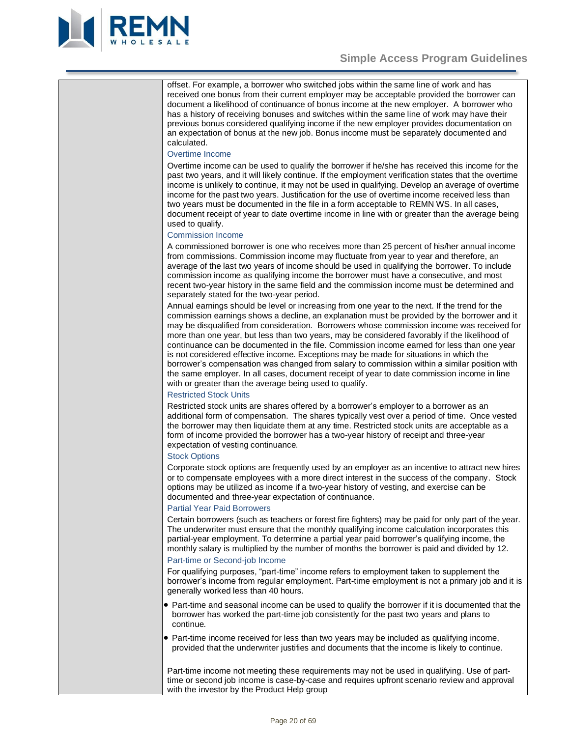

offset. For example, a borrower who switched jobs within the same line of work and has received one bonus from their current employer may be acceptable provided the borrower can document a likelihood of continuance of bonus income at the new employer. A borrower who has a history of receiving bonuses and switches within the same line of work may have their previous bonus considered qualifying income if the new employer provides documentation on an expectation of bonus at the new job. Bonus income must be separately documented and calculated.

### Overtime Income

Overtime income can be used to qualify the borrower if he/she has received this income for the past two years, and it will likely continue. If the employment verification states that the overtime income is unlikely to continue, it may not be used in qualifying. Develop an average of overtime income for the past two years. Justification for the use of overtime income received less than two years must be documented in the file in a form acceptable to REMN WS. In all cases, document receipt of year to date overtime income in line with or greater than the average being used to qualify.

### Commission Income

A commissioned borrower is one who receives more than 25 percent of his/her annual income from commissions. Commission income may fluctuate from year to year and therefore, an average of the last two years of income should be used in qualifying the borrower. To include commission income as qualifying income the borrower must have a consecutive, and most recent two-year history in the same field and the commission income must be determined and separately stated for the two-year period.

Annual earnings should be level or increasing from one year to the next. If the trend for the commission earnings shows a decline, an explanation must be provided by the borrower and it may be disqualified from consideration. Borrowers whose commission income was received for more than one year, but less than two years, may be considered favorably if the likelihood of continuance can be documented in the file. Commission income earned for less than one year is not considered effective income. Exceptions may be made for situations in which the borrower's compensation was changed from salary to commission within a similar position with the same employer. In all cases, document receipt of year to date commission income in line with or greater than the average being used to qualify.

# Restricted Stock Units

Restricted stock units are shares offered by a borrower's employer to a borrower as an additional form of compensation. The shares typically vest over a period of time. Once vested the borrower may then liquidate them at any time. Restricted stock units are acceptable as a form of income provided the borrower has a two-year history of receipt and three-year expectation of vesting continuance.

# Stock Options

Corporate stock options are frequently used by an employer as an incentive to attract new hires or to compensate employees with a more direct interest in the success of the company. Stock options may be utilized as income if a two-year history of vesting, and exercise can be documented and three-year expectation of continuance.

#### Partial Year Paid Borrowers

Certain borrowers (such as teachers or forest fire fighters) may be paid for only part of the year. The underwriter must ensure that the monthly qualifying income calculation incorporates this partial-year employment. To determine a partial year paid borrower's qualifying income, the monthly salary is multiplied by the number of months the borrower is paid and divided by 12.

#### Part-time or Second-job Income

For qualifying purposes, "part-time" income refers to employment taken to supplement the borrower's income from regular employment. Part-time employment is not a primary job and it is generally worked less than 40 hours.

- Part-time and seasonal income can be used to qualify the borrower if it is documented that the borrower has worked the part-time job consistently for the past two years and plans to continue.
- Part-time income received for less than two years may be included as qualifying income, provided that the underwriter justifies and documents that the income is likely to continue.

Part-time income not meeting these requirements may not be used in qualifying. Use of parttime or second job income is case-by-case and requires upfront scenario review and approval with the investor by the Product Help group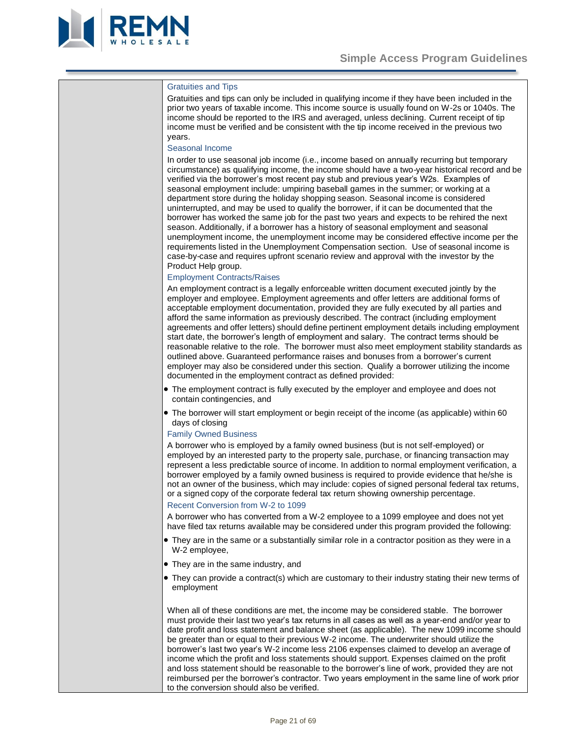

#### Gratuities and Tips

Gratuities and tips can only be included in qualifying income if they have been included in the prior two years of taxable income. This income source is usually found on W-2s or 1040s. The income should be reported to the IRS and averaged, unless declining. Current receipt of tip income must be verified and be consistent with the tip income received in the previous two years.

#### Seasonal Income

In order to use seasonal job income (i.e., income based on annually recurring but temporary circumstance) as qualifying income, the income should have a two-year historical record and be verified via the borrower's most recent pay stub and previous year's W2s. Examples of seasonal employment include: umpiring baseball games in the summer; or working at a department store during the holiday shopping season. Seasonal income is considered uninterrupted, and may be used to qualify the borrower, if it can be documented that the borrower has worked the same job for the past two years and expects to be rehired the next season. Additionally, if a borrower has a history of seasonal employment and seasonal unemployment income, the unemployment income may be considered effective income per the requirements listed in the Unemployment Compensation section. Use of seasonal income is case-by-case and requires upfront scenario review and approval with the investor by the Product Help group.

#### Employment Contracts/Raises

An employment contract is a legally enforceable written document executed jointly by the employer and employee. Employment agreements and offer letters are additional forms of acceptable employment documentation, provided they are fully executed by all parties and afford the same information as previously described. The contract (including employment agreements and offer letters) should define pertinent employment details including employment start date, the borrower's length of employment and salary. The contract terms should be reasonable relative to the role. The borrower must also meet employment stability standards as outlined above. Guaranteed performance raises and bonuses from a borrower's current employer may also be considered under this section. Qualify a borrower utilizing the income documented in the employment contract as defined provided:

- The employment contract is fully executed by the employer and employee and does not contain contingencies, and
- The borrower will start employment or begin receipt of the income (as applicable) within 60 days of closing

#### Family Owned Business

A borrower who is employed by a family owned business (but is not self-employed) or employed by an interested party to the property sale, purchase, or financing transaction may represent a less predictable source of income. In addition to normal employment verification, a borrower employed by a family owned business is required to provide evidence that he/she is not an owner of the business, which may include: copies of signed personal federal tax returns, or a signed copy of the corporate federal tax return showing ownership percentage. Recent Conversion from W-2 to 1099

A borrower who has converted from a W-2 employee to a 1099 employee and does not yet have filed tax returns available may be considered under this program provided the following:

- They are in the same or a substantially similar role in a contractor position as they were in a W-2 employee,
- They are in the same industry, and
- They can provide a contract(s) which are customary to their industry stating their new terms of employment

When all of these conditions are met, the income may be considered stable. The borrower must provide their last two year's tax returns in all cases as well as a year-end and/or year to date profit and loss statement and balance sheet (as applicable). The new 1099 income should be greater than or equal to their previous W-2 income. The underwriter should utilize the borrower's last two year's W-2 income less 2106 expenses claimed to develop an average of income which the profit and loss statements should support. Expenses claimed on the profit and loss statement should be reasonable to the borrower's line of work, provided they are not reimbursed per the borrower's contractor. Two years employment in the same line of work prior to the conversion should also be verified.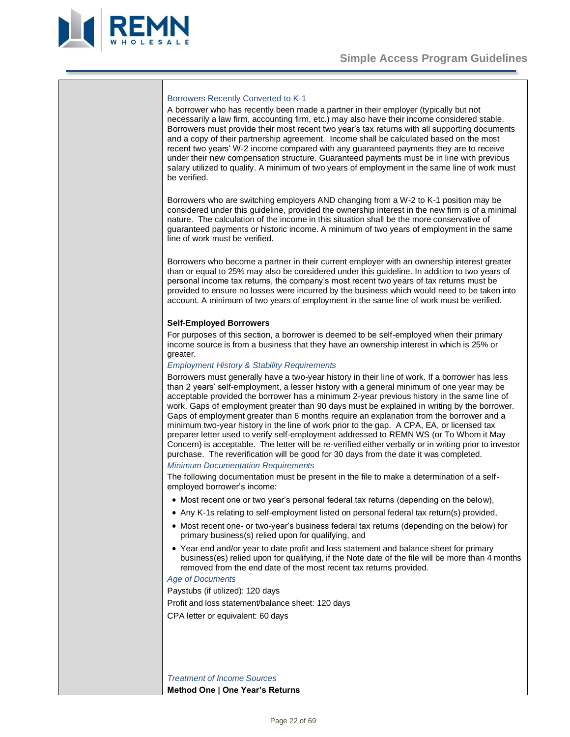

#### Borrowers Recently Converted to K-1

A borrower who has recently been made a partner in their employer (typically but not necessarily a law firm, accounting firm, etc.) may also have their income considered stable. Borrowers must provide their most recent two year's tax returns with all supporting documents and a copy of their partnership agreement. Income shall be calculated based on the most recent two years' W-2 income compared with any guaranteed payments they are to receive under their new compensation structure. Guaranteed payments must be in line with previous salary utilized to qualify. A minimum of two years of employment in the same line of work must be verified.

Borrowers who are switching employers AND changing from a W-2 to K-1 position may be considered under this guideline, provided the ownership interest in the new firm is of a minimal nature. The calculation of the income in this situation shall be the more conservative of guaranteed payments or historic income. A minimum of two years of employment in the same line of work must be verified.

Borrowers who become a partner in their current employer with an ownership interest greater than or equal to 25% may also be considered under this guideline. In addition to two years of personal income tax returns, the company's most recent two years of tax returns must be provided to ensure no losses were incurred by the business which would need to be taken into account. A minimum of two years of employment in the same line of work must be verified.

### <span id="page-21-0"></span>**Self-Employed Borrowers**

For purposes of this section, a borrower is deemed to be self-employed when their primary income source is from a business that they have an ownership interest in which is 25% or greater.

# *Employment History & Stability Requirements*

Borrowers must generally have a two-year history in their line of work. If a borrower has less than 2 years' self-employment, a lesser history with a general minimum of one year may be acceptable provided the borrower has a minimum 2-year previous history in the same line of work. Gaps of employment greater than 90 days must be explained in writing by the borrower. Gaps of employment greater than 6 months require an explanation from the borrower and a minimum two-year history in the line of work prior to the gap. A CPA, EA, or licensed tax preparer letter used to verify self-employment addressed to REMN WS (or To Whom it May Concern) is acceptable. The letter will be re-verified either verbally or in writing prior to investor purchase. The reverification will be good for 30 days from the date it was completed. *Minimum Documentation Requirements*

The following documentation must be present in the file to make a determination of a selfemployed borrower's income:

- Most recent one or two year's personal federal tax returns (depending on the below),
- Any K-1s relating to self-employment listed on personal federal tax return(s) provided,
- Most recent one- or two-year's business federal tax returns (depending on the below) for primary business(s) relied upon for qualifying, and
- Year end and/or year to date profit and loss statement and balance sheet for primary business(es) relied upon for qualifying, if the Note date of the file will be more than 4 months removed from the end date of the most recent tax returns provided.

#### *Age of Documents*

Paystubs (if utilized): 120 days Profit and loss statement/balance sheet: 120 days CPA letter or equivalent: 60 days

*Treatment of Income Sources* **Method One | One Year's Returns**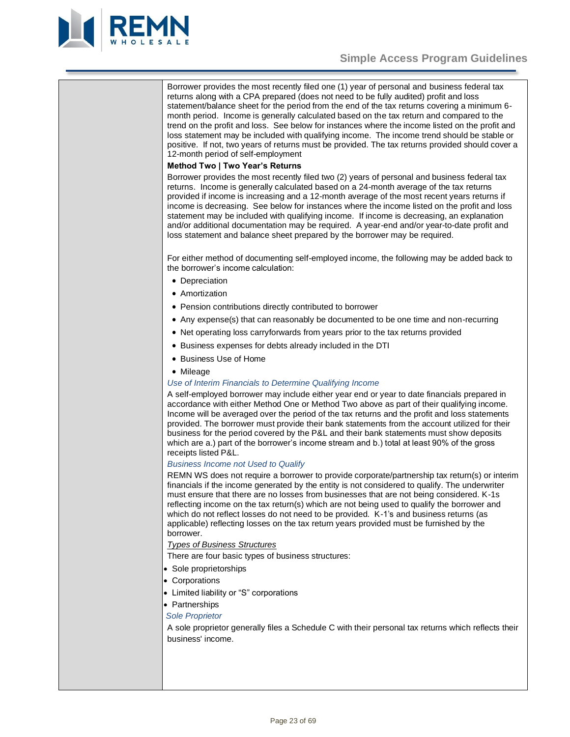

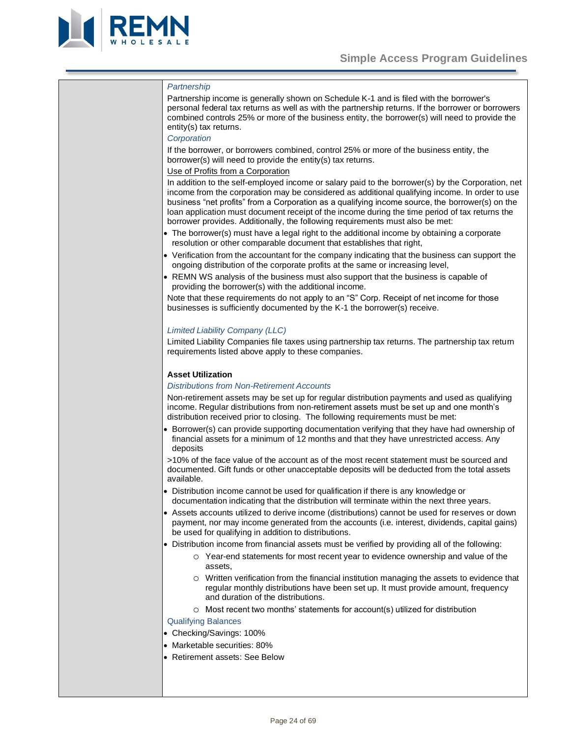

# *Partnership*

Partnership income is generally shown on Schedule K-1 and is filed with the borrower's personal federal tax returns as well as with the partnership returns. If the borrower or borrowers combined controls 25% or more of the business entity, the borrower(s) will need to provide the entity(s) tax returns.

#### *Corporation*

If the borrower, or borrowers combined, control 25% or more of the business entity, the borrower(s) will need to provide the entity(s) tax returns.

#### Use of Profits from a Corporation

In addition to the self-employed income or salary paid to the borrower(s) by the Corporation, net income from the corporation may be considered as additional qualifying income. In order to use business "net profits" from a Corporation as a qualifying income source, the borrower(s) on the loan application must document receipt of the income during the time period of tax returns the borrower provides. Additionally, the following requirements must also be met:

- The borrower(s) must have a legal right to the additional income by obtaining a corporate resolution or other comparable document that establishes that right,
- Verification from the accountant for the company indicating that the business can support the ongoing distribution of the corporate profits at the same or increasing level,
- REMN WS analysis of the business must also support that the business is capable of providing the borrower(s) with the additional income.

Note that these requirements do not apply to an "S" Corp. Receipt of net income for those businesses is sufficiently documented by the K-1 the borrower(s) receive.

#### *Limited Liability Company (LLC)*

Limited Liability Companies file taxes using partnership tax returns. The partnership tax return requirements listed above apply to these companies.

# <span id="page-23-0"></span>**Asset Utilization**

#### *Distributions from Non-Retirement Accounts*

Non-retirement assets may be set up for regular distribution payments and used as qualifying income. Regular distributions from non-retirement assets must be set up and one month's distribution received prior to closing. The following requirements must be met:

• Borrower(s) can provide supporting documentation verifying that they have had ownership of financial assets for a minimum of 12 months and that they have unrestricted access. Any deposits

>10% of the face value of the account as of the most recent statement must be sourced and documented. Gift funds or other unacceptable deposits will be deducted from the total assets available.

- Distribution income cannot be used for qualification if there is any knowledge or documentation indicating that the distribution will terminate within the next three years.
- Assets accounts utilized to derive income (distributions) cannot be used for reserves or down payment, nor may income generated from the accounts (i.e. interest, dividends, capital gains) be used for qualifying in addition to distributions.
- Distribution income from financial assets must be verified by providing all of the following:
	- o Year-end statements for most recent year to evidence ownership and value of the assets,
	- o Written verification from the financial institution managing the assets to evidence that regular monthly distributions have been set up. It must provide amount, frequency and duration of the distributions.
	- o Most recent two months' statements for account(s) utilized for distribution

Qualifying Balances

- Checking/Savings: 100%
- Marketable securities: 80%
- Retirement assets: See Below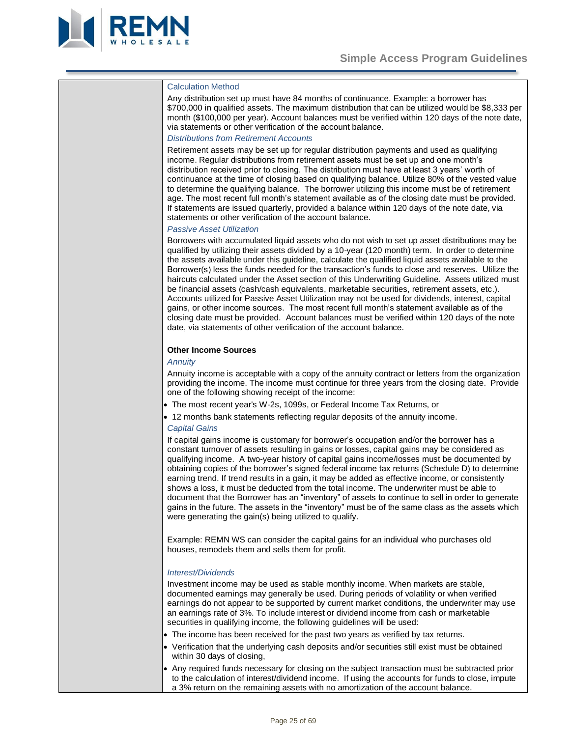

#### Calculation Method

Any distribution set up must have 84 months of continuance. Example: a borrower has \$700,000 in qualified assets. The maximum distribution that can be utilized would be \$8,333 per month (\$100,000 per year). Account balances must be verified within 120 days of the note date, via statements or other verification of the account balance.

#### *Distributions from Retirement Accounts*

Retirement assets may be set up for regular distribution payments and used as qualifying income. Regular distributions from retirement assets must be set up and one month's distribution received prior to closing. The distribution must have at least 3 years' worth of continuance at the time of closing based on qualifying balance. Utilize 80% of the vested value to determine the qualifying balance. The borrower utilizing this income must be of retirement age. The most recent full month's statement available as of the closing date must be provided. If statements are issued quarterly, provided a balance within 120 days of the note date, via statements or other verification of the account balance.

#### *Passive Asset Utilization*

Borrowers with accumulated liquid assets who do not wish to set up asset distributions may be qualified by utilizing their assets divided by a 10-year (120 month) term. In order to determine the assets available under this guideline, calculate the qualified liquid assets available to the Borrower(s) less the funds needed for the transaction's funds to close and reserves. Utilize the haircuts calculated under the Asset section of this Underwriting Guideline. Assets utilized must be financial assets (cash/cash equivalents, marketable securities, retirement assets, etc.). Accounts utilized for Passive Asset Utilization may not be used for dividends, interest, capital gains, or other income sources. The most recent full month's statement available as of the closing date must be provided. Account balances must be verified within 120 days of the note date, via statements of other verification of the account balance.

#### <span id="page-24-0"></span>**Other Income Sources**

#### *Annuity*

Annuity income is acceptable with a copy of the annuity contract or letters from the organization providing the income. The income must continue for three years from the closing date. Provide one of the following showing receipt of the income:

- The most recent year's W-2s, 1099s, or Federal Income Tax Returns, or
- 12 months bank statements reflecting regular deposits of the annuity income.

#### *Capital Gains*

If capital gains income is customary for borrower's occupation and/or the borrower has a constant turnover of assets resulting in gains or losses, capital gains may be considered as qualifying income. A two-year history of capital gains income/losses must be documented by obtaining copies of the borrower's signed federal income tax returns (Schedule D) to determine earning trend. If trend results in a gain, it may be added as effective income, or consistently shows a loss, it must be deducted from the total income. The underwriter must be able to document that the Borrower has an "inventory" of assets to continue to sell in order to generate gains in the future. The assets in the "inventory" must be of the same class as the assets which were generating the gain(s) being utilized to qualify.

Example: REMN WS can consider the capital gains for an individual who purchases old houses, remodels them and sells them for profit.

#### *Interest/Dividends*

Investment income may be used as stable monthly income. When markets are stable, documented earnings may generally be used. During periods of volatility or when verified earnings do not appear to be supported by current market conditions, the underwriter may use an earnings rate of 3%. To include interest or dividend income from cash or marketable securities in qualifying income, the following guidelines will be used:

- The income has been received for the past two years as verified by tax returns.
- Verification that the underlying cash deposits and/or securities still exist must be obtained within 30 days of closing,
- Any required funds necessary for closing on the subject transaction must be subtracted prior to the calculation of interest/dividend income. If using the accounts for funds to close, impute a 3% return on the remaining assets with no amortization of the account balance.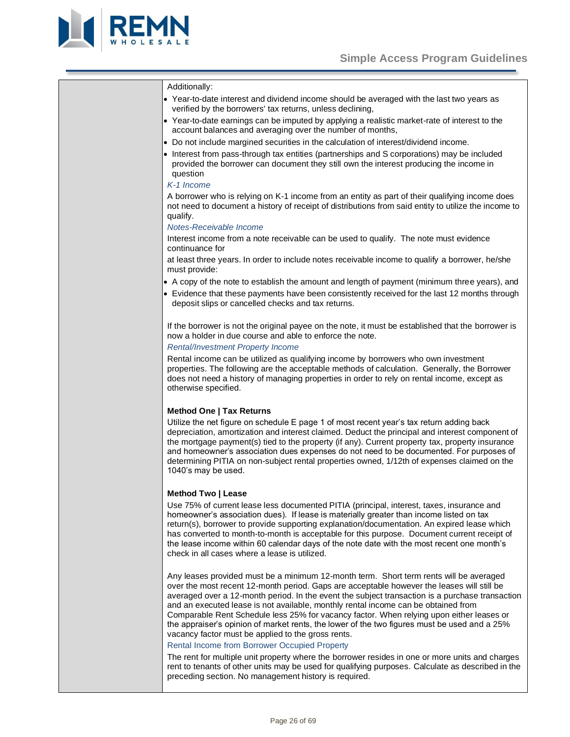

#### Additionally:

- Year-to-date interest and dividend income should be averaged with the last two years as verified by the borrowers' tax returns, unless declining,
- Year-to-date earnings can be imputed by applying a realistic market-rate of interest to the account balances and averaging over the number of months,
- Do not include margined securities in the calculation of interest/dividend income.
- Interest from pass-through tax entities (partnerships and S corporations) may be included provided the borrower can document they still own the interest producing the income in question

# *K-1 Income*

A borrower who is relying on K-1 income from an entity as part of their qualifying income does not need to document a history of receipt of distributions from said entity to utilize the income to qualify.

#### *Notes-Receivable Income*

Interest income from a note receivable can be used to qualify. The note must evidence continuance for

at least three years. In order to include notes receivable income to qualify a borrower, he/she must provide:

- A copy of the note to establish the amount and length of payment (minimum three years), and
- Evidence that these payments have been consistently received for the last 12 months through deposit slips or cancelled checks and tax returns.

If the borrower is not the original payee on the note, it must be established that the borrower is now a holder in due course and able to enforce the note.

# *Rental/Investment Property Income*

Rental income can be utilized as qualifying income by borrowers who own investment properties. The following are the acceptable methods of calculation. Generally, the Borrower does not need a history of managing properties in order to rely on rental income, except as otherwise specified.

#### **Method One | Tax Returns**

Utilize the net figure on schedule E page 1 of most recent year's tax return adding back depreciation, amortization and interest claimed. Deduct the principal and interest component of the mortgage payment(s) tied to the property (if any). Current property tax, property insurance and homeowner's association dues expenses do not need to be documented. For purposes of determining PITIA on non-subject rental properties owned, 1/12th of expenses claimed on the 1040's may be used.

#### **Method Two | Lease**

Use 75% of current lease less documented PITIA (principal, interest, taxes, insurance and homeowner's association dues). If lease is materially greater than income listed on tax return(s), borrower to provide supporting explanation/documentation. An expired lease which has converted to month-to-month is acceptable for this purpose. Document current receipt of the lease income within 60 calendar days of the note date with the most recent one month's check in all cases where a lease is utilized.

Any leases provided must be a minimum 12-month term. Short term rents will be averaged over the most recent 12-month period. Gaps are acceptable however the leases will still be averaged over a 12-month period. In the event the subject transaction is a purchase transaction and an executed lease is not available, monthly rental income can be obtained from Comparable Rent Schedule less 25% for vacancy factor. When relying upon either leases or the appraiser's opinion of market rents, the lower of the two figures must be used and a 25% vacancy factor must be applied to the gross rents.

#### Rental Income from Borrower Occupied Property

The rent for multiple unit property where the borrower resides in one or more units and charges rent to tenants of other units may be used for qualifying purposes. Calculate as described in the preceding section. No management history is required.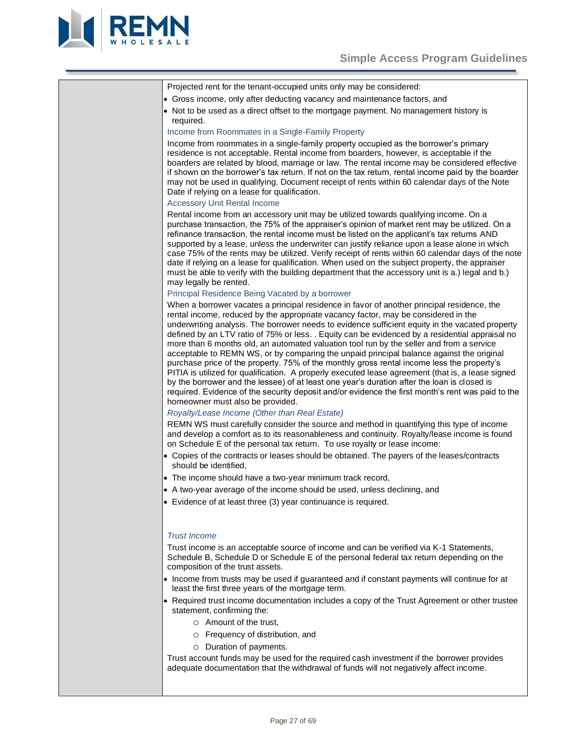

| Projected rent for the tenant-occupied units only may be considered:                                                                                                                                                                                                                                                                                                                                                                                                                                                                                                                                                                                                                                                                                                                                                                                                                                                        |
|-----------------------------------------------------------------------------------------------------------------------------------------------------------------------------------------------------------------------------------------------------------------------------------------------------------------------------------------------------------------------------------------------------------------------------------------------------------------------------------------------------------------------------------------------------------------------------------------------------------------------------------------------------------------------------------------------------------------------------------------------------------------------------------------------------------------------------------------------------------------------------------------------------------------------------|
| • Gross income, only after deducting vacancy and maintenance factors, and                                                                                                                                                                                                                                                                                                                                                                                                                                                                                                                                                                                                                                                                                                                                                                                                                                                   |
| • Not to be used as a direct offset to the mortgage payment. No management history is<br>required.                                                                                                                                                                                                                                                                                                                                                                                                                                                                                                                                                                                                                                                                                                                                                                                                                          |
| Income from Roommates in a Single-Family Property                                                                                                                                                                                                                                                                                                                                                                                                                                                                                                                                                                                                                                                                                                                                                                                                                                                                           |
| Income from roommates in a single-family property occupied as the borrower's primary<br>residence is not acceptable. Rental income from boarders, however, is acceptable if the<br>boarders are related by blood, marriage or law. The rental income may be considered effective<br>if shown on the borrower's tax return. If not on the tax return, rental income paid by the boarder<br>may not be used in qualifying. Document receipt of rents within 60 calendar days of the Note<br>Date if relying on a lease for qualification.<br><b>Accessory Unit Rental Income</b>                                                                                                                                                                                                                                                                                                                                              |
| Rental income from an accessory unit may be utilized towards qualifying income. On a                                                                                                                                                                                                                                                                                                                                                                                                                                                                                                                                                                                                                                                                                                                                                                                                                                        |
| purchase transaction, the 75% of the appraiser's opinion of market rent may be utilized. On a<br>refinance transaction, the rental income must be listed on the applicant's tax returns AND<br>supported by a lease, unless the underwriter can justify reliance upon a lease alone in which<br>case 75% of the rents may be utilized. Verify receipt of rents within 60 calendar days of the note<br>date if relying on a lease for qualification. When used on the subject property, the appraiser<br>must be able to verify with the building department that the accessory unit is a.) legal and b.)<br>may legally be rented.<br>Principal Residence Being Vacated by a borrower                                                                                                                                                                                                                                       |
| When a borrower vacates a principal residence in favor of another principal residence, the                                                                                                                                                                                                                                                                                                                                                                                                                                                                                                                                                                                                                                                                                                                                                                                                                                  |
| rental income, reduced by the appropriate vacancy factor, may be considered in the<br>underwriting analysis. The borrower needs to evidence sufficient equity in the vacated property<br>defined by an LTV ratio of 75% or less. . Equity can be evidenced by a residential appraisal no<br>more than 6 months old, an automated valuation tool run by the seller and from a service<br>acceptable to REMN WS, or by comparing the unpaid principal balance against the original<br>purchase price of the property. 75% of the monthly gross rental income less the property's<br>PITIA is utilized for qualification. A properly executed lease agreement (that is, a lease signed<br>by the borrower and the lessee) of at least one year's duration after the loan is closed is<br>required. Evidence of the security deposit and/or evidence the first month's rent was paid to the<br>homeowner must also be provided. |
| Royalty/Lease Income (Other than Real Estate)                                                                                                                                                                                                                                                                                                                                                                                                                                                                                                                                                                                                                                                                                                                                                                                                                                                                               |
| REMN WS must carefully consider the source and method in quantifying this type of income<br>and develop a comfort as to its reasonableness and continuity. Royalty/lease income is found<br>on Schedule E of the personal tax return. To use royalty or lease income:                                                                                                                                                                                                                                                                                                                                                                                                                                                                                                                                                                                                                                                       |
| • Copies of the contracts or leases should be obtained. The payers of the leases/contracts<br>should be identified,                                                                                                                                                                                                                                                                                                                                                                                                                                                                                                                                                                                                                                                                                                                                                                                                         |
| • The income should have a two-year minimum track record,                                                                                                                                                                                                                                                                                                                                                                                                                                                                                                                                                                                                                                                                                                                                                                                                                                                                   |
| • A two-year average of the income should be used, unless declining, and                                                                                                                                                                                                                                                                                                                                                                                                                                                                                                                                                                                                                                                                                                                                                                                                                                                    |
| • Evidence of at least three (3) year continuance is required.                                                                                                                                                                                                                                                                                                                                                                                                                                                                                                                                                                                                                                                                                                                                                                                                                                                              |
| <b>Trust Income</b>                                                                                                                                                                                                                                                                                                                                                                                                                                                                                                                                                                                                                                                                                                                                                                                                                                                                                                         |
| Trust income is an acceptable source of income and can be verified via K-1 Statements,<br>Schedule B, Schedule D or Schedule E of the personal federal tax return depending on the<br>composition of the trust assets.                                                                                                                                                                                                                                                                                                                                                                                                                                                                                                                                                                                                                                                                                                      |
| • Income from trusts may be used if guaranteed and if constant payments will continue for at<br>least the first three years of the mortgage term.                                                                                                                                                                                                                                                                                                                                                                                                                                                                                                                                                                                                                                                                                                                                                                           |
| • Required trust income documentation includes a copy of the Trust Agreement or other trustee<br>statement, confirming the:                                                                                                                                                                                                                                                                                                                                                                                                                                                                                                                                                                                                                                                                                                                                                                                                 |
| O Amount of the trust,                                                                                                                                                                                                                                                                                                                                                                                                                                                                                                                                                                                                                                                                                                                                                                                                                                                                                                      |
| Frequency of distribution, and<br>$\circ$                                                                                                                                                                                                                                                                                                                                                                                                                                                                                                                                                                                                                                                                                                                                                                                                                                                                                   |
| Duration of payments.<br>$\circ$                                                                                                                                                                                                                                                                                                                                                                                                                                                                                                                                                                                                                                                                                                                                                                                                                                                                                            |
| Trust account funds may be used for the required cash investment if the borrower provides<br>adequate documentation that the withdrawal of funds will not negatively affect income.                                                                                                                                                                                                                                                                                                                                                                                                                                                                                                                                                                                                                                                                                                                                         |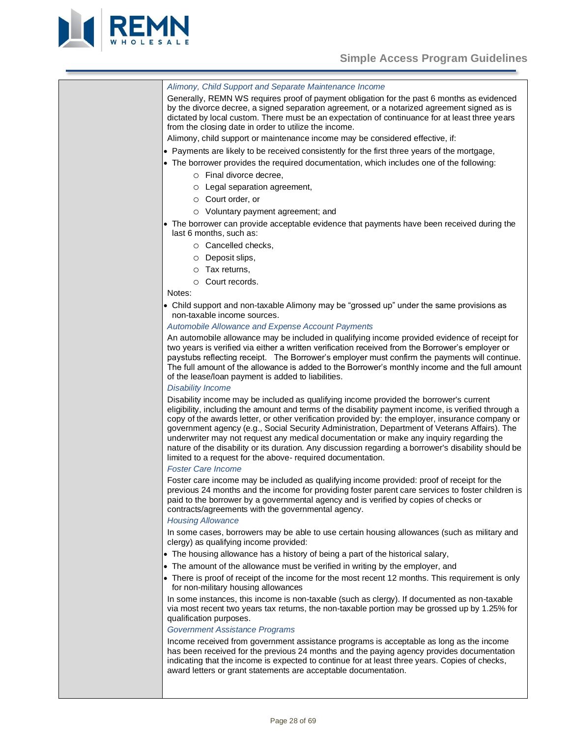

# *Alimony, Child Support and Separate Maintenance Income*

Generally, REMN WS requires proof of payment obligation for the past 6 months as evidenced by the divorce decree, a signed separation agreement, or a notarized agreement signed as is dictated by local custom. There must be an expectation of continuance for at least three years from the closing date in order to utilize the income.

- Alimony, child support or maintenance income may be considered effective, if:
- Payments are likely to be received consistently for the first three years of the mortgage,
- The borrower provides the required documentation, which includes one of the following:
	- o Final divorce decree,
	- o Legal separation agreement,
	- o Court order, or
	- o Voluntary payment agreement; and
- The borrower can provide acceptable evidence that payments have been received during the last 6 months, such as:
	- o Cancelled checks,
	- o Deposit slips,
	- o Tax returns,
	- o Court records.

#### Notes:

• Child support and non-taxable Alimony may be "grossed up" under the same provisions as non-taxable income sources.

#### *Automobile Allowance and Expense Account Payments*

An automobile allowance may be included in qualifying income provided evidence of receipt for two years is verified via either a written verification received from the Borrower's employer or paystubs reflecting receipt. The Borrower's employer must confirm the payments will continue. The full amount of the allowance is added to the Borrower's monthly income and the full amount of the lease/loan payment is added to liabilities.

#### *Disability Income*

Disability income may be included as qualifying income provided the borrower's current eligibility, including the amount and terms of the disability payment income, is verified through a copy of the awards letter, or other verification provided by: the employer, insurance company or government agency (e.g., Social Security Administration, Department of Veterans Affairs). The underwriter may not request any medical documentation or make any inquiry regarding the nature of the disability or its duration. Any discussion regarding a borrower's disability should be limited to a request for the above- required documentation.

#### *Foster Care Income*

Foster care income may be included as qualifying income provided: proof of receipt for the previous 24 months and the income for providing foster parent care services to foster children is paid to the borrower by a governmental agency and is verified by copies of checks or contracts/agreements with the governmental agency.

#### *Housing Allowance*

In some cases, borrowers may be able to use certain housing allowances (such as military and clergy) as qualifying income provided:

- The housing allowance has a history of being a part of the historical salary,
- The amount of the allowance must be verified in writing by the employer, and
- There is proof of receipt of the income for the most recent 12 months. This requirement is only for non-military housing allowances

In some instances, this income is non-taxable (such as clergy). If documented as non-taxable via most recent two years tax returns, the non-taxable portion may be grossed up by 1.25% for qualification purposes.

#### *Government Assistance Programs*

Income received from government assistance programs is acceptable as long as the income has been received for the previous 24 months and the paying agency provides documentation indicating that the income is expected to continue for at least three years. Copies of checks, award letters or grant statements are acceptable documentation.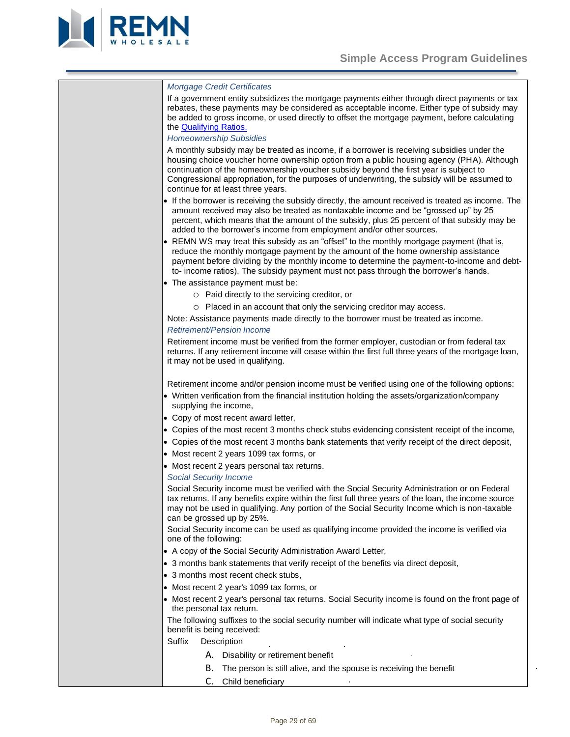$\ddot{\phantom{a}}$ 



| <b>Mortgage Credit Certificates</b>                                                                                                                                                                                                                                                                                                                                                                                     |  |
|-------------------------------------------------------------------------------------------------------------------------------------------------------------------------------------------------------------------------------------------------------------------------------------------------------------------------------------------------------------------------------------------------------------------------|--|
| If a government entity subsidizes the mortgage payments either through direct payments or tax<br>rebates, these payments may be considered as acceptable income. Either type of subsidy may<br>be added to gross income, or used directly to offset the mortgage payment, before calculating<br>the <b>Qualifying Ratios.</b><br><b>Homeownership Subsidies</b>                                                         |  |
| A monthly subsidy may be treated as income, if a borrower is receiving subsidies under the<br>housing choice voucher home ownership option from a public housing agency (PHA). Although<br>continuation of the homeownership voucher subsidy beyond the first year is subject to<br>Congressional appropriation, for the purposes of underwriting, the subsidy will be assumed to<br>continue for at least three years. |  |
| • If the borrower is receiving the subsidy directly, the amount received is treated as income. The<br>amount received may also be treated as nontaxable income and be "grossed up" by 25<br>percent, which means that the amount of the subsidy, plus 25 percent of that subsidy may be<br>added to the borrower's income from employment and/or other sources.                                                         |  |
| • REMN WS may treat this subsidy as an "offset" to the monthly mortgage payment (that is,<br>reduce the monthly mortgage payment by the amount of the home ownership assistance<br>payment before dividing by the monthly income to determine the payment-to-income and debt-<br>to- income ratios). The subsidy payment must not pass through the borrower's hands.                                                    |  |
| • The assistance payment must be:                                                                                                                                                                                                                                                                                                                                                                                       |  |
| o Paid directly to the servicing creditor, or                                                                                                                                                                                                                                                                                                                                                                           |  |
| O Placed in an account that only the servicing creditor may access.                                                                                                                                                                                                                                                                                                                                                     |  |
| Note: Assistance payments made directly to the borrower must be treated as income.                                                                                                                                                                                                                                                                                                                                      |  |
| <b>Retirement/Pension Income</b>                                                                                                                                                                                                                                                                                                                                                                                        |  |
| Retirement income must be verified from the former employer, custodian or from federal tax<br>returns. If any retirement income will cease within the first full three years of the mortgage loan,<br>it may not be used in qualifying.                                                                                                                                                                                 |  |
| Retirement income and/or pension income must be verified using one of the following options:                                                                                                                                                                                                                                                                                                                            |  |
| • Written verification from the financial institution holding the assets/organization/company<br>supplying the income,                                                                                                                                                                                                                                                                                                  |  |
| • Copy of most recent award letter,                                                                                                                                                                                                                                                                                                                                                                                     |  |
| • Copies of the most recent 3 months check stubs evidencing consistent receipt of the income,                                                                                                                                                                                                                                                                                                                           |  |
| • Copies of the most recent 3 months bank statements that verify receipt of the direct deposit,                                                                                                                                                                                                                                                                                                                         |  |
| • Most recent 2 years 1099 tax forms, or                                                                                                                                                                                                                                                                                                                                                                                |  |
| • Most recent 2 years personal tax returns.<br><b>Social Security Income</b>                                                                                                                                                                                                                                                                                                                                            |  |
| Social Security income must be verified with the Social Security Administration or on Federal<br>tax returns. If any benefits expire within the first full three years of the loan, the income source<br>may not be used in qualifying. Any portion of the Social Security Income which is non-taxable<br>can be grossed up by 25%.                                                                                     |  |
| Social Security income can be used as qualifying income provided the income is verified via<br>one of the following:                                                                                                                                                                                                                                                                                                    |  |
| • A copy of the Social Security Administration Award Letter,                                                                                                                                                                                                                                                                                                                                                            |  |
| • 3 months bank statements that verify receipt of the benefits via direct deposit,                                                                                                                                                                                                                                                                                                                                      |  |
| • 3 months most recent check stubs,                                                                                                                                                                                                                                                                                                                                                                                     |  |
| • Most recent 2 year's 1099 tax forms, or                                                                                                                                                                                                                                                                                                                                                                               |  |
| • Most recent 2 year's personal tax returns. Social Security income is found on the front page of<br>the personal tax return.                                                                                                                                                                                                                                                                                           |  |
| The following suffixes to the social security number will indicate what type of social security<br>benefit is being received:                                                                                                                                                                                                                                                                                           |  |
| Suffix<br>Description                                                                                                                                                                                                                                                                                                                                                                                                   |  |
| A. Disability or retirement benefit                                                                                                                                                                                                                                                                                                                                                                                     |  |
| В.<br>The person is still alive, and the spouse is receiving the benefit                                                                                                                                                                                                                                                                                                                                                |  |
| C.<br>Child beneficiary                                                                                                                                                                                                                                                                                                                                                                                                 |  |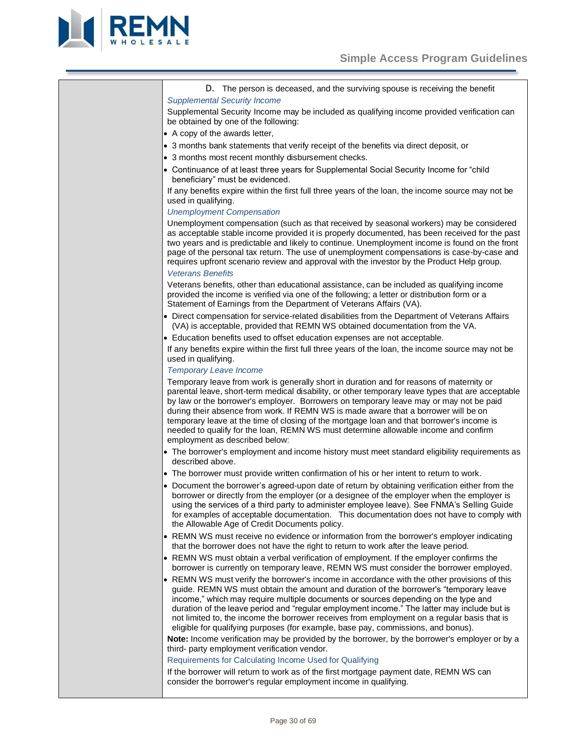

D. The person is deceased, and the surviving spouse is receiving the benefit *Supplemental Security Income* 

Supplemental Security Income may be included as qualifying income provided verification can be obtained by one of the following:

- A copy of the awards letter,
- 3 months bank statements that verify receipt of the benefits via direct deposit, or
- 3 months most recent monthly disbursement checks.
- Continuance of at least three years for Supplemental Social Security Income for "child beneficiary" must be evidenced.

If any benefits expire within the first full three years of the loan, the income source may not be used in qualifying.

# *Unemployment Compensation*

Unemployment compensation (such as that received by seasonal workers) may be considered as acceptable stable income provided it is properly documented, has been received for the past two years and is predictable and likely to continue. Unemployment income is found on the front page of the personal tax return. The use of unemployment compensations is case-by-case and requires upfront scenario review and approval with the investor by the Product Help group. *Veterans Benefits* 

Veterans benefits, other than educational assistance, can be included as qualifying income provided the income is verified via one of the following; a letter or distribution form or a Statement of Earnings from the Department of Veterans Affairs (VA).

- Direct compensation for service-related disabilities from the Department of Veterans Affairs (VA) is acceptable, provided that REMN WS obtained documentation from the VA.
- Education benefits used to offset education expenses are not acceptable.

If any benefits expire within the first full three years of the loan, the income source may not be used in qualifying.

# *Temporary Leave Income*

Temporary leave from work is generally short in duration and for reasons of maternity or parental leave, short-term medical disability, or other temporary leave types that are acceptable by law or the borrower's employer. Borrowers on temporary leave may or may not be paid during their absence from work. If REMN WS is made aware that a borrower will be on temporary leave at the time of closing of the mortgage loan and that borrower's income is needed to qualify for the loan, REMN WS must determine allowable income and confirm employment as described below:

- The borrower's employment and income history must meet standard eligibility requirements as described above.
- The borrower must provide written confirmation of his or her intent to return to work.
- Document the borrower's agreed-upon date of return by obtaining verification either from the borrower or directly from the employer (or a designee of the employer when the employer is using the services of a third party to administer employee leave). See FNMA's Selling Guide for examples of acceptable documentation. This documentation does not have to comply with the Allowable Age of Credit Documents policy.
- REMN WS must receive no evidence or information from the borrower's employer indicating that the borrower does not have the right to return to work after the leave period.
- REMN WS must obtain a verbal verification of employment. If the employer confirms the borrower is currently on temporary leave, REMN WS must consider the borrower employed.
- REMN WS must verify the borrower's income in accordance with the other provisions of this guide. REMN WS must obtain the amount and duration of the borrower's "temporary leave income," which may require multiple documents or sources depending on the type and duration of the leave period and "regular employment income." The latter may include but is not limited to, the income the borrower receives from employment on a regular basis that is eligible for qualifying purposes (for example, base pay, commissions, and bonus).

**Note:** Income verification may be provided by the borrower, by the borrower's employer or by a third- party employment verification vendor.

Requirements for Calculating Income Used for Qualifying

If the borrower will return to work as of the first mortgage payment date, REMN WS can consider the borrower's regular employment income in qualifying.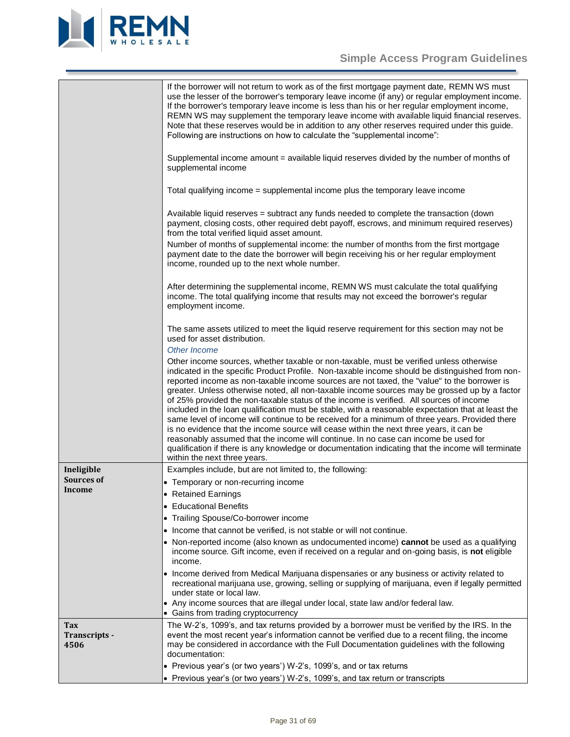

# **Simple Access Program Guidelines**

<span id="page-30-1"></span><span id="page-30-0"></span>

|                              | If the borrower will not return to work as of the first mortgage payment date, REMN WS must<br>use the lesser of the borrower's temporary leave income (if any) or regular employment income.<br>If the borrower's temporary leave income is less than his or her regular employment income,<br>REMN WS may supplement the temporary leave income with available liquid financial reserves.<br>Note that these reserves would be in addition to any other reserves required under this guide.<br>Following are instructions on how to calculate the "supplemental income":                                                                                                                                                                                                                                                                                                                                                                                                                                            |
|------------------------------|-----------------------------------------------------------------------------------------------------------------------------------------------------------------------------------------------------------------------------------------------------------------------------------------------------------------------------------------------------------------------------------------------------------------------------------------------------------------------------------------------------------------------------------------------------------------------------------------------------------------------------------------------------------------------------------------------------------------------------------------------------------------------------------------------------------------------------------------------------------------------------------------------------------------------------------------------------------------------------------------------------------------------|
|                              | Supplemental income amount = available liquid reserves divided by the number of months of<br>supplemental income                                                                                                                                                                                                                                                                                                                                                                                                                                                                                                                                                                                                                                                                                                                                                                                                                                                                                                      |
|                              | Total qualifying income = supplemental income plus the temporary leave income                                                                                                                                                                                                                                                                                                                                                                                                                                                                                                                                                                                                                                                                                                                                                                                                                                                                                                                                         |
|                              | Available liquid reserves = subtract any funds needed to complete the transaction (down<br>payment, closing costs, other required debt payoff, escrows, and minimum required reserves)<br>from the total verified liquid asset amount.<br>Number of months of supplemental income: the number of months from the first mortgage                                                                                                                                                                                                                                                                                                                                                                                                                                                                                                                                                                                                                                                                                       |
|                              | payment date to the date the borrower will begin receiving his or her regular employment<br>income, rounded up to the next whole number.                                                                                                                                                                                                                                                                                                                                                                                                                                                                                                                                                                                                                                                                                                                                                                                                                                                                              |
|                              | After determining the supplemental income, REMN WS must calculate the total qualifying<br>income. The total qualifying income that results may not exceed the borrower's regular<br>employment income.                                                                                                                                                                                                                                                                                                                                                                                                                                                                                                                                                                                                                                                                                                                                                                                                                |
|                              | The same assets utilized to meet the liquid reserve requirement for this section may not be<br>used for asset distribution.<br>Other Income                                                                                                                                                                                                                                                                                                                                                                                                                                                                                                                                                                                                                                                                                                                                                                                                                                                                           |
|                              | Other income sources, whether taxable or non-taxable, must be verified unless otherwise<br>indicated in the specific Product Profile. Non-taxable income should be distinguished from non-<br>reported income as non-taxable income sources are not taxed, the "value" to the borrower is<br>greater. Unless otherwise noted, all non-taxable income sources may be grossed up by a factor<br>of 25% provided the non-taxable status of the income is verified. All sources of income<br>included in the loan qualification must be stable, with a reasonable expectation that at least the<br>same level of income will continue to be received for a minimum of three years. Provided there<br>is no evidence that the income source will cease within the next three years, it can be<br>reasonably assumed that the income will continue. In no case can income be used for<br>qualification if there is any knowledge or documentation indicating that the income will terminate<br>within the next three years. |
| Ineligible                   | Examples include, but are not limited to, the following:                                                                                                                                                                                                                                                                                                                                                                                                                                                                                                                                                                                                                                                                                                                                                                                                                                                                                                                                                              |
| <b>Sources of</b>            | • Temporary or non-recurring income                                                                                                                                                                                                                                                                                                                                                                                                                                                                                                                                                                                                                                                                                                                                                                                                                                                                                                                                                                                   |
| Income                       | • Retained Earnings                                                                                                                                                                                                                                                                                                                                                                                                                                                                                                                                                                                                                                                                                                                                                                                                                                                                                                                                                                                                   |
|                              | • Educational Benefits                                                                                                                                                                                                                                                                                                                                                                                                                                                                                                                                                                                                                                                                                                                                                                                                                                                                                                                                                                                                |
|                              | • Trailing Spouse/Co-borrower income                                                                                                                                                                                                                                                                                                                                                                                                                                                                                                                                                                                                                                                                                                                                                                                                                                                                                                                                                                                  |
|                              | • Income that cannot be verified, is not stable or will not continue.                                                                                                                                                                                                                                                                                                                                                                                                                                                                                                                                                                                                                                                                                                                                                                                                                                                                                                                                                 |
|                              | • Non-reported income (also known as undocumented income) cannot be used as a qualifying<br>income source. Gift income, even if received on a regular and on-going basis, is not eligible<br>income.                                                                                                                                                                                                                                                                                                                                                                                                                                                                                                                                                                                                                                                                                                                                                                                                                  |
|                              | • Income derived from Medical Marijuana dispensaries or any business or activity related to<br>recreational marijuana use, growing, selling or supplying of marijuana, even if legally permitted<br>under state or local law.                                                                                                                                                                                                                                                                                                                                                                                                                                                                                                                                                                                                                                                                                                                                                                                         |
|                              | • Any income sources that are illegal under local, state law and/or federal law.<br>• Gains from trading cryptocurrency                                                                                                                                                                                                                                                                                                                                                                                                                                                                                                                                                                                                                                                                                                                                                                                                                                                                                               |
| Tax<br>Transcripts -<br>4506 | The W-2's, 1099's, and tax returns provided by a borrower must be verified by the IRS. In the<br>event the most recent year's information cannot be verified due to a recent filing, the income<br>may be considered in accordance with the Full Documentation guidelines with the following<br>documentation:                                                                                                                                                                                                                                                                                                                                                                                                                                                                                                                                                                                                                                                                                                        |
|                              | • Previous year's (or two years') W-2's, 1099's, and or tax returns                                                                                                                                                                                                                                                                                                                                                                                                                                                                                                                                                                                                                                                                                                                                                                                                                                                                                                                                                   |
|                              | • Previous year's (or two years') W-2's, 1099's, and tax return or transcripts                                                                                                                                                                                                                                                                                                                                                                                                                                                                                                                                                                                                                                                                                                                                                                                                                                                                                                                                        |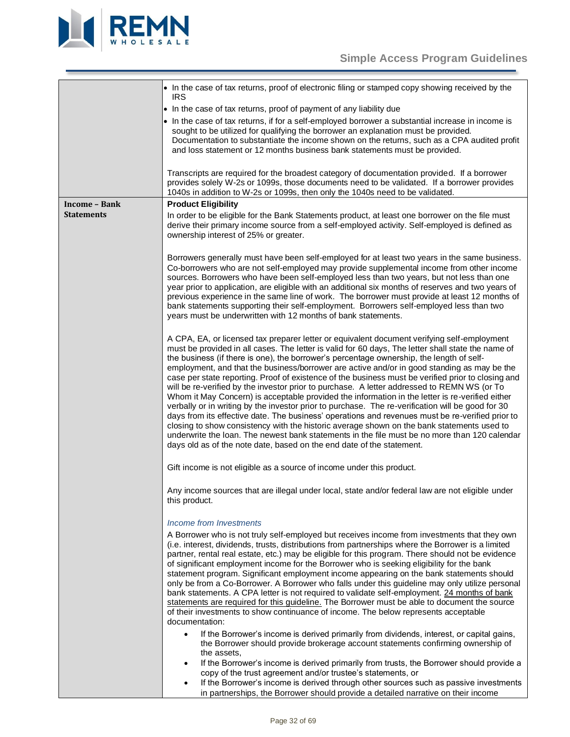

<span id="page-31-0"></span>

|                      | • In the case of tax returns, proof of electronic filing or stamped copy showing received by the<br><b>IRS</b>                                                                                                                                                                                                                                                                                                                                                                                                                                                                                                                                                                                                                                                                                                                                                                                                                                                                                                                                                                                                                                                                                                                                                                                                                                                                                                                     |
|----------------------|------------------------------------------------------------------------------------------------------------------------------------------------------------------------------------------------------------------------------------------------------------------------------------------------------------------------------------------------------------------------------------------------------------------------------------------------------------------------------------------------------------------------------------------------------------------------------------------------------------------------------------------------------------------------------------------------------------------------------------------------------------------------------------------------------------------------------------------------------------------------------------------------------------------------------------------------------------------------------------------------------------------------------------------------------------------------------------------------------------------------------------------------------------------------------------------------------------------------------------------------------------------------------------------------------------------------------------------------------------------------------------------------------------------------------------|
|                      | • In the case of tax returns, proof of payment of any liability due                                                                                                                                                                                                                                                                                                                                                                                                                                                                                                                                                                                                                                                                                                                                                                                                                                                                                                                                                                                                                                                                                                                                                                                                                                                                                                                                                                |
|                      | • In the case of tax returns, if for a self-employed borrower a substantial increase in income is                                                                                                                                                                                                                                                                                                                                                                                                                                                                                                                                                                                                                                                                                                                                                                                                                                                                                                                                                                                                                                                                                                                                                                                                                                                                                                                                  |
|                      | sought to be utilized for qualifying the borrower an explanation must be provided.<br>Documentation to substantiate the income shown on the returns, such as a CPA audited profit<br>and loss statement or 12 months business bank statements must be provided.                                                                                                                                                                                                                                                                                                                                                                                                                                                                                                                                                                                                                                                                                                                                                                                                                                                                                                                                                                                                                                                                                                                                                                    |
|                      | Transcripts are required for the broadest category of documentation provided. If a borrower<br>provides solely W-2s or 1099s, those documents need to be validated. If a borrower provides<br>1040s in addition to W-2s or 1099s, then only the 1040s need to be validated.                                                                                                                                                                                                                                                                                                                                                                                                                                                                                                                                                                                                                                                                                                                                                                                                                                                                                                                                                                                                                                                                                                                                                        |
| <b>Income - Bank</b> | <b>Product Eligibility</b>                                                                                                                                                                                                                                                                                                                                                                                                                                                                                                                                                                                                                                                                                                                                                                                                                                                                                                                                                                                                                                                                                                                                                                                                                                                                                                                                                                                                         |
| <b>Statements</b>    | In order to be eligible for the Bank Statements product, at least one borrower on the file must<br>derive their primary income source from a self-employed activity. Self-employed is defined as<br>ownership interest of 25% or greater.                                                                                                                                                                                                                                                                                                                                                                                                                                                                                                                                                                                                                                                                                                                                                                                                                                                                                                                                                                                                                                                                                                                                                                                          |
|                      | Borrowers generally must have been self-employed for at least two years in the same business.<br>Co-borrowers who are not self-employed may provide supplemental income from other income<br>sources. Borrowers who have been self-employed less than two years, but not less than one<br>year prior to application, are eligible with an additional six months of reserves and two years of<br>previous experience in the same line of work. The borrower must provide at least 12 months of<br>bank statements supporting their self-employment. Borrowers self-employed less than two<br>years must be underwritten with 12 months of bank statements.                                                                                                                                                                                                                                                                                                                                                                                                                                                                                                                                                                                                                                                                                                                                                                          |
|                      | A CPA, EA, or licensed tax preparer letter or equivalent document verifying self-employment<br>must be provided in all cases. The letter is valid for 60 days, The letter shall state the name of<br>the business (if there is one), the borrower's percentage ownership, the length of self-<br>employment, and that the business/borrower are active and/or in good standing as may be the<br>case per state reporting. Proof of existence of the business must be verified prior to closing and<br>will be re-verified by the investor prior to purchase. A letter addressed to REMN WS (or To<br>Whom it May Concern) is acceptable provided the information in the letter is re-verified either<br>verbally or in writing by the investor prior to purchase. The re-verification will be good for 30<br>days from its effective date. The business' operations and revenues must be re-verified prior to<br>closing to show consistency with the historic average shown on the bank statements used to<br>underwrite the loan. The newest bank statements in the file must be no more than 120 calendar<br>days old as of the note date, based on the end date of the statement.                                                                                                                                                                                                                                              |
|                      | Gift income is not eligible as a source of income under this product.                                                                                                                                                                                                                                                                                                                                                                                                                                                                                                                                                                                                                                                                                                                                                                                                                                                                                                                                                                                                                                                                                                                                                                                                                                                                                                                                                              |
|                      | Any income sources that are illegal under local, state and/or federal law are not eligible under<br>this product.                                                                                                                                                                                                                                                                                                                                                                                                                                                                                                                                                                                                                                                                                                                                                                                                                                                                                                                                                                                                                                                                                                                                                                                                                                                                                                                  |
|                      | Income from Investments<br>A Borrower who is not truly self-employed but receives income from investments that they own<br>(i.e. interest, dividends, trusts, distributions from partnerships where the Borrower is a limited<br>partner, rental real estate, etc.) may be eligible for this program. There should not be evidence<br>of significant employment income for the Borrower who is seeking eligibility for the bank<br>statement program. Significant employment income appearing on the bank statements should<br>only be from a Co-Borrower. A Borrower who falls under this guideline may only utilize personal<br>bank statements. A CPA letter is not required to validate self-employment. 24 months of bank<br>statements are required for this guideline. The Borrower must be able to document the source<br>of their investments to show continuance of income. The below represents acceptable<br>documentation:<br>If the Borrower's income is derived primarily from dividends, interest, or capital gains,<br>$\bullet$<br>the Borrower should provide brokerage account statements confirming ownership of<br>the assets,<br>If the Borrower's income is derived primarily from trusts, the Borrower should provide a<br>$\bullet$<br>copy of the trust agreement and/or trustee's statements, or<br>If the Borrower's income is derived through other sources such as passive investments<br>$\bullet$ |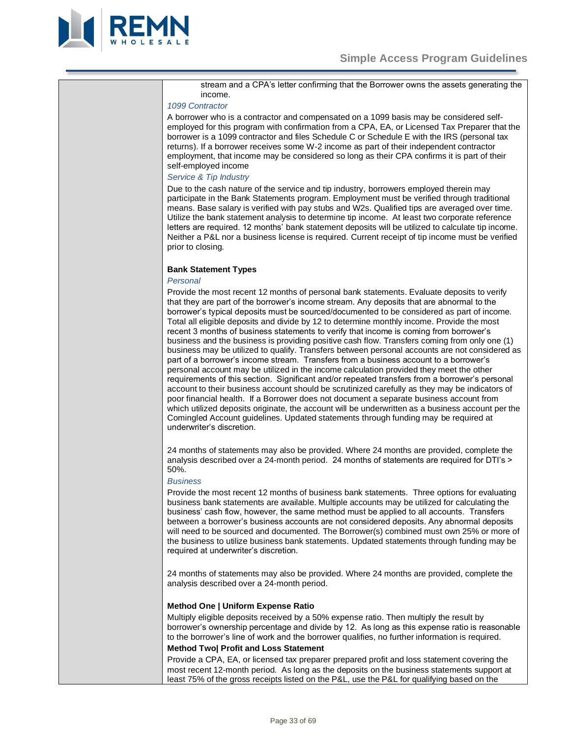

stream and a CPA's letter confirming that the Borrower owns the assets generating the income.

#### *1099 Contractor*

A borrower who is a contractor and compensated on a 1099 basis may be considered selfemployed for this program with confirmation from a CPA, EA, or Licensed Tax Preparer that the borrower is a 1099 contractor and files Schedule C or Schedule E with the IRS (personal tax returns). If a borrower receives some W-2 income as part of their independent contractor employment, that income may be considered so long as their CPA confirms it is part of their self-employed income

# *Service & Tip Industry*

Due to the cash nature of the service and tip industry, borrowers employed therein may participate in the Bank Statements program. Employment must be verified through traditional means. Base salary is verified with pay stubs and W2s. Qualified tips are averaged over time. Utilize the bank statement analysis to determine tip income. At least two corporate reference letters are required. 12 months' bank statement deposits will be utilized to calculate tip income. Neither a P&L nor a business license is required. Current receipt of tip income must be verified prior to closing.

### <span id="page-32-0"></span>**Bank Statement Types**

# *Personal*

Provide the most recent 12 months of personal bank statements. Evaluate deposits to verify that they are part of the borrower's income stream. Any deposits that are abnormal to the borrower's typical deposits must be sourced/documented to be considered as part of income. Total all eligible deposits and divide by 12 to determine monthly income. Provide the most recent 3 months of business statements to verify that income is coming from borrower's business and the business is providing positive cash flow. Transfers coming from only one (1) business may be utilized to qualify. Transfers between personal accounts are not considered as part of a borrower's income stream. Transfers from a business account to a borrower's personal account may be utilized in the income calculation provided they meet the other requirements of this section. Significant and/or repeated transfers from a borrower's personal account to their business account should be scrutinized carefully as they may be indicators of poor financial health. If a Borrower does not document a separate business account from which utilized deposits originate, the account will be underwritten as a business account per the Comingled Account guidelines. Updated statements through funding may be required at underwriter's discretion.

24 months of statements may also be provided. Where 24 months are provided, complete the analysis described over a 24-month period. 24 months of statements are required for DTI's > 50%.

# *Business*

Provide the most recent 12 months of business bank statements. Three options for evaluating business bank statements are available. Multiple accounts may be utilized for calculating the business' cash flow, however, the same method must be applied to all accounts. Transfers between a borrower's business accounts are not considered deposits. Any abnormal deposits will need to be sourced and documented. The Borrower(s) combined must own 25% or more of the business to utilize business bank statements. Updated statements through funding may be required at underwriter's discretion.

24 months of statements may also be provided. Where 24 months are provided, complete the analysis described over a 24-month period.

# **Method One | Uniform Expense Ratio**

Multiply eligible deposits received by a 50% expense ratio. Then multiply the result by borrower's ownership percentage and divide by 12. As long as this expense ratio is reasonable to the borrower's line of work and the borrower qualifies, no further information is required.

# **Method Two| Profit and Loss Statement**

Provide a CPA, EA, or licensed tax preparer prepared profit and loss statement covering the most recent 12-month period. As long as the deposits on the business statements support at least 75% of the gross receipts listed on the P&L, use the P&L for qualifying based on the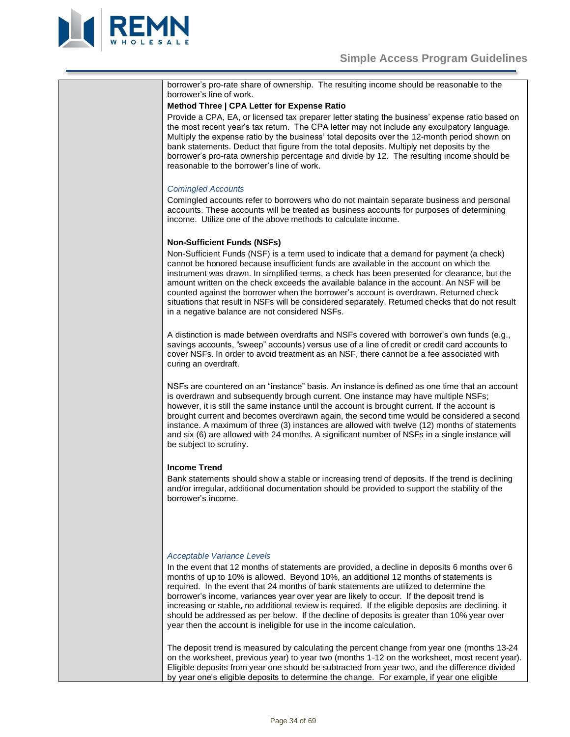

<span id="page-33-0"></span>

| borrower's pro-rate share of ownership. The resulting income should be reasonable to the<br>borrower's line of work.                                                                                                                                                                                                                                                                                                                                                                                                                                                                                                           |
|--------------------------------------------------------------------------------------------------------------------------------------------------------------------------------------------------------------------------------------------------------------------------------------------------------------------------------------------------------------------------------------------------------------------------------------------------------------------------------------------------------------------------------------------------------------------------------------------------------------------------------|
| Method Three   CPA Letter for Expense Ratio                                                                                                                                                                                                                                                                                                                                                                                                                                                                                                                                                                                    |
| Provide a CPA, EA, or licensed tax preparer letter stating the business' expense ratio based on<br>the most recent year's tax return. The CPA letter may not include any exculpatory language.<br>Multiply the expense ratio by the business' total deposits over the 12-month period shown on<br>bank statements. Deduct that figure from the total deposits. Multiply net deposits by the<br>borrower's pro-rata ownership percentage and divide by 12. The resulting income should be<br>reasonable to the borrower's line of work.                                                                                         |
|                                                                                                                                                                                                                                                                                                                                                                                                                                                                                                                                                                                                                                |
| <b>Comingled Accounts</b><br>Comingled accounts refer to borrowers who do not maintain separate business and personal<br>accounts. These accounts will be treated as business accounts for purposes of determining<br>income. Utilize one of the above methods to calculate income.                                                                                                                                                                                                                                                                                                                                            |
| <b>Non-Sufficient Funds (NSFs)</b>                                                                                                                                                                                                                                                                                                                                                                                                                                                                                                                                                                                             |
| Non-Sufficient Funds (NSF) is a term used to indicate that a demand for payment (a check)<br>cannot be honored because insufficient funds are available in the account on which the<br>instrument was drawn. In simplified terms, a check has been presented for clearance, but the<br>amount written on the check exceeds the available balance in the account. An NSF will be<br>counted against the borrower when the borrower's account is overdrawn. Returned check<br>situations that result in NSFs will be considered separately. Returned checks that do not result<br>in a negative balance are not considered NSFs. |
| A distinction is made between overdrafts and NSFs covered with borrower's own funds (e.g.,<br>savings accounts, "sweep" accounts) versus use of a line of credit or credit card accounts to<br>cover NSFs. In order to avoid treatment as an NSF, there cannot be a fee associated with<br>curing an overdraft.                                                                                                                                                                                                                                                                                                                |
| NSFs are countered on an "instance" basis. An instance is defined as one time that an account<br>is overdrawn and subsequently brough current. One instance may have multiple NSFs;<br>however, it is still the same instance until the account is brought current. If the account is<br>brought current and becomes overdrawn again, the second time would be considered a second<br>instance. A maximum of three (3) instances are allowed with twelve (12) months of statements<br>and six (6) are allowed with 24 months. A significant number of NSFs in a single instance will<br>be subject to scrutiny.                |
|                                                                                                                                                                                                                                                                                                                                                                                                                                                                                                                                                                                                                                |
| <b>Income Trend</b><br>Bank statements should show a stable or increasing trend of deposits. If the trend is declining<br>and/or irregular, additional documentation should be provided to support the stability of the<br>borrower's income.                                                                                                                                                                                                                                                                                                                                                                                  |
| Acceptable Variance Levels                                                                                                                                                                                                                                                                                                                                                                                                                                                                                                                                                                                                     |
| In the event that 12 months of statements are provided, a decline in deposits 6 months over 6<br>months of up to 10% is allowed. Beyond 10%, an additional 12 months of statements is<br>required. In the event that 24 months of bank statements are utilized to determine the<br>borrower's income, variances year over year are likely to occur. If the deposit trend is<br>increasing or stable, no additional review is required. If the eligible deposits are declining, it<br>should be addressed as per below. If the decline of deposits is greater than 10% year over                                                |

The deposit trend is measured by calculating the percent change from year one (months 13-24 on the worksheet, previous year) to year two (months 1-12 on the worksheet, most recent year). Eligible deposits from year one should be subtracted from year two, and the difference divided by year one's eligible deposits to determine the change. For example, if year one eligible

<span id="page-33-1"></span>year then the account is ineligible for use in the income calculation.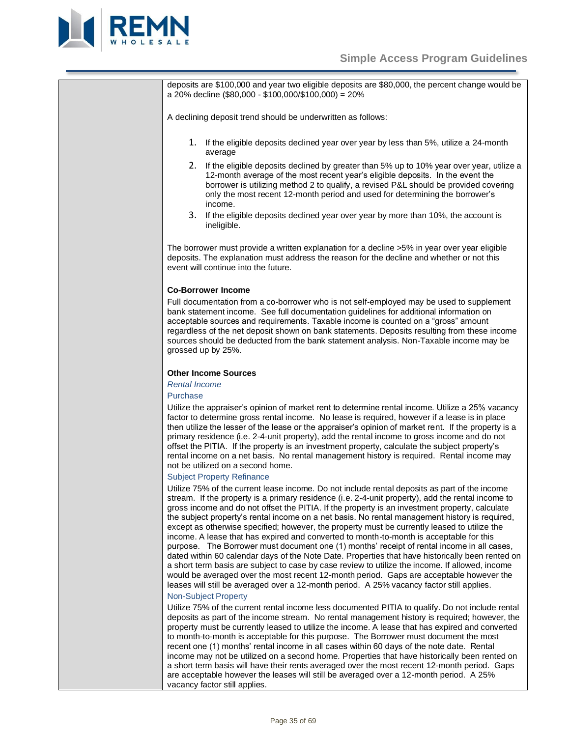

deposits are \$100,000 and year two eligible deposits are \$80,000, the percent change would be a 20% decline (\$80,000 - \$100,000/\$100,000) = 20%

A declining deposit trend should be underwritten as follows:

- 1. If the eligible deposits declined year over year by less than 5%, utilize a 24-month average
- 2. If the eligible deposits declined by greater than 5% up to 10% year over year, utilize a 12-month average of the most recent year's eligible deposits. In the event the borrower is utilizing method 2 to qualify, a revised P&L should be provided covering only the most recent 12-month period and used for determining the borrower's income.
- 3. If the eligible deposits declined year over year by more than 10%, the account is ineligible.

The borrower must provide a written explanation for a decline >5% in year over year eligible deposits. The explanation must address the reason for the decline and whether or not this event will continue into the future.

### <span id="page-34-0"></span>**Co-Borrower Income**

Full documentation from a co-borrower who is not self-employed may be used to supplement bank statement income. See full documentation guidelines for additional information on acceptable sources and requirements. Taxable income is counted on a "gross" amount regardless of the net deposit shown on bank statements. Deposits resulting from these income sources should be deducted from the bank statement analysis. Non-Taxable income may be grossed up by 25%.

#### <span id="page-34-1"></span>**Other Income Sources**

# *Rental Income*

#### Purchase

Utilize the appraiser's opinion of market rent to determine rental income. Utilize a 25% vacancy factor to determine gross rental income. No lease is required, however if a lease is in place then utilize the lesser of the lease or the appraiser's opinion of market rent. If the property is a primary residence (i.e. 2-4-unit property), add the rental income to gross income and do not offset the PITIA. If the property is an investment property, calculate the subject property's rental income on a net basis. No rental management history is required. Rental income may not be utilized on a second home.

#### Subject Property Refinance

Utilize 75% of the current lease income. Do not include rental deposits as part of the income stream. If the property is a primary residence (i.e. 2-4-unit property), add the rental income to gross income and do not offset the PITIA. If the property is an investment property, calculate the subject property's rental income on a net basis. No rental management history is required, except as otherwise specified; however, the property must be currently leased to utilize the income. A lease that has expired and converted to month-to-month is acceptable for this purpose. The Borrower must document one (1) months' receipt of rental income in all cases, dated within 60 calendar days of the Note Date. Properties that have historically been rented on a short term basis are subject to case by case review to utilize the income. If allowed, income would be averaged over the most recent 12-month period. Gaps are acceptable however the leases will still be averaged over a 12-month period. A 25% vacancy factor still applies.

#### Non-Subject Property

Utilize 75% of the current rental income less documented PITIA to qualify. Do not include rental deposits as part of the income stream. No rental management history is required; however, the property must be currently leased to utilize the income. A lease that has expired and converted to month-to-month is acceptable for this purpose. The Borrower must document the most recent one (1) months' rental income in all cases within 60 days of the note date. Rental income may not be utilized on a second home. Properties that have historically been rented on a short term basis will have their rents averaged over the most recent 12-month period. Gaps are acceptable however the leases will still be averaged over a 12-month period. A 25% vacancy factor still applies.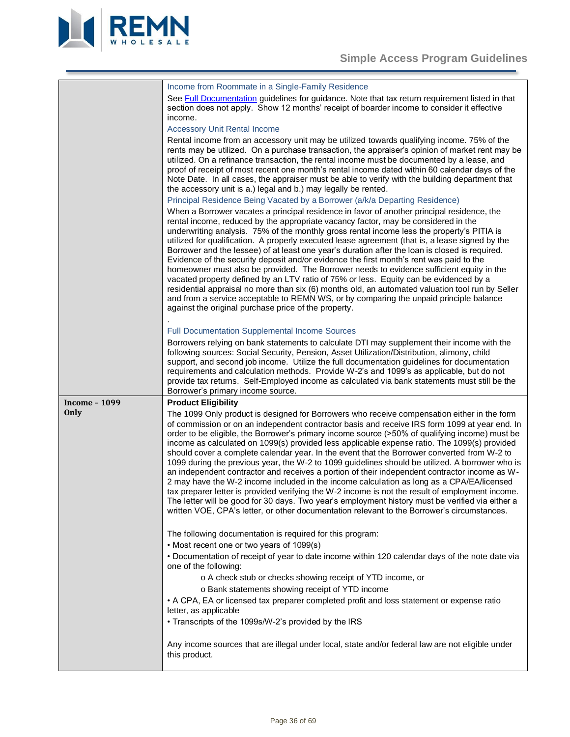

<span id="page-35-0"></span>

|                      | Income from Roommate in a Single-Family Residence                                                                                                                                                                                                                                                                                                                                                                                                                                                                                                                                                                                                                                                                                                                                                                                                                                                                                                                                                                                                                                                     |
|----------------------|-------------------------------------------------------------------------------------------------------------------------------------------------------------------------------------------------------------------------------------------------------------------------------------------------------------------------------------------------------------------------------------------------------------------------------------------------------------------------------------------------------------------------------------------------------------------------------------------------------------------------------------------------------------------------------------------------------------------------------------------------------------------------------------------------------------------------------------------------------------------------------------------------------------------------------------------------------------------------------------------------------------------------------------------------------------------------------------------------------|
|                      | See Full Documentation guidelines for guidance. Note that tax return requirement listed in that<br>section does not apply. Show 12 months' receipt of boarder income to consider it effective<br>income.                                                                                                                                                                                                                                                                                                                                                                                                                                                                                                                                                                                                                                                                                                                                                                                                                                                                                              |
|                      | <b>Accessory Unit Rental Income</b>                                                                                                                                                                                                                                                                                                                                                                                                                                                                                                                                                                                                                                                                                                                                                                                                                                                                                                                                                                                                                                                                   |
|                      | Rental income from an accessory unit may be utilized towards qualifying income. 75% of the<br>rents may be utilized. On a purchase transaction, the appraiser's opinion of market rent may be<br>utilized. On a refinance transaction, the rental income must be documented by a lease, and<br>proof of receipt of most recent one month's rental income dated within 60 calendar days of the<br>Note Date. In all cases, the appraiser must be able to verify with the building department that<br>the accessory unit is a.) legal and b.) may legally be rented.                                                                                                                                                                                                                                                                                                                                                                                                                                                                                                                                    |
|                      | Principal Residence Being Vacated by a Borrower (a/k/a Departing Residence)                                                                                                                                                                                                                                                                                                                                                                                                                                                                                                                                                                                                                                                                                                                                                                                                                                                                                                                                                                                                                           |
|                      | When a Borrower vacates a principal residence in favor of another principal residence, the<br>rental income, reduced by the appropriate vacancy factor, may be considered in the<br>underwriting analysis. 75% of the monthly gross rental income less the property's PITIA is<br>utilized for qualification. A properly executed lease agreement (that is, a lease signed by the<br>Borrower and the lessee) of at least one year's duration after the loan is closed is required.<br>Evidence of the security deposit and/or evidence the first month's rent was paid to the<br>homeowner must also be provided. The Borrower needs to evidence sufficient equity in the<br>vacated property defined by an LTV ratio of 75% or less. Equity can be evidenced by a<br>residential appraisal no more than six (6) months old, an automated valuation tool run by Seller<br>and from a service acceptable to REMN WS, or by comparing the unpaid principle balance<br>against the original purchase price of the property.                                                                             |
|                      | Full Documentation Supplemental Income Sources                                                                                                                                                                                                                                                                                                                                                                                                                                                                                                                                                                                                                                                                                                                                                                                                                                                                                                                                                                                                                                                        |
|                      | Borrowers relying on bank statements to calculate DTI may supplement their income with the<br>following sources: Social Security, Pension, Asset Utilization/Distribution, alimony, child<br>support, and second job income. Utilize the full documentation guidelines for documentation<br>requirements and calculation methods. Provide W-2's and 1099's as applicable, but do not<br>provide tax returns. Self-Employed income as calculated via bank statements must still be the<br>Borrower's primary income source.                                                                                                                                                                                                                                                                                                                                                                                                                                                                                                                                                                            |
| <b>Income - 1099</b> | <b>Product Eligibility</b>                                                                                                                                                                                                                                                                                                                                                                                                                                                                                                                                                                                                                                                                                                                                                                                                                                                                                                                                                                                                                                                                            |
| Only                 | The 1099 Only product is designed for Borrowers who receive compensation either in the form<br>of commission or on an independent contractor basis and receive IRS form 1099 at year end. In<br>order to be eligible, the Borrower's primary income source (>50% of qualifying income) must be<br>income as calculated on 1099(s) provided less applicable expense ratio. The 1099(s) provided<br>should cover a complete calendar year. In the event that the Borrower converted from W-2 to<br>1099 during the previous year, the W-2 to 1099 guidelines should be utilized. A borrower who is<br>an independent contractor and receives a portion of their independent contractor income as W-<br>2 may have the W-2 income included in the income calculation as long as a CPA/EA/licensed<br>tax preparer letter is provided verifying the W-2 income is not the result of employment income.<br>The letter will be good for 30 days. Two year's employment history must be verified via either a<br>written VOE, CPA's letter, or other documentation relevant to the Borrower's circumstances. |
|                      | The following documentation is required for this program:<br>• Most recent one or two years of 1099(s)                                                                                                                                                                                                                                                                                                                                                                                                                                                                                                                                                                                                                                                                                                                                                                                                                                                                                                                                                                                                |
|                      | • Documentation of receipt of year to date income within 120 calendar days of the note date via<br>one of the following:                                                                                                                                                                                                                                                                                                                                                                                                                                                                                                                                                                                                                                                                                                                                                                                                                                                                                                                                                                              |
|                      | o A check stub or checks showing receipt of YTD income, or                                                                                                                                                                                                                                                                                                                                                                                                                                                                                                                                                                                                                                                                                                                                                                                                                                                                                                                                                                                                                                            |
|                      | o Bank statements showing receipt of YTD income<br>• A CPA, EA or licensed tax preparer completed profit and loss statement or expense ratio                                                                                                                                                                                                                                                                                                                                                                                                                                                                                                                                                                                                                                                                                                                                                                                                                                                                                                                                                          |
|                      | letter, as applicable<br>• Transcripts of the 1099s/W-2's provided by the IRS                                                                                                                                                                                                                                                                                                                                                                                                                                                                                                                                                                                                                                                                                                                                                                                                                                                                                                                                                                                                                         |
|                      | Any income sources that are illegal under local, state and/or federal law are not eligible under<br>this product.                                                                                                                                                                                                                                                                                                                                                                                                                                                                                                                                                                                                                                                                                                                                                                                                                                                                                                                                                                                     |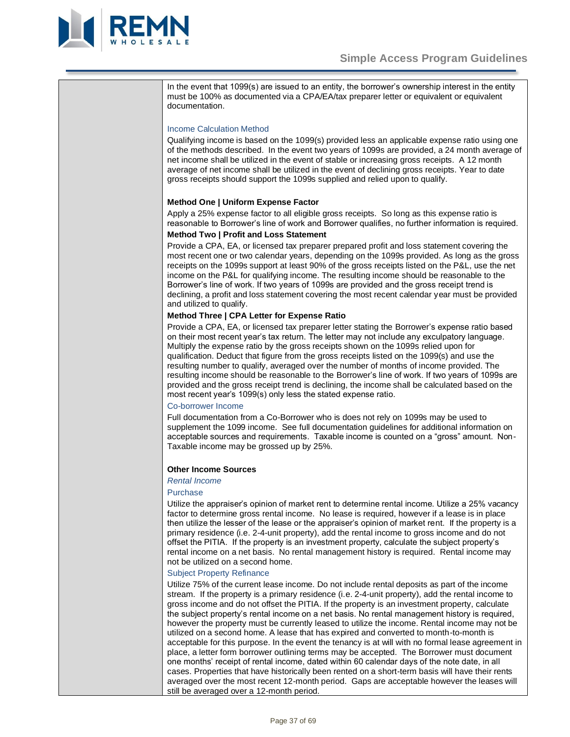

In the event that 1099(s) are issued to an entity, the borrower's ownership interest in the entity must be 100% as documented via a CPA/EA/tax preparer letter or equivalent or equivalent documentation.

# Income Calculation Method

Qualifying income is based on the 1099(s) provided less an applicable expense ratio using one of the methods described. In the event two years of 1099s are provided, a 24 month average of net income shall be utilized in the event of stable or increasing gross receipts. A 12 month average of net income shall be utilized in the event of declining gross receipts. Year to date gross receipts should support the 1099s supplied and relied upon to qualify.

# **Method One | Uniform Expense Factor**

Apply a 25% expense factor to all eligible gross receipts. So long as this expense ratio is reasonable to Borrower's line of work and Borrower qualifies, no further information is required.

# **Method Two | Profit and Loss Statement**

Provide a CPA, EA, or licensed tax preparer prepared profit and loss statement covering the most recent one or two calendar years, depending on the 1099s provided. As long as the gross receipts on the 1099s support at least 90% of the gross receipts listed on the P&L, use the net income on the P&L for qualifying income. The resulting income should be reasonable to the Borrower's line of work. If two years of 1099s are provided and the gross receipt trend is declining, a profit and loss statement covering the most recent calendar year must be provided and utilized to qualify.

# **Method Three | CPA Letter for Expense Ratio**

Provide a CPA, EA, or licensed tax preparer letter stating the Borrower's expense ratio based on their most recent year's tax return. The letter may not include any exculpatory language. Multiply the expense ratio by the gross receipts shown on the 1099s relied upon for qualification. Deduct that figure from the gross receipts listed on the 1099(s) and use the resulting number to qualify, averaged over the number of months of income provided. The resulting income should be reasonable to the Borrower's line of work. If two years of 1099s are provided and the gross receipt trend is declining, the income shall be calculated based on the most recent year's 1099(s) only less the stated expense ratio.

# Co-borrower Income

Full documentation from a Co-Borrower who is does not rely on 1099s may be used to supplement the 1099 income. See full documentation guidelines for additional information on acceptable sources and requirements. Taxable income is counted on a "gross" amount. Non-Taxable income may be grossed up by 25%.

# **Other Income Sources**

# *Rental Income*

#### Purchase

Utilize the appraiser's opinion of market rent to determine rental income. Utilize a 25% vacancy factor to determine gross rental income. No lease is required, however if a lease is in place then utilize the lesser of the lease or the appraiser's opinion of market rent. If the property is a primary residence (i.e. 2-4-unit property), add the rental income to gross income and do not offset the PITIA. If the property is an investment property, calculate the subject property's rental income on a net basis. No rental management history is required. Rental income may not be utilized on a second home.

# Subject Property Refinance

Utilize 75% of the current lease income. Do not include rental deposits as part of the income stream. If the property is a primary residence (i.e. 2-4-unit property), add the rental income to gross income and do not offset the PITIA. If the property is an investment property, calculate the subject property's rental income on a net basis. No rental management history is required, however the property must be currently leased to utilize the income. Rental income may not be utilized on a second home. A lease that has expired and converted to month-to-month is acceptable for this purpose. In the event the tenancy is at will with no formal lease agreement in place, a letter form borrower outlining terms may be accepted. The Borrower must document one months' receipt of rental income, dated within 60 calendar days of the note date, in all cases. Properties that have historically been rented on a short-term basis will have their rents averaged over the most recent 12-month period. Gaps are acceptable however the leases will still be averaged over a 12-month period.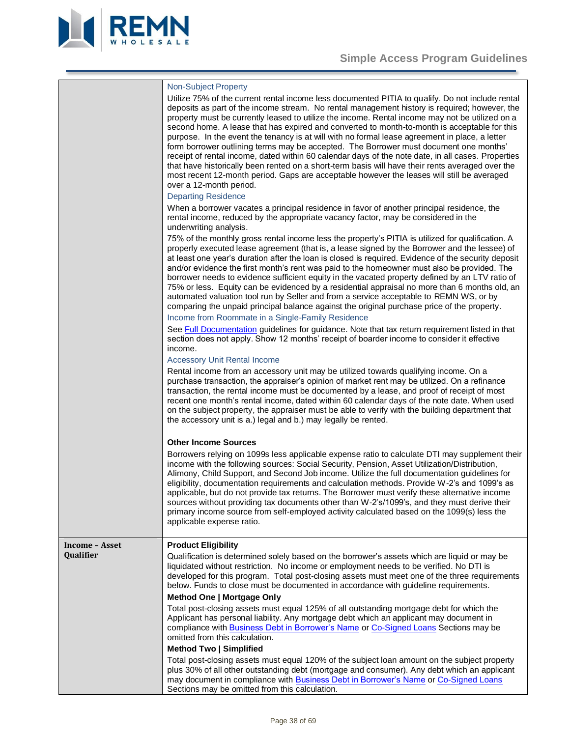

<span id="page-37-0"></span>

|                       | <b>Non-Subject Property</b><br>Utilize 75% of the current rental income less documented PITIA to qualify. Do not include rental<br>deposits as part of the income stream. No rental management history is required; however, the<br>property must be currently leased to utilize the income. Rental income may not be utilized on a<br>second home. A lease that has expired and converted to month-to-month is acceptable for this<br>purpose. In the event the tenancy is at will with no formal lease agreement in place, a letter<br>form borrower outlining terms may be accepted. The Borrower must document one months'<br>receipt of rental income, dated within 60 calendar days of the note date, in all cases. Properties<br>that have historically been rented on a short-term basis will have their rents averaged over the<br>most recent 12-month period. Gaps are acceptable however the leases will still be averaged<br>over a 12-month period.<br><b>Departing Residence</b> |
|-----------------------|-------------------------------------------------------------------------------------------------------------------------------------------------------------------------------------------------------------------------------------------------------------------------------------------------------------------------------------------------------------------------------------------------------------------------------------------------------------------------------------------------------------------------------------------------------------------------------------------------------------------------------------------------------------------------------------------------------------------------------------------------------------------------------------------------------------------------------------------------------------------------------------------------------------------------------------------------------------------------------------------------|
|                       | When a borrower vacates a principal residence in favor of another principal residence, the<br>rental income, reduced by the appropriate vacancy factor, may be considered in the<br>underwriting analysis.                                                                                                                                                                                                                                                                                                                                                                                                                                                                                                                                                                                                                                                                                                                                                                                      |
|                       | 75% of the monthly gross rental income less the property's PITIA is utilized for qualification. A<br>properly executed lease agreement (that is, a lease signed by the Borrower and the lessee) of<br>at least one year's duration after the loan is closed is required. Evidence of the security deposit<br>and/or evidence the first month's rent was paid to the homeowner must also be provided. The<br>borrower needs to evidence sufficient equity in the vacated property defined by an LTV ratio of<br>75% or less. Equity can be evidenced by a residential appraisal no more than 6 months old, an<br>automated valuation tool run by Seller and from a service acceptable to REMN WS, or by<br>comparing the unpaid principal balance against the original purchase price of the property.                                                                                                                                                                                           |
|                       | Income from Roommate in a Single-Family Residence                                                                                                                                                                                                                                                                                                                                                                                                                                                                                                                                                                                                                                                                                                                                                                                                                                                                                                                                               |
|                       | See Full Documentation guidelines for guidance. Note that tax return requirement listed in that<br>section does not apply. Show 12 months' receipt of boarder income to consider it effective<br>income.                                                                                                                                                                                                                                                                                                                                                                                                                                                                                                                                                                                                                                                                                                                                                                                        |
|                       | <b>Accessory Unit Rental Income</b>                                                                                                                                                                                                                                                                                                                                                                                                                                                                                                                                                                                                                                                                                                                                                                                                                                                                                                                                                             |
|                       | Rental income from an accessory unit may be utilized towards qualifying income. On a<br>purchase transaction, the appraiser's opinion of market rent may be utilized. On a refinance<br>transaction, the rental income must be documented by a lease, and proof of receipt of most<br>recent one month's rental income, dated within 60 calendar days of the note date. When used<br>on the subject property, the appraiser must be able to verify with the building department that<br>the accessory unit is a.) legal and b.) may legally be rented.                                                                                                                                                                                                                                                                                                                                                                                                                                          |
|                       | <b>Other Income Sources</b>                                                                                                                                                                                                                                                                                                                                                                                                                                                                                                                                                                                                                                                                                                                                                                                                                                                                                                                                                                     |
|                       | Borrowers relying on 1099s less applicable expense ratio to calculate DTI may supplement their<br>income with the following sources: Social Security, Pension, Asset Utilization/Distribution,<br>Alimony, Child Support, and Second Job income. Utilize the full documentation guidelines for<br>eligibility, documentation requirements and calculation methods. Provide W-2's and 1099's as<br>applicable, but do not provide tax returns. The Borrower must verify these alternative income<br>sources without providing tax documents other than W-2's/1099's, and they must derive their<br>primary income source from self-employed activity calculated based on the 1099(s) less the<br>applicable expense ratio.                                                                                                                                                                                                                                                                       |
| <b>Income - Asset</b> | <b>Product Eligibility</b>                                                                                                                                                                                                                                                                                                                                                                                                                                                                                                                                                                                                                                                                                                                                                                                                                                                                                                                                                                      |
| Qualifier             | Qualification is determined solely based on the borrower's assets which are liquid or may be<br>liquidated without restriction. No income or employment needs to be verified. No DTI is<br>developed for this program. Total post-closing assets must meet one of the three requirements<br>below. Funds to close must be documented in accordance with guideline requirements.<br>Method One   Mortgage Only                                                                                                                                                                                                                                                                                                                                                                                                                                                                                                                                                                                   |
|                       | Total post-closing assets must equal 125% of all outstanding mortgage debt for which the<br>Applicant has personal liability. Any mortgage debt which an applicant may document in<br>compliance with <b>Business Debt in Borrower's Name or Co-Signed Loans</b> Sections may be<br>omitted from this calculation.                                                                                                                                                                                                                                                                                                                                                                                                                                                                                                                                                                                                                                                                              |
|                       | <b>Method Two   Simplified</b>                                                                                                                                                                                                                                                                                                                                                                                                                                                                                                                                                                                                                                                                                                                                                                                                                                                                                                                                                                  |
|                       | Total post-closing assets must equal 120% of the subject loan amount on the subject property<br>plus 30% of all other outstanding debt (mortgage and consumer). Any debt which an applicant<br>may document in compliance with Business Debt in Borrower's Name or Co-Signed Loans<br>Sections may be omitted from this calculation.                                                                                                                                                                                                                                                                                                                                                                                                                                                                                                                                                                                                                                                            |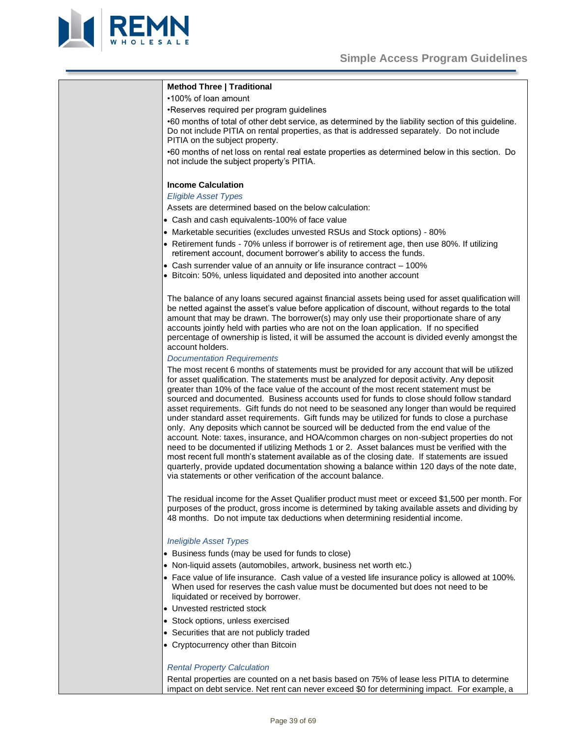

<span id="page-38-0"></span>

| <b>Method Three   Traditional</b>                                                                                                                                                                                                                                                                                                                                                                                                                                                                                                                                                                                                                                                                                                                                                                                                                                                                                                                                                                                                                                                                                                    |
|--------------------------------------------------------------------------------------------------------------------------------------------------------------------------------------------------------------------------------------------------------------------------------------------------------------------------------------------------------------------------------------------------------------------------------------------------------------------------------------------------------------------------------------------------------------------------------------------------------------------------------------------------------------------------------------------------------------------------------------------------------------------------------------------------------------------------------------------------------------------------------------------------------------------------------------------------------------------------------------------------------------------------------------------------------------------------------------------------------------------------------------|
| •100% of loan amount                                                                                                                                                                                                                                                                                                                                                                                                                                                                                                                                                                                                                                                                                                                                                                                                                                                                                                                                                                                                                                                                                                                 |
| •Reserves required per program guidelines                                                                                                                                                                                                                                                                                                                                                                                                                                                                                                                                                                                                                                                                                                                                                                                                                                                                                                                                                                                                                                                                                            |
| •60 months of total of other debt service, as determined by the liability section of this guideline.<br>Do not include PITIA on rental properties, as that is addressed separately. Do not include<br>PITIA on the subject property.                                                                                                                                                                                                                                                                                                                                                                                                                                                                                                                                                                                                                                                                                                                                                                                                                                                                                                 |
| •60 months of net loss on rental real estate properties as determined below in this section. Do<br>not include the subject property's PITIA.                                                                                                                                                                                                                                                                                                                                                                                                                                                                                                                                                                                                                                                                                                                                                                                                                                                                                                                                                                                         |
| <b>Income Calculation</b>                                                                                                                                                                                                                                                                                                                                                                                                                                                                                                                                                                                                                                                                                                                                                                                                                                                                                                                                                                                                                                                                                                            |
| <b>Eligible Asset Types</b>                                                                                                                                                                                                                                                                                                                                                                                                                                                                                                                                                                                                                                                                                                                                                                                                                                                                                                                                                                                                                                                                                                          |
| Assets are determined based on the below calculation:                                                                                                                                                                                                                                                                                                                                                                                                                                                                                                                                                                                                                                                                                                                                                                                                                                                                                                                                                                                                                                                                                |
| • Cash and cash equivalents-100% of face value                                                                                                                                                                                                                                                                                                                                                                                                                                                                                                                                                                                                                                                                                                                                                                                                                                                                                                                                                                                                                                                                                       |
| • Marketable securities (excludes unvested RSUs and Stock options) - 80%                                                                                                                                                                                                                                                                                                                                                                                                                                                                                                                                                                                                                                                                                                                                                                                                                                                                                                                                                                                                                                                             |
| • Retirement funds - 70% unless if borrower is of retirement age, then use 80%. If utilizing<br>retirement account, document borrower's ability to access the funds.                                                                                                                                                                                                                                                                                                                                                                                                                                                                                                                                                                                                                                                                                                                                                                                                                                                                                                                                                                 |
| • Cash surrender value of an annuity or life insurance contract - 100%                                                                                                                                                                                                                                                                                                                                                                                                                                                                                                                                                                                                                                                                                                                                                                                                                                                                                                                                                                                                                                                               |
| • Bitcoin: 50%, unless liquidated and deposited into another account                                                                                                                                                                                                                                                                                                                                                                                                                                                                                                                                                                                                                                                                                                                                                                                                                                                                                                                                                                                                                                                                 |
| The balance of any loans secured against financial assets being used for asset qualification will<br>be netted against the asset's value before application of discount, without regards to the total<br>amount that may be drawn. The borrower(s) may only use their proportionate share of any<br>accounts jointly held with parties who are not on the loan application. If no specified<br>percentage of ownership is listed, it will be assumed the account is divided evenly amongst the<br>account holders.<br><b>Documentation Requirements</b>                                                                                                                                                                                                                                                                                                                                                                                                                                                                                                                                                                              |
|                                                                                                                                                                                                                                                                                                                                                                                                                                                                                                                                                                                                                                                                                                                                                                                                                                                                                                                                                                                                                                                                                                                                      |
| The most recent 6 months of statements must be provided for any account that will be utilized<br>for asset qualification. The statements must be analyzed for deposit activity. Any deposit<br>greater than 10% of the face value of the account of the most recent statement must be<br>sourced and documented. Business accounts used for funds to close should follow standard<br>asset requirements. Gift funds do not need to be seasoned any longer than would be required<br>under standard asset requirements. Gift funds may be utilized for funds to close a purchase<br>only. Any deposits which cannot be sourced will be deducted from the end value of the<br>account. Note: taxes, insurance, and HOA/common charges on non-subject properties do not<br>need to be documented if utilizing Methods 1 or 2. Asset balances must be verified with the<br>most recent full month's statement available as of the closing date. If statements are issued<br>quarterly, provide updated documentation showing a balance within 120 days of the note date,<br>via statements or other verification of the account balance. |
| The residual income for the Asset Qualifier product must meet or exceed \$1,500 per month. For<br>purposes of the product, gross income is determined by taking available assets and dividing by<br>48 months. Do not impute tax deductions when determining residential income.                                                                                                                                                                                                                                                                                                                                                                                                                                                                                                                                                                                                                                                                                                                                                                                                                                                     |
| <b>Ineligible Asset Types</b>                                                                                                                                                                                                                                                                                                                                                                                                                                                                                                                                                                                                                                                                                                                                                                                                                                                                                                                                                                                                                                                                                                        |
| • Business funds (may be used for funds to close)                                                                                                                                                                                                                                                                                                                                                                                                                                                                                                                                                                                                                                                                                                                                                                                                                                                                                                                                                                                                                                                                                    |
| • Non-liquid assets (automobiles, artwork, business net worth etc.)                                                                                                                                                                                                                                                                                                                                                                                                                                                                                                                                                                                                                                                                                                                                                                                                                                                                                                                                                                                                                                                                  |
| • Face value of life insurance. Cash value of a vested life insurance policy is allowed at 100%.<br>When used for reserves the cash value must be documented but does not need to be                                                                                                                                                                                                                                                                                                                                                                                                                                                                                                                                                                                                                                                                                                                                                                                                                                                                                                                                                 |

- liquidated or received by borrower.
- Unvested restricted stock
- Stock options, unless exercised
- Securities that are not publicly traded
- Cryptocurrency other than Bitcoin

# *Rental Property Calculation*

Rental properties are counted on a net basis based on 75% of lease less PITIA to determine impact on debt service. Net rent can never exceed \$0 for determining impact. For example, a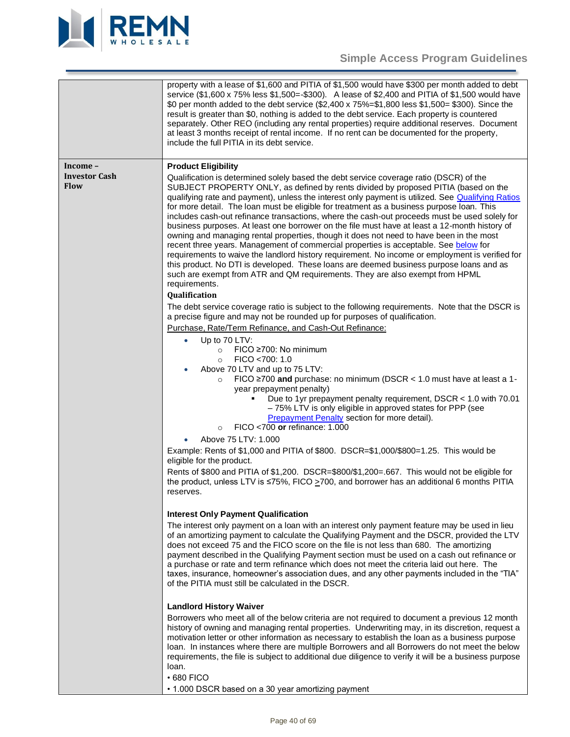

# **Simple Access Program Guidelines**

<span id="page-39-3"></span><span id="page-39-2"></span><span id="page-39-1"></span><span id="page-39-0"></span>

|                                                 | property with a lease of \$1,600 and PITIA of \$1,500 would have \$300 per month added to debt<br>service (\$1,600 x 75% less \$1,500=-\$300). A lease of \$2,400 and PITIA of \$1,500 would have<br>\$0 per month added to the debt service (\$2,400 x 75%=\$1,800 less \$1,500= \$300). Since the<br>result is greater than \$0, nothing is added to the debt service. Each property is countered<br>separately. Other REO (including any rental properties) require additional reserves. Document<br>at least 3 months receipt of rental income. If no rent can be documented for the property,<br>include the full PITIA in its debt service.                                                                                                                                                                                                                                                                                                                                                                                                                                                                 |
|-------------------------------------------------|-------------------------------------------------------------------------------------------------------------------------------------------------------------------------------------------------------------------------------------------------------------------------------------------------------------------------------------------------------------------------------------------------------------------------------------------------------------------------------------------------------------------------------------------------------------------------------------------------------------------------------------------------------------------------------------------------------------------------------------------------------------------------------------------------------------------------------------------------------------------------------------------------------------------------------------------------------------------------------------------------------------------------------------------------------------------------------------------------------------------|
| Income –<br><b>Investor Cash</b><br><b>Flow</b> | <b>Product Eligibility</b><br>Qualification is determined solely based the debt service coverage ratio (DSCR) of the<br>SUBJECT PROPERTY ONLY, as defined by rents divided by proposed PITIA (based on the<br>qualifying rate and payment), unless the interest only payment is utilized. See Qualifying Ratios<br>for more detail. The loan must be eligible for treatment as a business purpose loan. This<br>includes cash-out refinance transactions, where the cash-out proceeds must be used solely for<br>business purposes. At least one borrower on the file must have at least a 12-month history of<br>owning and managing rental properties, though it does not need to have been in the most<br>recent three years. Management of commercial properties is acceptable. See below for<br>requirements to waive the landlord history requirement. No income or employment is verified for<br>this product. No DTI is developed. These loans are deemed business purpose loans and as<br>such are exempt from ATR and QM requirements. They are also exempt from HPML<br>requirements.<br>Qualification |
|                                                 | The debt service coverage ratio is subject to the following requirements. Note that the DSCR is<br>a precise figure and may not be rounded up for purposes of qualification.<br>Purchase, Rate/Term Refinance, and Cash-Out Refinance:<br>Up to 70 LTV:<br>$\bullet$<br>FICO ≥700: No minimum<br>$\circ$<br>FICO <700: 1.0<br>$\circ$<br>Above 70 LTV and up to 75 LTV:<br>FICO $\geq$ 700 and purchase: no minimum (DSCR < 1.0 must have at least a 1-<br>$\circ$<br>year prepayment penalty)<br>Due to 1yr prepayment penalty requirement, DSCR < 1.0 with 70.01<br>- 75% LTV is only eligible in approved states for PPP (see<br><b>Prepayment Penalty section for more detail).</b><br>FICO <700 or refinance: 1.000<br>$\circ$                                                                                                                                                                                                                                                                                                                                                                               |
|                                                 | Above 75 LTV: 1.000<br>Example: Rents of \$1,000 and PITIA of \$800. DSCR=\$1,000/\$800=1.25. This would be<br>eligible for the product.<br>Rents of \$800 and PITIA of \$1,200. DSCR=\$800/\$1,200=.667. This would not be eligible for<br>the product, unless LTV is ≤75%, FICO >700, and borrower has an additional 6 months PITIA<br>reserves.                                                                                                                                                                                                                                                                                                                                                                                                                                                                                                                                                                                                                                                                                                                                                                |
|                                                 | <b>Interest Only Payment Qualification</b><br>The interest only payment on a loan with an interest only payment feature may be used in lieu<br>of an amortizing payment to calculate the Qualifying Payment and the DSCR, provided the LTV<br>does not exceed 75 and the FICO score on the file is not less than 680. The amortizing<br>payment described in the Qualifying Payment section must be used on a cash out refinance or<br>a purchase or rate and term refinance which does not meet the criteria laid out here. The<br>taxes, insurance, homeowner's association dues, and any other payments included in the "TIA"<br>of the PITIA must still be calculated in the DSCR.                                                                                                                                                                                                                                                                                                                                                                                                                            |
|                                                 | <b>Landlord History Waiver</b><br>Borrowers who meet all of the below criteria are not required to document a previous 12 month<br>history of owning and managing rental properties. Underwriting may, in its discretion, request a<br>motivation letter or other information as necessary to establish the loan as a business purpose<br>loan. In instances where there are multiple Borrowers and all Borrowers do not meet the below<br>requirements, the file is subject to additional due diligence to verify it will be a business purpose<br>loan.<br>$\cdot$ 680 FICO<br>• 1.000 DSCR based on a 30 year amortizing payment                                                                                                                                                                                                                                                                                                                                                                                                                                                                               |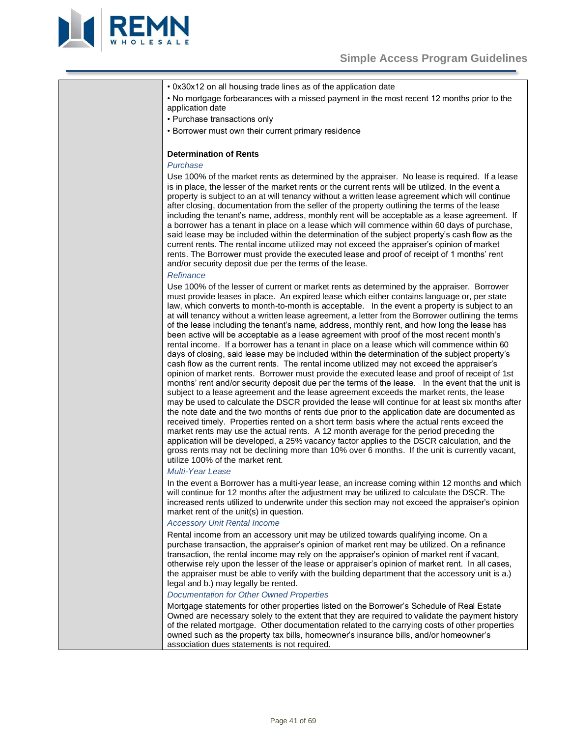

• 0x30x12 on all housing trade lines as of the application date

• No mortgage forbearances with a missed payment in the most recent 12 months prior to the application date

• Purchase transactions only

• Borrower must own their current primary residence

# **Determination of Rents**

### *Purchase*

Use 100% of the market rents as determined by the appraiser. No lease is required. If a lease is in place, the lesser of the market rents or the current rents will be utilized. In the event a property is subject to an at will tenancy without a written lease agreement which will continue after closing, documentation from the seller of the property outlining the terms of the lease including the tenant's name, address, monthly rent will be acceptable as a lease agreement. If a borrower has a tenant in place on a lease which will commence within 60 days of purchase, said lease may be included within the determination of the subject property's cash flow as the current rents. The rental income utilized may not exceed the appraiser's opinion of market rents. The Borrower must provide the executed lease and proof of receipt of 1 months' rent and/or security deposit due per the terms of the lease.

#### *Refinance*

Use 100% of the lesser of current or market rents as determined by the appraiser. Borrower must provide leases in place. An expired lease which either contains language or, per state law, which converts to month-to-month is acceptable. In the event a property is subject to an at will tenancy without a written lease agreement, a letter from the Borrower outlining the terms of the lease including the tenant's name, address, monthly rent, and how long the lease has been active will be acceptable as a lease agreement with proof of the most recent month's rental income. If a borrower has a tenant in place on a lease which will commence within 60 days of closing, said lease may be included within the determination of the subject property's cash flow as the current rents. The rental income utilized may not exceed the appraiser's opinion of market rents. Borrower must provide the executed lease and proof of receipt of 1st months' rent and/or security deposit due per the terms of the lease. In the event that the unit is subject to a lease agreement and the lease agreement exceeds the market rents, the lease may be used to calculate the DSCR provided the lease will continue for at least six months after the note date and the two months of rents due prior to the application date are documented as received timely. Properties rented on a short term basis where the actual rents exceed the market rents may use the actual rents. A 12 month average for the period preceding the application will be developed, a 25% vacancy factor applies to the DSCR calculation, and the gross rents may not be declining more than 10% over 6 months. If the unit is currently vacant, utilize 100% of the market rent.

#### *Multi-Year Lease*

In the event a Borrower has a multi-year lease, an increase coming within 12 months and which will continue for 12 months after the adjustment may be utilized to calculate the DSCR. The increased rents utilized to underwrite under this section may not exceed the appraiser's opinion market rent of the unit(s) in question.

#### *Accessory Unit Rental Income*

Rental income from an accessory unit may be utilized towards qualifying income. On a purchase transaction, the appraiser's opinion of market rent may be utilized. On a refinance transaction, the rental income may rely on the appraiser's opinion of market rent if vacant, otherwise rely upon the lesser of the lease or appraiser's opinion of market rent. In all cases, the appraiser must be able to verify with the building department that the accessory unit is a.) legal and b.) may legally be rented.

#### *Documentation for Other Owned Properties*

Mortgage statements for other properties listed on the Borrower's Schedule of Real Estate Owned are necessary solely to the extent that they are required to validate the payment history of the related mortgage. Other documentation related to the carrying costs of other properties owned such as the property tax bills, homeowner's insurance bills, and/or homeowner's association dues statements is not required.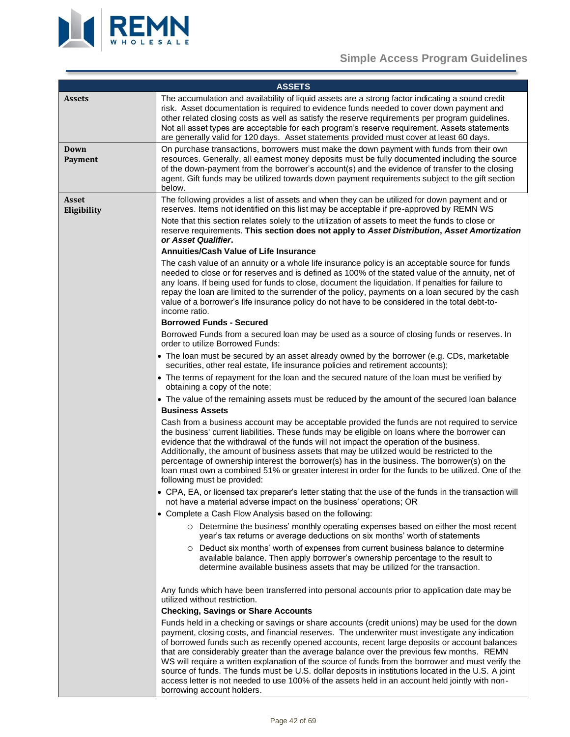

# **Simple Access Program Guidelines**

<span id="page-41-3"></span><span id="page-41-2"></span><span id="page-41-1"></span><span id="page-41-0"></span>

|                             | <b>ASSETS</b>                                                                                                                                                                                                                                                                                                                                                                                                                                                                                                                                                                                                                   |
|-----------------------------|---------------------------------------------------------------------------------------------------------------------------------------------------------------------------------------------------------------------------------------------------------------------------------------------------------------------------------------------------------------------------------------------------------------------------------------------------------------------------------------------------------------------------------------------------------------------------------------------------------------------------------|
| <b>Assets</b>               | The accumulation and availability of liquid assets are a strong factor indicating a sound credit<br>risk. Asset documentation is required to evidence funds needed to cover down payment and<br>other related closing costs as well as satisfy the reserve requirements per program guidelines.<br>Not all asset types are acceptable for each program's reserve requirement. Assets statements<br>are generally valid for 120 days. Asset statements provided must cover at least 60 days.                                                                                                                                     |
| Down<br>Payment             | On purchase transactions, borrowers must make the down payment with funds from their own<br>resources. Generally, all earnest money deposits must be fully documented including the source<br>of the down-payment from the borrower's account(s) and the evidence of transfer to the closing<br>agent. Gift funds may be utilized towards down payment requirements subject to the gift section<br>below.                                                                                                                                                                                                                       |
| <b>Asset</b><br>Eligibility | The following provides a list of assets and when they can be utilized for down payment and or<br>reserves. Items not identified on this list may be acceptable if pre-approved by REMN WS<br>Note that this section relates solely to the utilization of assets to meet the funds to close or<br>reserve requirements. This section does not apply to Asset Distribution, Asset Amortization<br>or Asset Qualifier.                                                                                                                                                                                                             |
|                             | <b>Annuities/Cash Value of Life Insurance</b>                                                                                                                                                                                                                                                                                                                                                                                                                                                                                                                                                                                   |
|                             | The cash value of an annuity or a whole life insurance policy is an acceptable source for funds<br>needed to close or for reserves and is defined as 100% of the stated value of the annuity, net of<br>any loans. If being used for funds to close, document the liquidation. If penalties for failure to<br>repay the loan are limited to the surrender of the policy, payments on a loan secured by the cash<br>value of a borrower's life insurance policy do not have to be considered in the total debt-to-<br>income ratio.                                                                                              |
|                             | <b>Borrowed Funds - Secured</b>                                                                                                                                                                                                                                                                                                                                                                                                                                                                                                                                                                                                 |
|                             | Borrowed Funds from a secured loan may be used as a source of closing funds or reserves. In<br>order to utilize Borrowed Funds:                                                                                                                                                                                                                                                                                                                                                                                                                                                                                                 |
|                             | • The loan must be secured by an asset already owned by the borrower (e.g. CDs, marketable<br>securities, other real estate, life insurance policies and retirement accounts);                                                                                                                                                                                                                                                                                                                                                                                                                                                  |
|                             | • The terms of repayment for the loan and the secured nature of the loan must be verified by<br>obtaining a copy of the note;                                                                                                                                                                                                                                                                                                                                                                                                                                                                                                   |
|                             | • The value of the remaining assets must be reduced by the amount of the secured loan balance                                                                                                                                                                                                                                                                                                                                                                                                                                                                                                                                   |
|                             | <b>Business Assets</b>                                                                                                                                                                                                                                                                                                                                                                                                                                                                                                                                                                                                          |
|                             | Cash from a business account may be acceptable provided the funds are not required to service<br>the business' current liabilities. These funds may be eligible on loans where the borrower can<br>evidence that the withdrawal of the funds will not impact the operation of the business.<br>Additionally, the amount of business assets that may be utilized would be restricted to the<br>percentage of ownership interest the borrower(s) has in the business. The borrower(s) on the<br>loan must own a combined 51% or greater interest in order for the funds to be utilized. One of the<br>following must be provided: |
|                             | • CPA, EA, or licensed tax preparer's letter stating that the use of the funds in the transaction will<br>not have a material adverse impact on the business' operations; OR                                                                                                                                                                                                                                                                                                                                                                                                                                                    |
|                             | • Complete a Cash Flow Analysis based on the following:                                                                                                                                                                                                                                                                                                                                                                                                                                                                                                                                                                         |
|                             | ○ Determine the business' monthly operating expenses based on either the most recent<br>year's tax returns or average deductions on six months' worth of statements                                                                                                                                                                                                                                                                                                                                                                                                                                                             |
|                             | $\circ$ Deduct six months' worth of expenses from current business balance to determine<br>available balance. Then apply borrower's ownership percentage to the result to<br>determine available business assets that may be utilized for the transaction.                                                                                                                                                                                                                                                                                                                                                                      |
|                             | Any funds which have been transferred into personal accounts prior to application date may be<br>utilized without restriction.                                                                                                                                                                                                                                                                                                                                                                                                                                                                                                  |
|                             | <b>Checking, Savings or Share Accounts</b>                                                                                                                                                                                                                                                                                                                                                                                                                                                                                                                                                                                      |
|                             | Funds held in a checking or savings or share accounts (credit unions) may be used for the down<br>payment, closing costs, and financial reserves. The underwriter must investigate any indication<br>of borrowed funds such as recently opened accounts, recent large deposits or account balances<br>that are considerably greater than the average balance over the previous few months. REMN<br>WS will require a written explanation of the source of funds from the borrower and must verify the<br>source of funds. The funds must be U.S. dollar deposits in institutions located in the U.S. A joint                    |
|                             | access letter is not needed to use 100% of the assets held in an account held jointly with non-                                                                                                                                                                                                                                                                                                                                                                                                                                                                                                                                 |

borrowing account holders.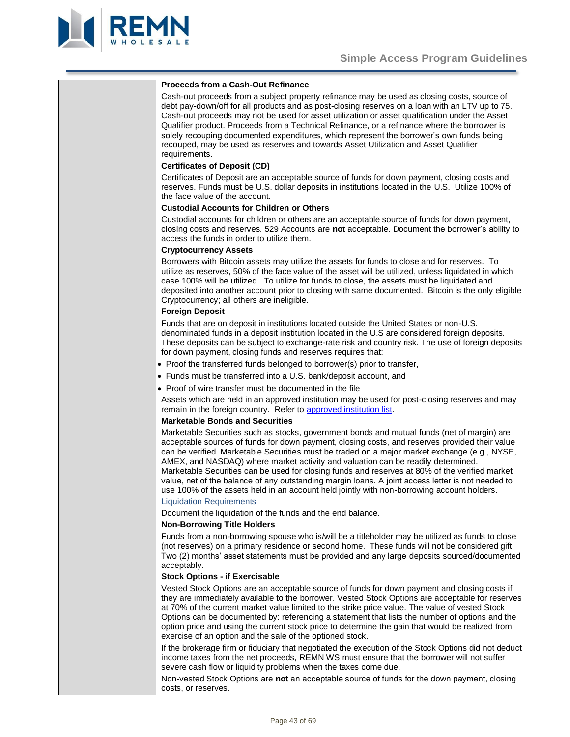

| <b>Proceeds from a Cash-Out Refinance</b>                                                                                                                                                                                                                                                                                                                                                                                                                                                                                                                                                                                                                                                                                  |
|----------------------------------------------------------------------------------------------------------------------------------------------------------------------------------------------------------------------------------------------------------------------------------------------------------------------------------------------------------------------------------------------------------------------------------------------------------------------------------------------------------------------------------------------------------------------------------------------------------------------------------------------------------------------------------------------------------------------------|
| Cash-out proceeds from a subject property refinance may be used as closing costs, source of<br>debt pay-down/off for all products and as post-closing reserves on a loan with an LTV up to 75.<br>Cash-out proceeds may not be used for asset utilization or asset qualification under the Asset<br>Qualifier product. Proceeds from a Technical Refinance, or a refinance where the borrower is<br>solely recouping documented expenditures, which represent the borrower's own funds being<br>recouped, may be used as reserves and towards Asset Utilization and Asset Qualifier<br>requirements.                                                                                                                       |
|                                                                                                                                                                                                                                                                                                                                                                                                                                                                                                                                                                                                                                                                                                                            |
| <b>Certificates of Deposit (CD)</b>                                                                                                                                                                                                                                                                                                                                                                                                                                                                                                                                                                                                                                                                                        |
| Certificates of Deposit are an acceptable source of funds for down payment, closing costs and<br>reserves. Funds must be U.S. dollar deposits in institutions located in the U.S. Utilize 100% of<br>the face value of the account.                                                                                                                                                                                                                                                                                                                                                                                                                                                                                        |
| <b>Custodial Accounts for Children or Others</b>                                                                                                                                                                                                                                                                                                                                                                                                                                                                                                                                                                                                                                                                           |
| Custodial accounts for children or others are an acceptable source of funds for down payment,<br>closing costs and reserves. 529 Accounts are not acceptable. Document the borrower's ability to<br>access the funds in order to utilize them.                                                                                                                                                                                                                                                                                                                                                                                                                                                                             |
| <b>Cryptocurrency Assets</b>                                                                                                                                                                                                                                                                                                                                                                                                                                                                                                                                                                                                                                                                                               |
| Borrowers with Bitcoin assets may utilize the assets for funds to close and for reserves. To<br>utilize as reserves, 50% of the face value of the asset will be utilized, unless liquidated in which<br>case 100% will be utilized. To utilize for funds to close, the assets must be liquidated and<br>deposited into another account prior to closing with same documented. Bitcoin is the only eligible<br>Cryptocurrency; all others are ineligible.                                                                                                                                                                                                                                                                   |
| <b>Foreign Deposit</b>                                                                                                                                                                                                                                                                                                                                                                                                                                                                                                                                                                                                                                                                                                     |
| Funds that are on deposit in institutions located outside the United States or non-U.S.<br>denominated funds in a deposit institution located in the U.S are considered foreign deposits.<br>These deposits can be subject to exchange-rate risk and country risk. The use of foreign deposits<br>for down payment, closing funds and reserves requires that:                                                                                                                                                                                                                                                                                                                                                              |
| • Proof the transferred funds belonged to borrower(s) prior to transfer,                                                                                                                                                                                                                                                                                                                                                                                                                                                                                                                                                                                                                                                   |
| • Funds must be transferred into a U.S. bank/deposit account, and                                                                                                                                                                                                                                                                                                                                                                                                                                                                                                                                                                                                                                                          |
| • Proof of wire transfer must be documented in the file                                                                                                                                                                                                                                                                                                                                                                                                                                                                                                                                                                                                                                                                    |
| Assets which are held in an approved institution may be used for post-closing reserves and may<br>remain in the foreign country. Refer to approved institution list.                                                                                                                                                                                                                                                                                                                                                                                                                                                                                                                                                       |
| <b>Marketable Bonds and Securities</b>                                                                                                                                                                                                                                                                                                                                                                                                                                                                                                                                                                                                                                                                                     |
| Marketable Securities such as stocks, government bonds and mutual funds (net of margin) are<br>acceptable sources of funds for down payment, closing costs, and reserves provided their value<br>can be verified. Marketable Securities must be traded on a major market exchange (e.g., NYSE,<br>AMEX, and NASDAQ) where market activity and valuation can be readily determined.<br>Marketable Securities can be used for closing funds and reserves at 80% of the verified market<br>value, net of the balance of any outstanding margin loans. A joint access letter is not needed to<br>use 100% of the assets held in an account held jointly with non-borrowing account holders.<br><b>Liquidation Requirements</b> |
| Document the liquidation of the funds and the end balance.                                                                                                                                                                                                                                                                                                                                                                                                                                                                                                                                                                                                                                                                 |
| <b>Non-Borrowing Title Holders</b>                                                                                                                                                                                                                                                                                                                                                                                                                                                                                                                                                                                                                                                                                         |
| Funds from a non-borrowing spouse who is/will be a titleholder may be utilized as funds to close<br>(not reserves) on a primary residence or second home. These funds will not be considered gift.<br>Two (2) months' asset statements must be provided and any large deposits sourced/documented<br>acceptably.                                                                                                                                                                                                                                                                                                                                                                                                           |
| <b>Stock Options - if Exercisable</b>                                                                                                                                                                                                                                                                                                                                                                                                                                                                                                                                                                                                                                                                                      |
| Vested Stock Options are an acceptable source of funds for down payment and closing costs if<br>they are immediately available to the borrower. Vested Stock Options are acceptable for reserves<br>at 70% of the current market value limited to the strike price value. The value of vested Stock<br>Options can be documented by: referencing a statement that lists the number of options and the<br>option price and using the current stock price to determine the gain that would be realized from<br>exercise of an option and the sale of the optioned stock.                                                                                                                                                     |
| If the brokerage firm or fiduciary that negotiated the execution of the Stock Options did not deduct<br>income taxes from the net proceeds, REMN WS must ensure that the borrower will not suffer<br>severe cash flow or liquidity problems when the taxes come due.                                                                                                                                                                                                                                                                                                                                                                                                                                                       |
| Non-vested Stock Options are not an acceptable source of funds for the down payment, closing                                                                                                                                                                                                                                                                                                                                                                                                                                                                                                                                                                                                                               |

costs, or reserves.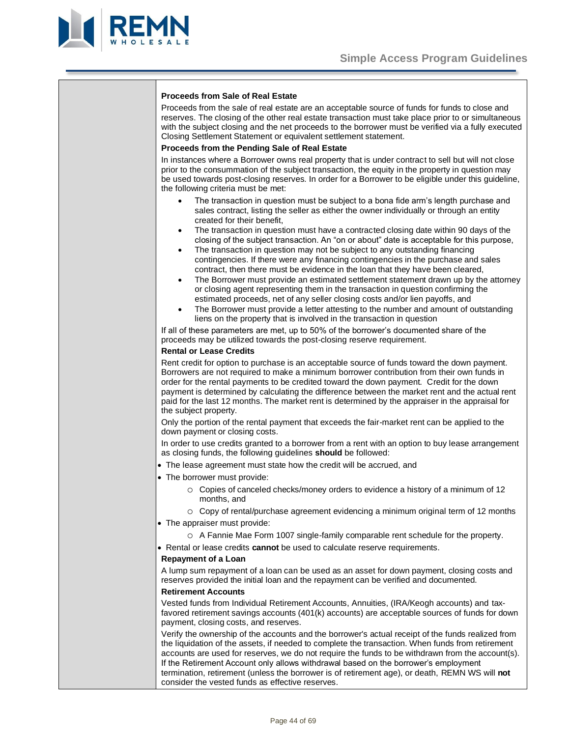

### **Proceeds from Sale of Real Estate**

Proceeds from the sale of real estate are an acceptable source of funds for funds to close and reserves. The closing of the other real estate transaction must take place prior to or simultaneous with the subject closing and the net proceeds to the borrower must be verified via a fully executed Closing Settlement Statement or equivalent settlement statement.

# **Proceeds from the Pending Sale of Real Estate**

In instances where a Borrower owns real property that is under contract to sell but will not close prior to the consummation of the subject transaction, the equity in the property in question may be used towards post-closing reserves. In order for a Borrower to be eligible under this guideline, the following criteria must be met:

- The transaction in question must be subject to a bona fide arm's length purchase and sales contract, listing the seller as either the owner individually or through an entity created for their benefit,
- The transaction in question must have a contracted closing date within 90 days of the closing of the subject transaction. An "on or about" date is acceptable for this purpose,
- The transaction in question may not be subject to any outstanding financing contingencies. If there were any financing contingencies in the purchase and sales contract, then there must be evidence in the loan that they have been cleared,
- The Borrower must provide an estimated settlement statement drawn up by the attorney or closing agent representing them in the transaction in question confirming the estimated proceeds, net of any seller closing costs and/or lien payoffs, and
- The Borrower must provide a letter attesting to the number and amount of outstanding liens on the property that is involved in the transaction in question

If all of these parameters are met, up to 50% of the borrower's documented share of the proceeds may be utilized towards the post-closing reserve requirement.

#### **Rental or Lease Credits**

Rent credit for option to purchase is an acceptable source of funds toward the down payment. Borrowers are not required to make a minimum borrower contribution from their own funds in order for the rental payments to be credited toward the down payment. Credit for the down payment is determined by calculating the difference between the market rent and the actual rent paid for the last 12 months. The market rent is determined by the appraiser in the appraisal for the subject property.

Only the portion of the rental payment that exceeds the fair-market rent can be applied to the down payment or closing costs.

In order to use credits granted to a borrower from a rent with an option to buy lease arrangement as closing funds, the following guidelines **should** be followed:

- The lease agreement must state how the credit will be accrued, and
- The borrower must provide:
	- o Copies of canceled checks/money orders to evidence a history of a minimum of 12 months, and
- o Copy of rental/purchase agreement evidencing a minimum original term of 12 months • The appraiser must provide:
	- o A Fannie Mae Form 1007 single-family comparable rent schedule for the property.
- Rental or lease credits **cannot** be used to calculate reserve requirements.

#### **Repayment of a Loan**

A lump sum repayment of a loan can be used as an asset for down payment, closing costs and reserves provided the initial loan and the repayment can be verified and documented.

#### **Retirement Accounts**

Vested funds from Individual Retirement Accounts, Annuities, (IRA/Keogh accounts) and taxfavored retirement savings accounts (401(k) accounts) are acceptable sources of funds for down payment, closing costs, and reserves.

Verify the ownership of the accounts and the borrower's actual receipt of the funds realized from the liquidation of the assets, if needed to complete the transaction. When funds from retirement accounts are used for reserves, we do not require the funds to be withdrawn from the account(s). If the Retirement Account only allows withdrawal based on the borrower's employment termination, retirement (unless the borrower is of retirement age), or death, REMN WS will **not**  consider the vested funds as effective reserves.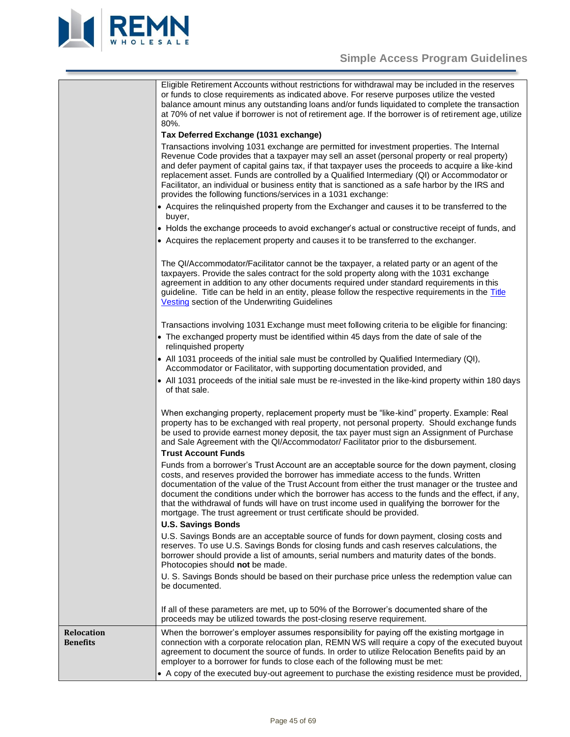



<span id="page-44-0"></span>

|                                      | Eligible Retirement Accounts without restrictions for withdrawal may be included in the reserves<br>or funds to close requirements as indicated above. For reserve purposes utilize the vested<br>balance amount minus any outstanding loans and/or funds liquidated to complete the transaction<br>at 70% of net value if borrower is not of retirement age. If the borrower is of retirement age, utilize<br>80%.<br>Tax Deferred Exchange (1031 exchange)                                                                                                             |
|--------------------------------------|--------------------------------------------------------------------------------------------------------------------------------------------------------------------------------------------------------------------------------------------------------------------------------------------------------------------------------------------------------------------------------------------------------------------------------------------------------------------------------------------------------------------------------------------------------------------------|
|                                      | Transactions involving 1031 exchange are permitted for investment properties. The Internal<br>Revenue Code provides that a taxpayer may sell an asset (personal property or real property)<br>and defer payment of capital gains tax, if that taxpayer uses the proceeds to acquire a like-kind<br>replacement asset. Funds are controlled by a Qualified Intermediary (QI) or Accommodator or<br>Facilitator, an individual or business entity that is sanctioned as a safe harbor by the IRS and<br>provides the following functions/services in a 1031 exchange:      |
|                                      | • Acquires the relinquished property from the Exchanger and causes it to be transferred to the<br>buyer,                                                                                                                                                                                                                                                                                                                                                                                                                                                                 |
|                                      | • Holds the exchange proceeds to avoid exchanger's actual or constructive receipt of funds, and                                                                                                                                                                                                                                                                                                                                                                                                                                                                          |
|                                      | • Acquires the replacement property and causes it to be transferred to the exchanger.                                                                                                                                                                                                                                                                                                                                                                                                                                                                                    |
|                                      | The QI/Accommodator/Facilitator cannot be the taxpayer, a related party or an agent of the<br>taxpayers. Provide the sales contract for the sold property along with the 1031 exchange<br>agreement in addition to any other documents required under standard requirements in this<br>guideline. Title can be held in an entity, please follow the respective requirements in the Title<br><b>Vesting</b> section of the Underwriting Guidelines                                                                                                                        |
|                                      | Transactions involving 1031 Exchange must meet following criteria to be eligible for financing:                                                                                                                                                                                                                                                                                                                                                                                                                                                                          |
|                                      | • The exchanged property must be identified within 45 days from the date of sale of the<br>relinquished property                                                                                                                                                                                                                                                                                                                                                                                                                                                         |
|                                      | • All 1031 proceeds of the initial sale must be controlled by Qualified Intermediary (QI),<br>Accommodator or Facilitator, with supporting documentation provided, and                                                                                                                                                                                                                                                                                                                                                                                                   |
|                                      | • All 1031 proceeds of the initial sale must be re-invested in the like-kind property within 180 days<br>of that sale.                                                                                                                                                                                                                                                                                                                                                                                                                                                   |
|                                      | When exchanging property, replacement property must be "like-kind" property. Example: Real<br>property has to be exchanged with real property, not personal property. Should exchange funds<br>be used to provide earnest money deposit, the tax payer must sign an Assignment of Purchase<br>and Sale Agreement with the QI/Accommodator/ Facilitator prior to the disbursement.<br><b>Trust Account Funds</b>                                                                                                                                                          |
|                                      | Funds from a borrower's Trust Account are an acceptable source for the down payment, closing<br>costs, and reserves provided the borrower has immediate access to the funds. Written<br>documentation of the value of the Trust Account from either the trust manager or the trustee and<br>document the conditions under which the borrower has access to the funds and the effect, if any,<br>that the withdrawal of funds will have on trust income used in qualifying the borrower for the<br>mortgage. The trust agreement or trust certificate should be provided. |
|                                      | <b>U.S. Savings Bonds</b><br>U.S. Savings Bonds are an acceptable source of funds for down payment, closing costs and<br>reserves. To use U.S. Savings Bonds for closing funds and cash reserves calculations, the<br>borrower should provide a list of amounts, serial numbers and maturity dates of the bonds.<br>Photocopies should not be made.                                                                                                                                                                                                                      |
|                                      | U. S. Savings Bonds should be based on their purchase price unless the redemption value can<br>be documented.                                                                                                                                                                                                                                                                                                                                                                                                                                                            |
|                                      | If all of these parameters are met, up to 50% of the Borrower's documented share of the<br>proceeds may be utilized towards the post-closing reserve requirement.                                                                                                                                                                                                                                                                                                                                                                                                        |
| <b>Relocation</b><br><b>Benefits</b> | When the borrower's employer assumes responsibility for paying off the existing mortgage in<br>connection with a corporate relocation plan, REMN WS will require a copy of the executed buyout<br>agreement to document the source of funds. In order to utilize Relocation Benefits paid by an<br>employer to a borrower for funds to close each of the following must be met:<br>• A copy of the executed buy-out agreement to purchase the existing residence must be provided,                                                                                       |
|                                      |                                                                                                                                                                                                                                                                                                                                                                                                                                                                                                                                                                          |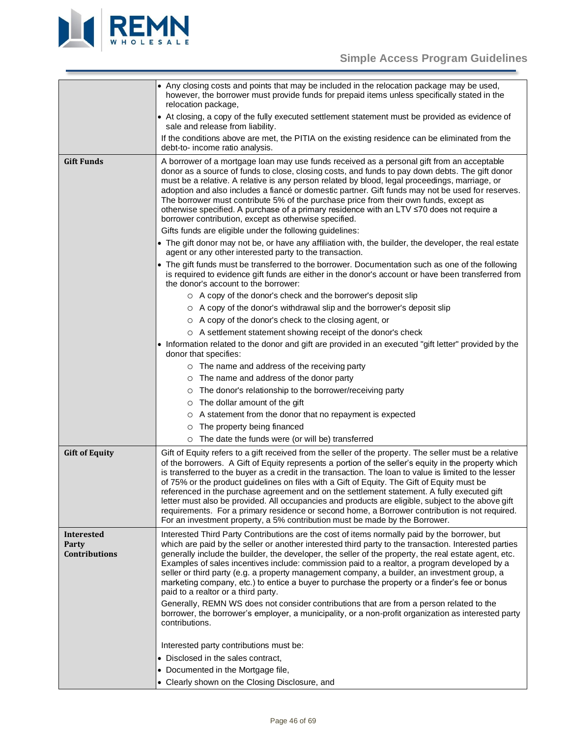

<span id="page-45-2"></span><span id="page-45-1"></span><span id="page-45-0"></span>

|                                                                                                                                                                                                                                                                                                                                                                                                                                                                                                                                                                                          | • Any closing costs and points that may be included in the relocation package may be used,<br>however, the borrower must provide funds for prepaid items unless specifically stated in the<br>relocation package,                                                                                                                                                                                                                                                                                                                                                                                                                                                                                                                                                                                              |  |
|------------------------------------------------------------------------------------------------------------------------------------------------------------------------------------------------------------------------------------------------------------------------------------------------------------------------------------------------------------------------------------------------------------------------------------------------------------------------------------------------------------------------------------------------------------------------------------------|----------------------------------------------------------------------------------------------------------------------------------------------------------------------------------------------------------------------------------------------------------------------------------------------------------------------------------------------------------------------------------------------------------------------------------------------------------------------------------------------------------------------------------------------------------------------------------------------------------------------------------------------------------------------------------------------------------------------------------------------------------------------------------------------------------------|--|
|                                                                                                                                                                                                                                                                                                                                                                                                                                                                                                                                                                                          | • At closing, a copy of the fully executed settlement statement must be provided as evidence of<br>sale and release from liability.                                                                                                                                                                                                                                                                                                                                                                                                                                                                                                                                                                                                                                                                            |  |
|                                                                                                                                                                                                                                                                                                                                                                                                                                                                                                                                                                                          | If the conditions above are met, the PITIA on the existing residence can be eliminated from the<br>debt-to- income ratio analysis.                                                                                                                                                                                                                                                                                                                                                                                                                                                                                                                                                                                                                                                                             |  |
| <b>Gift Funds</b>                                                                                                                                                                                                                                                                                                                                                                                                                                                                                                                                                                        | A borrower of a mortgage loan may use funds received as a personal gift from an acceptable<br>donor as a source of funds to close, closing costs, and funds to pay down debts. The gift donor<br>must be a relative. A relative is any person related by blood, legal proceedings, marriage, or<br>adoption and also includes a fiancé or domestic partner. Gift funds may not be used for reserves.<br>The borrower must contribute 5% of the purchase price from their own funds, except as<br>otherwise specified. A purchase of a primary residence with an LTV ≤70 does not require a<br>borrower contribution, except as otherwise specified.                                                                                                                                                            |  |
|                                                                                                                                                                                                                                                                                                                                                                                                                                                                                                                                                                                          | Gifts funds are eligible under the following guidelines:                                                                                                                                                                                                                                                                                                                                                                                                                                                                                                                                                                                                                                                                                                                                                       |  |
|                                                                                                                                                                                                                                                                                                                                                                                                                                                                                                                                                                                          | • The gift donor may not be, or have any affiliation with, the builder, the developer, the real estate<br>agent or any other interested party to the transaction.                                                                                                                                                                                                                                                                                                                                                                                                                                                                                                                                                                                                                                              |  |
|                                                                                                                                                                                                                                                                                                                                                                                                                                                                                                                                                                                          | • The gift funds must be transferred to the borrower. Documentation such as one of the following<br>is required to evidence gift funds are either in the donor's account or have been transferred from<br>the donor's account to the borrower:                                                                                                                                                                                                                                                                                                                                                                                                                                                                                                                                                                 |  |
|                                                                                                                                                                                                                                                                                                                                                                                                                                                                                                                                                                                          | O A copy of the donor's check and the borrower's deposit slip                                                                                                                                                                                                                                                                                                                                                                                                                                                                                                                                                                                                                                                                                                                                                  |  |
|                                                                                                                                                                                                                                                                                                                                                                                                                                                                                                                                                                                          | ○ A copy of the donor's withdrawal slip and the borrower's deposit slip                                                                                                                                                                                                                                                                                                                                                                                                                                                                                                                                                                                                                                                                                                                                        |  |
|                                                                                                                                                                                                                                                                                                                                                                                                                                                                                                                                                                                          | ○ A copy of the donor's check to the closing agent, or                                                                                                                                                                                                                                                                                                                                                                                                                                                                                                                                                                                                                                                                                                                                                         |  |
|                                                                                                                                                                                                                                                                                                                                                                                                                                                                                                                                                                                          | O A settlement statement showing receipt of the donor's check                                                                                                                                                                                                                                                                                                                                                                                                                                                                                                                                                                                                                                                                                                                                                  |  |
|                                                                                                                                                                                                                                                                                                                                                                                                                                                                                                                                                                                          | • Information related to the donor and gift are provided in an executed "gift letter" provided by the<br>donor that specifies:                                                                                                                                                                                                                                                                                                                                                                                                                                                                                                                                                                                                                                                                                 |  |
|                                                                                                                                                                                                                                                                                                                                                                                                                                                                                                                                                                                          | o The name and address of the receiving party                                                                                                                                                                                                                                                                                                                                                                                                                                                                                                                                                                                                                                                                                                                                                                  |  |
|                                                                                                                                                                                                                                                                                                                                                                                                                                                                                                                                                                                          | O The name and address of the donor party                                                                                                                                                                                                                                                                                                                                                                                                                                                                                                                                                                                                                                                                                                                                                                      |  |
|                                                                                                                                                                                                                                                                                                                                                                                                                                                                                                                                                                                          | o The donor's relationship to the borrower/receiving party                                                                                                                                                                                                                                                                                                                                                                                                                                                                                                                                                                                                                                                                                                                                                     |  |
|                                                                                                                                                                                                                                                                                                                                                                                                                                                                                                                                                                                          | o The dollar amount of the gift                                                                                                                                                                                                                                                                                                                                                                                                                                                                                                                                                                                                                                                                                                                                                                                |  |
|                                                                                                                                                                                                                                                                                                                                                                                                                                                                                                                                                                                          | O A statement from the donor that no repayment is expected                                                                                                                                                                                                                                                                                                                                                                                                                                                                                                                                                                                                                                                                                                                                                     |  |
|                                                                                                                                                                                                                                                                                                                                                                                                                                                                                                                                                                                          | The property being financed<br>$\circ$                                                                                                                                                                                                                                                                                                                                                                                                                                                                                                                                                                                                                                                                                                                                                                         |  |
|                                                                                                                                                                                                                                                                                                                                                                                                                                                                                                                                                                                          | The date the funds were (or will be) transferred<br>$\circ$                                                                                                                                                                                                                                                                                                                                                                                                                                                                                                                                                                                                                                                                                                                                                    |  |
| <b>Gift of Equity</b>                                                                                                                                                                                                                                                                                                                                                                                                                                                                                                                                                                    | Gift of Equity refers to a gift received from the seller of the property. The seller must be a relative<br>of the borrowers. A Gift of Equity represents a portion of the seller's equity in the property which<br>is transferred to the buyer as a credit in the transaction. The loan to value is limited to the lesser<br>of 75% or the product guidelines on files with a Gift of Equity. The Gift of Equity must be<br>referenced in the purchase agreement and on the settlement statement. A fully executed gift<br>letter must also be provided. All occupancies and products are eligible, subject to the above gift<br>requirements. For a primary residence or second home, a Borrower contribution is not required.<br>For an investment property, a 5% contribution must be made by the Borrower. |  |
| <b>Interested</b>                                                                                                                                                                                                                                                                                                                                                                                                                                                                                                                                                                        | Interested Third Party Contributions are the cost of items normally paid by the borrower, but                                                                                                                                                                                                                                                                                                                                                                                                                                                                                                                                                                                                                                                                                                                  |  |
| which are paid by the seller or another interested third party to the transaction. Interested parties<br>Party<br>generally include the builder, the developer, the seller of the property, the real estate agent, etc.<br><b>Contributions</b><br>Examples of sales incentives include: commission paid to a realtor, a program developed by a<br>seller or third party (e.g. a property management company, a builder, an investment group, a<br>marketing company, etc.) to entice a buyer to purchase the property or a finder's fee or bonus<br>paid to a realtor or a third party. |                                                                                                                                                                                                                                                                                                                                                                                                                                                                                                                                                                                                                                                                                                                                                                                                                |  |
|                                                                                                                                                                                                                                                                                                                                                                                                                                                                                                                                                                                          | Generally, REMN WS does not consider contributions that are from a person related to the<br>borrower, the borrower's employer, a municipality, or a non-profit organization as interested party<br>contributions.                                                                                                                                                                                                                                                                                                                                                                                                                                                                                                                                                                                              |  |
|                                                                                                                                                                                                                                                                                                                                                                                                                                                                                                                                                                                          | Interested party contributions must be:                                                                                                                                                                                                                                                                                                                                                                                                                                                                                                                                                                                                                                                                                                                                                                        |  |
|                                                                                                                                                                                                                                                                                                                                                                                                                                                                                                                                                                                          | • Disclosed in the sales contract,                                                                                                                                                                                                                                                                                                                                                                                                                                                                                                                                                                                                                                                                                                                                                                             |  |
|                                                                                                                                                                                                                                                                                                                                                                                                                                                                                                                                                                                          | • Documented in the Mortgage file,                                                                                                                                                                                                                                                                                                                                                                                                                                                                                                                                                                                                                                                                                                                                                                             |  |
|                                                                                                                                                                                                                                                                                                                                                                                                                                                                                                                                                                                          | • Clearly shown on the Closing Disclosure, and                                                                                                                                                                                                                                                                                                                                                                                                                                                                                                                                                                                                                                                                                                                                                                 |  |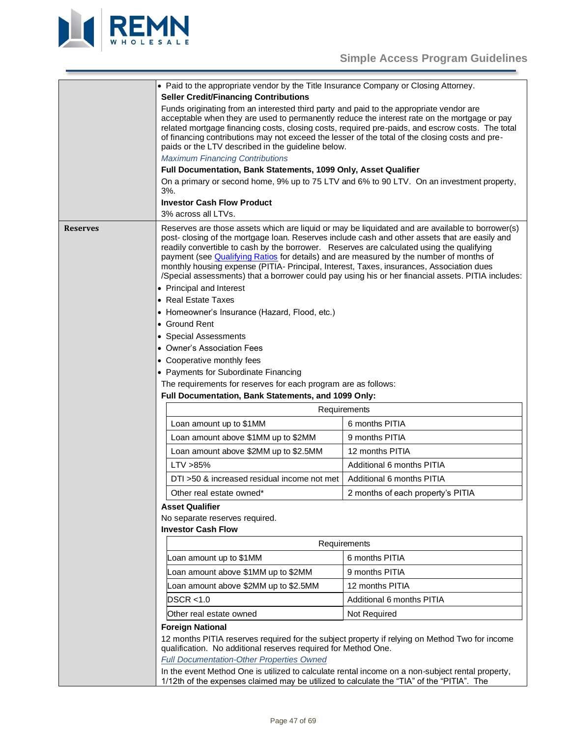

<span id="page-46-0"></span>

| • Paid to the appropriate vendor by the Title Insurance Company or Closing Attorney.<br><b>Seller Credit/Financing Contributions</b> |                                                                                                                                                                                                                                                                                                                                                                                                                                                                                                                                                                                                                          |                                   |  |
|--------------------------------------------------------------------------------------------------------------------------------------|--------------------------------------------------------------------------------------------------------------------------------------------------------------------------------------------------------------------------------------------------------------------------------------------------------------------------------------------------------------------------------------------------------------------------------------------------------------------------------------------------------------------------------------------------------------------------------------------------------------------------|-----------------------------------|--|
|                                                                                                                                      | Funds originating from an interested third party and paid to the appropriate vendor are<br>acceptable when they are used to permanently reduce the interest rate on the mortgage or pay<br>related mortgage financing costs, closing costs, required pre-paids, and escrow costs. The total<br>of financing contributions may not exceed the lesser of the total of the closing costs and pre-<br>paids or the LTV described in the guideline below.<br><b>Maximum Financing Contributions</b><br>Full Documentation, Bank Statements, 1099 Only, Asset Qualifier                                                        |                                   |  |
|                                                                                                                                      | On a primary or second home, 9% up to 75 LTV and 6% to 90 LTV. On an investment property,<br>3%.                                                                                                                                                                                                                                                                                                                                                                                                                                                                                                                         |                                   |  |
|                                                                                                                                      | <b>Investor Cash Flow Product</b>                                                                                                                                                                                                                                                                                                                                                                                                                                                                                                                                                                                        |                                   |  |
|                                                                                                                                      | 3% across all LTVs.                                                                                                                                                                                                                                                                                                                                                                                                                                                                                                                                                                                                      |                                   |  |
| <b>Reserves</b>                                                                                                                      | Reserves are those assets which are liquid or may be liquidated and are available to borrower(s)<br>post- closing of the mortgage loan. Reserves include cash and other assets that are easily and<br>readily convertible to cash by the borrower. Reserves are calculated using the qualifying<br>payment (see Qualifying Ratios for details) and are measured by the number of months of<br>monthly housing expense (PITIA- Principal, Interest, Taxes, insurances, Association dues<br>/Special assessments) that a borrower could pay using his or her financial assets. PITIA includes:<br>• Principal and Interest |                                   |  |
|                                                                                                                                      | • Real Estate Taxes                                                                                                                                                                                                                                                                                                                                                                                                                                                                                                                                                                                                      |                                   |  |
| • Homeowner's Insurance (Hazard, Flood, etc.)                                                                                        |                                                                                                                                                                                                                                                                                                                                                                                                                                                                                                                                                                                                                          |                                   |  |
|                                                                                                                                      | • Ground Rent                                                                                                                                                                                                                                                                                                                                                                                                                                                                                                                                                                                                            |                                   |  |
|                                                                                                                                      | • Special Assessments                                                                                                                                                                                                                                                                                                                                                                                                                                                                                                                                                                                                    |                                   |  |
|                                                                                                                                      | • Owner's Association Fees                                                                                                                                                                                                                                                                                                                                                                                                                                                                                                                                                                                               |                                   |  |
|                                                                                                                                      | • Cooperative monthly fees                                                                                                                                                                                                                                                                                                                                                                                                                                                                                                                                                                                               |                                   |  |
|                                                                                                                                      | • Payments for Subordinate Financing<br>The requirements for reserves for each program are as follows:                                                                                                                                                                                                                                                                                                                                                                                                                                                                                                                   |                                   |  |
|                                                                                                                                      | Full Documentation, Bank Statements, and 1099 Only:                                                                                                                                                                                                                                                                                                                                                                                                                                                                                                                                                                      |                                   |  |
|                                                                                                                                      | Requirements                                                                                                                                                                                                                                                                                                                                                                                                                                                                                                                                                                                                             |                                   |  |
|                                                                                                                                      | Loan amount up to \$1MM                                                                                                                                                                                                                                                                                                                                                                                                                                                                                                                                                                                                  | 6 months PITIA                    |  |
|                                                                                                                                      | Loan amount above \$1MM up to \$2MM                                                                                                                                                                                                                                                                                                                                                                                                                                                                                                                                                                                      | 9 months PITIA                    |  |
|                                                                                                                                      | Loan amount above \$2MM up to \$2.5MM                                                                                                                                                                                                                                                                                                                                                                                                                                                                                                                                                                                    | 12 months PITIA                   |  |
|                                                                                                                                      | LTV > 85%                                                                                                                                                                                                                                                                                                                                                                                                                                                                                                                                                                                                                | Additional 6 months PITIA         |  |
|                                                                                                                                      | DTI >50 & increased residual income not met                                                                                                                                                                                                                                                                                                                                                                                                                                                                                                                                                                              | Additional 6 months PITIA         |  |
|                                                                                                                                      | Other real estate owned*                                                                                                                                                                                                                                                                                                                                                                                                                                                                                                                                                                                                 | 2 months of each property's PITIA |  |
|                                                                                                                                      | <b>Asset Qualifier</b>                                                                                                                                                                                                                                                                                                                                                                                                                                                                                                                                                                                                   |                                   |  |
|                                                                                                                                      | No separate reserves required.                                                                                                                                                                                                                                                                                                                                                                                                                                                                                                                                                                                           |                                   |  |
|                                                                                                                                      | <b>Investor Cash Flow</b>                                                                                                                                                                                                                                                                                                                                                                                                                                                                                                                                                                                                |                                   |  |
| Requirements                                                                                                                         |                                                                                                                                                                                                                                                                                                                                                                                                                                                                                                                                                                                                                          |                                   |  |
|                                                                                                                                      | Loan amount up to \$1MM                                                                                                                                                                                                                                                                                                                                                                                                                                                                                                                                                                                                  | 6 months PITIA                    |  |
|                                                                                                                                      | Loan amount above \$1MM up to \$2MM                                                                                                                                                                                                                                                                                                                                                                                                                                                                                                                                                                                      | 9 months PITIA                    |  |
|                                                                                                                                      | Loan amount above \$2MM up to \$2.5MM                                                                                                                                                                                                                                                                                                                                                                                                                                                                                                                                                                                    | 12 months PITIA                   |  |
|                                                                                                                                      | DSCR < 1.0                                                                                                                                                                                                                                                                                                                                                                                                                                                                                                                                                                                                               | Additional 6 months PITIA         |  |
|                                                                                                                                      | Other real estate owned                                                                                                                                                                                                                                                                                                                                                                                                                                                                                                                                                                                                  | Not Required                      |  |
|                                                                                                                                      | <b>Foreign National</b>                                                                                                                                                                                                                                                                                                                                                                                                                                                                                                                                                                                                  |                                   |  |
|                                                                                                                                      | 12 months PITIA reserves required for the subject property if relying on Method Two for income<br>qualification. No additional reserves required for Method One.                                                                                                                                                                                                                                                                                                                                                                                                                                                         |                                   |  |
|                                                                                                                                      | <b>Full Documentation-Other Properties Owned</b>                                                                                                                                                                                                                                                                                                                                                                                                                                                                                                                                                                         |                                   |  |
|                                                                                                                                      | In the event Method One is utilized to calculate rental income on a non-subject rental property,<br>1/12th of the expenses claimed may be utilized to calculate the "TIA" of the "PITIA". The                                                                                                                                                                                                                                                                                                                                                                                                                            |                                   |  |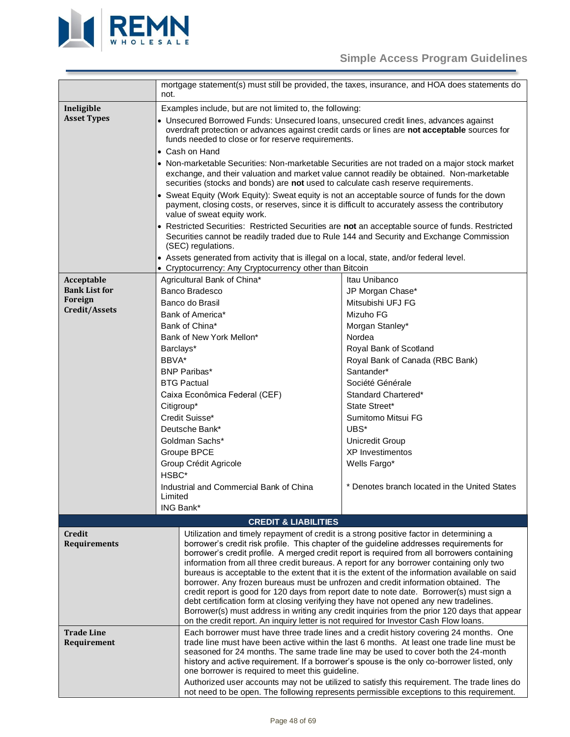

<span id="page-47-4"></span><span id="page-47-3"></span><span id="page-47-2"></span><span id="page-47-1"></span><span id="page-47-0"></span>

|                                                                                                                                                                                                                                                                                                                                                                                                                                                                                                                                                                                                                                                                | mortgage statement(s) must still be provided, the taxes, insurance, and HOA does statements do                                                                                                                                                                                                                                                                                                                                 |                                                                                                                                                                                                                                                                                                                                                                                                                                                                                                                                                                                                                                                                                                                                                                                                                                                                                                                                                                                                  |  |
|----------------------------------------------------------------------------------------------------------------------------------------------------------------------------------------------------------------------------------------------------------------------------------------------------------------------------------------------------------------------------------------------------------------------------------------------------------------------------------------------------------------------------------------------------------------------------------------------------------------------------------------------------------------|--------------------------------------------------------------------------------------------------------------------------------------------------------------------------------------------------------------------------------------------------------------------------------------------------------------------------------------------------------------------------------------------------------------------------------|--------------------------------------------------------------------------------------------------------------------------------------------------------------------------------------------------------------------------------------------------------------------------------------------------------------------------------------------------------------------------------------------------------------------------------------------------------------------------------------------------------------------------------------------------------------------------------------------------------------------------------------------------------------------------------------------------------------------------------------------------------------------------------------------------------------------------------------------------------------------------------------------------------------------------------------------------------------------------------------------------|--|
|                                                                                                                                                                                                                                                                                                                                                                                                                                                                                                                                                                                                                                                                | not.                                                                                                                                                                                                                                                                                                                                                                                                                           |                                                                                                                                                                                                                                                                                                                                                                                                                                                                                                                                                                                                                                                                                                                                                                                                                                                                                                                                                                                                  |  |
| Ineligible<br><b>Asset Types</b>                                                                                                                                                                                                                                                                                                                                                                                                                                                                                                                                                                                                                               | • Cash on Hand<br>value of sweat equity work.<br>(SEC) regulations.<br>• Assets generated from activity that is illegal on a local, state, and/or federal level.                                                                                                                                                                                                                                                               | Examples include, but are not limited to, the following:<br>• Unsecured Borrowed Funds: Unsecured loans, unsecured credit lines, advances against<br>overdraft protection or advances against credit cards or lines are not acceptable sources for<br>funds needed to close or for reserve requirements.<br>• Non-marketable Securities: Non-marketable Securities are not traded on a major stock market<br>exchange, and their valuation and market value cannot readily be obtained. Non-marketable<br>securities (stocks and bonds) are not used to calculate cash reserve requirements.<br>• Sweat Equity (Work Equity): Sweat equity is not an acceptable source of funds for the down<br>payment, closing costs, or reserves, since it is difficult to accurately assess the contributory<br>• Restricted Securities: Restricted Securities are not an acceptable source of funds. Restricted<br>Securities cannot be readily traded due to Rule 144 and Security and Exchange Commission |  |
|                                                                                                                                                                                                                                                                                                                                                                                                                                                                                                                                                                                                                                                                | • Cryptocurrency: Any Cryptocurrency other than Bitcoin                                                                                                                                                                                                                                                                                                                                                                        |                                                                                                                                                                                                                                                                                                                                                                                                                                                                                                                                                                                                                                                                                                                                                                                                                                                                                                                                                                                                  |  |
| Acceptable<br><b>Bank List for</b><br>Foreign<br>Credit/Assets                                                                                                                                                                                                                                                                                                                                                                                                                                                                                                                                                                                                 | Agricultural Bank of China*<br>Banco Bradesco<br>Banco do Brasil<br>Bank of America*<br>Bank of China*<br>Bank of New York Mellon*<br>Barclays*<br>BBVA*<br><b>BNP Paribas*</b><br><b>BTG Pactual</b><br>Caixa Econômica Federal (CEF)<br>Citigroup*<br>Credit Suisse*<br>Deutsche Bank*<br>Goldman Sachs*<br>Groupe BPCE<br>Group Crédit Agricole<br>HSBC*<br>Industrial and Commercial Bank of China<br>Limited<br>ING Bank* | Itau Unibanco<br>JP Morgan Chase*<br>Mitsubishi UFJ FG<br>Mizuho FG<br>Morgan Stanley*<br>Nordea<br>Royal Bank of Scotland<br>Royal Bank of Canada (RBC Bank)<br>Santander*<br>Société Générale<br>Standard Chartered*<br>State Street*<br>Sumitomo Mitsui FG<br>UBS*<br>Unicredit Group<br><b>XP</b> Investimentos<br>Wells Fargo*<br>* Denotes branch located in the United States                                                                                                                                                                                                                                                                                                                                                                                                                                                                                                                                                                                                             |  |
|                                                                                                                                                                                                                                                                                                                                                                                                                                                                                                                                                                                                                                                                | <b>CREDIT &amp; LIABILITIES</b>                                                                                                                                                                                                                                                                                                                                                                                                |                                                                                                                                                                                                                                                                                                                                                                                                                                                                                                                                                                                                                                                                                                                                                                                                                                                                                                                                                                                                  |  |
| Credit<br><b>Requirements</b>                                                                                                                                                                                                                                                                                                                                                                                                                                                                                                                                                                                                                                  | Utilization and timely repayment of credit is a strong positive factor in determining a<br>debt certification form at closing verifying they have not opened any new tradelines.<br>on the credit report. An inquiry letter is not required for Investor Cash Flow loans.                                                                                                                                                      | borrower's credit risk profile. This chapter of the guideline addresses requirements for<br>borrower's credit profile. A merged credit report is required from all borrowers containing<br>information from all three credit bureaus. A report for any borrower containing only two<br>bureaus is acceptable to the extent that it is the extent of the information available on said<br>borrower. Any frozen bureaus must be unfrozen and credit information obtained. The<br>credit report is good for 120 days from report date to note date. Borrower(s) must sign a<br>Borrower(s) must address in writing any credit inquiries from the prior 120 days that appear                                                                                                                                                                                                                                                                                                                         |  |
| <b>Trade Line</b><br>Each borrower must have three trade lines and a credit history covering 24 months. One<br>trade line must have been active within the last 6 months. At least one trade line must be<br>Requirement<br>seasoned for 24 months. The same trade line may be used to cover both the 24-month<br>history and active requirement. If a borrower's spouse is the only co-borrower listed, only<br>one borrower is required to meet this guideline.<br>Authorized user accounts may not be utilized to satisfy this requirement. The trade lines do<br>not need to be open. The following represents permissible exceptions to this requirement. |                                                                                                                                                                                                                                                                                                                                                                                                                                |                                                                                                                                                                                                                                                                                                                                                                                                                                                                                                                                                                                                                                                                                                                                                                                                                                                                                                                                                                                                  |  |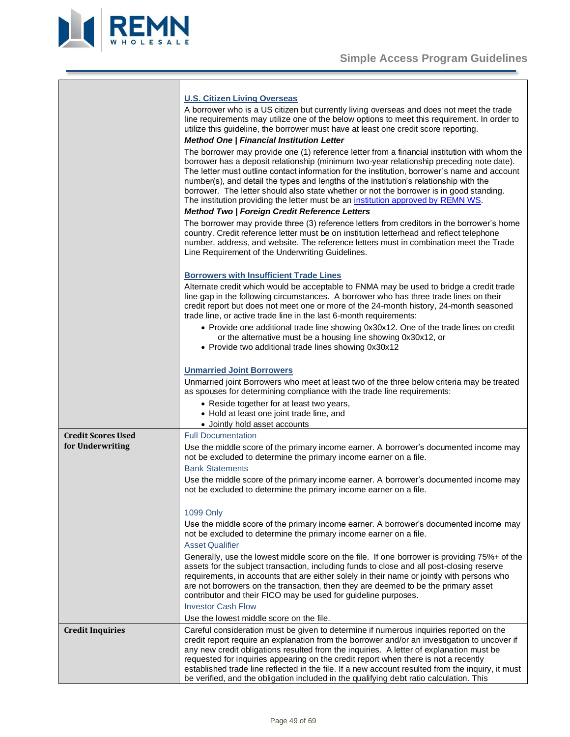



<span id="page-48-1"></span><span id="page-48-0"></span>

|                           | <b>U.S. Citizen Living Overseas</b>                                                                                                                                                                                                                                                                                                                                                                                                                                                                                                                               |
|---------------------------|-------------------------------------------------------------------------------------------------------------------------------------------------------------------------------------------------------------------------------------------------------------------------------------------------------------------------------------------------------------------------------------------------------------------------------------------------------------------------------------------------------------------------------------------------------------------|
|                           | A borrower who is a US citizen but currently living overseas and does not meet the trade<br>line requirements may utilize one of the below options to meet this requirement. In order to<br>utilize this guideline, the borrower must have at least one credit score reporting.                                                                                                                                                                                                                                                                                   |
|                           | <b>Method One   Financial Institution Letter</b>                                                                                                                                                                                                                                                                                                                                                                                                                                                                                                                  |
|                           | The borrower may provide one (1) reference letter from a financial institution with whom the<br>borrower has a deposit relationship (minimum two-year relationship preceding note date).<br>The letter must outline contact information for the institution, borrower's name and account<br>number(s), and detail the types and lengths of the institution's relationship with the<br>borrower. The letter should also state whether or not the borrower is in good standing.<br>The institution providing the letter must be an institution approved by REMN WS. |
|                           | <b>Method Two   Foreign Credit Reference Letters</b>                                                                                                                                                                                                                                                                                                                                                                                                                                                                                                              |
|                           | The borrower may provide three (3) reference letters from creditors in the borrower's home<br>country. Credit reference letter must be on institution letterhead and reflect telephone<br>number, address, and website. The reference letters must in combination meet the Trade<br>Line Requirement of the Underwriting Guidelines.                                                                                                                                                                                                                              |
|                           | <b>Borrowers with Insufficient Trade Lines</b>                                                                                                                                                                                                                                                                                                                                                                                                                                                                                                                    |
|                           | Alternate credit which would be acceptable to FNMA may be used to bridge a credit trade<br>line gap in the following circumstances. A borrower who has three trade lines on their<br>credit report but does not meet one or more of the 24-month history, 24-month seasoned<br>trade line, or active trade line in the last 6-month requirements:                                                                                                                                                                                                                 |
|                           | • Provide one additional trade line showing 0x30x12. One of the trade lines on credit<br>or the alternative must be a housing line showing 0x30x12, or<br>• Provide two additional trade lines showing 0x30x12                                                                                                                                                                                                                                                                                                                                                    |
|                           | <b>Unmarried Joint Borrowers</b>                                                                                                                                                                                                                                                                                                                                                                                                                                                                                                                                  |
|                           | Unmarried joint Borrowers who meet at least two of the three below criteria may be treated<br>as spouses for determining compliance with the trade line requirements:                                                                                                                                                                                                                                                                                                                                                                                             |
|                           | • Reside together for at least two years,<br>• Hold at least one joint trade line, and<br>• Jointly hold asset accounts                                                                                                                                                                                                                                                                                                                                                                                                                                           |
| <b>Credit Scores Used</b> | <b>Full Documentation</b>                                                                                                                                                                                                                                                                                                                                                                                                                                                                                                                                         |
| for Underwriting          | Use the middle score of the primary income earner. A borrower's documented income may<br>not be excluded to determine the primary income earner on a file.<br><b>Bank Statements</b>                                                                                                                                                                                                                                                                                                                                                                              |
|                           | Use the middle score of the primary income earner. A borrower's documented income may<br>not be excluded to determine the primary income earner on a file.                                                                                                                                                                                                                                                                                                                                                                                                        |
|                           | 1099 Only                                                                                                                                                                                                                                                                                                                                                                                                                                                                                                                                                         |
|                           | Use the middle score of the primary income earner. A borrower's documented income may<br>not be excluded to determine the primary income earner on a file.                                                                                                                                                                                                                                                                                                                                                                                                        |
|                           | <b>Asset Qualifier</b>                                                                                                                                                                                                                                                                                                                                                                                                                                                                                                                                            |
|                           | Generally, use the lowest middle score on the file. If one borrower is providing 75%+ of the<br>assets for the subject transaction, including funds to close and all post-closing reserve<br>requirements, in accounts that are either solely in their name or jointly with persons who<br>are not borrowers on the transaction, then they are deemed to be the primary asset<br>contributor and their FICO may be used for guideline purposes.                                                                                                                   |
|                           | <b>Investor Cash Flow</b>                                                                                                                                                                                                                                                                                                                                                                                                                                                                                                                                         |
|                           | Use the lowest middle score on the file.                                                                                                                                                                                                                                                                                                                                                                                                                                                                                                                          |
| <b>Credit Inquiries</b>   | Careful consideration must be given to determine if numerous inquiries reported on the<br>credit report require an explanation from the borrower and/or an investigation to uncover if<br>any new credit obligations resulted from the inquiries. A letter of explanation must be<br>requested for inquiries appearing on the credit report when there is not a recently<br>established trade line reflected in the file. If a new account resulted from the inquiry, it must                                                                                     |
|                           | be verified, and the obligation included in the qualifying debt ratio calculation. This                                                                                                                                                                                                                                                                                                                                                                                                                                                                           |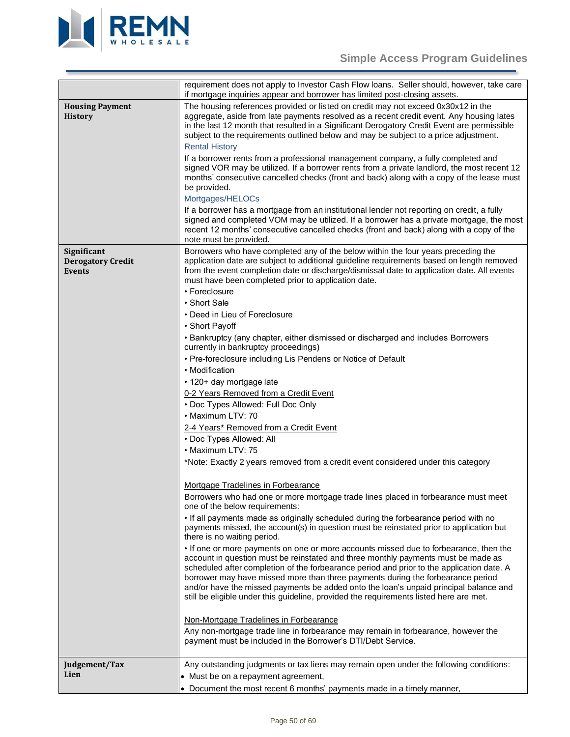

<span id="page-49-2"></span><span id="page-49-1"></span><span id="page-49-0"></span>

|                                                          | requirement does not apply to Investor Cash Flow Ioans. Seller should, however, take care<br>if mortgage inquiries appear and borrower has limited post-closing assets.                                                                                                                                                                                                                                                                                                                                                                                                                                                                                                                                                                                                                                                                                                                                                                                                                                                                                                                                                                                                                                                                                                                                                                                                                                                                                                                                                                                                                                                                                                                                                                                                                                                                                                                                                                                                                                                                                                               |
|----------------------------------------------------------|---------------------------------------------------------------------------------------------------------------------------------------------------------------------------------------------------------------------------------------------------------------------------------------------------------------------------------------------------------------------------------------------------------------------------------------------------------------------------------------------------------------------------------------------------------------------------------------------------------------------------------------------------------------------------------------------------------------------------------------------------------------------------------------------------------------------------------------------------------------------------------------------------------------------------------------------------------------------------------------------------------------------------------------------------------------------------------------------------------------------------------------------------------------------------------------------------------------------------------------------------------------------------------------------------------------------------------------------------------------------------------------------------------------------------------------------------------------------------------------------------------------------------------------------------------------------------------------------------------------------------------------------------------------------------------------------------------------------------------------------------------------------------------------------------------------------------------------------------------------------------------------------------------------------------------------------------------------------------------------------------------------------------------------------------------------------------------------|
| <b>Housing Payment</b><br><b>History</b>                 | The housing references provided or listed on credit may not exceed 0x30x12 in the<br>aggregate, aside from late payments resolved as a recent credit event. Any housing lates<br>in the last 12 month that resulted in a Significant Derogatory Credit Event are permissible<br>subject to the requirements outlined below and may be subject to a price adjustment.<br><b>Rental History</b><br>If a borrower rents from a professional management company, a fully completed and<br>signed VOR may be utilized. If a borrower rents from a private landlord, the most recent 12<br>months' consecutive cancelled checks (front and back) along with a copy of the lease must<br>be provided.<br>Mortgages/HELOCs<br>If a borrower has a mortgage from an institutional lender not reporting on credit, a fully<br>signed and completed VOM may be utilized. If a borrower has a private mortgage, the most<br>recent 12 months' consecutive cancelled checks (front and back) along with a copy of the                                                                                                                                                                                                                                                                                                                                                                                                                                                                                                                                                                                                                                                                                                                                                                                                                                                                                                                                                                                                                                                                              |
|                                                          | note must be provided.                                                                                                                                                                                                                                                                                                                                                                                                                                                                                                                                                                                                                                                                                                                                                                                                                                                                                                                                                                                                                                                                                                                                                                                                                                                                                                                                                                                                                                                                                                                                                                                                                                                                                                                                                                                                                                                                                                                                                                                                                                                                |
| Significant<br><b>Derogatory Credit</b><br><b>Events</b> | Borrowers who have completed any of the below within the four years preceding the<br>application date are subject to additional guideline requirements based on length removed<br>from the event completion date or discharge/dismissal date to application date. All events<br>must have been completed prior to application date.<br>• Foreclosure<br>• Short Sale<br>• Deed in Lieu of Foreclosure<br>• Short Payoff<br>• Bankruptcy (any chapter, either dismissed or discharged and includes Borrowers<br>currently in bankruptcy proceedings)<br>• Pre-foreclosure including Lis Pendens or Notice of Default<br>• Modification<br>• 120+ day mortgage late<br>0-2 Years Removed from a Credit Event<br>• Doc Types Allowed: Full Doc Only<br>• Maximum LTV: 70<br>2-4 Years* Removed from a Credit Event<br>• Doc Types Allowed: All<br>• Maximum LTV: 75<br>*Note: Exactly 2 years removed from a credit event considered under this category<br>Mortgage Tradelines in Forbearance<br>Borrowers who had one or more mortgage trade lines placed in forbearance must meet<br>one of the below requirements:<br>. If all payments made as originally scheduled during the forbearance period with no<br>payments missed, the account(s) in question must be reinstated prior to application but<br>there is no waiting period.<br>• If one or more payments on one or more accounts missed due to forbearance, then the<br>account in question must be reinstated and three monthly payments must be made as<br>scheduled after completion of the forbearance period and prior to the application date. A<br>borrower may have missed more than three payments during the forbearance period<br>and/or have the missed payments be added onto the loan's unpaid principal balance and<br>still be eligible under this guideline, provided the requirements listed here are met.<br>Non-Mortgage Tradelines in Forbearance<br>Any non-mortgage trade line in forbearance may remain in forbearance, however the<br>payment must be included in the Borrower's DTI/Debt Service. |
| Judgement/Tax                                            | Any outstanding judgments or tax liens may remain open under the following conditions:                                                                                                                                                                                                                                                                                                                                                                                                                                                                                                                                                                                                                                                                                                                                                                                                                                                                                                                                                                                                                                                                                                                                                                                                                                                                                                                                                                                                                                                                                                                                                                                                                                                                                                                                                                                                                                                                                                                                                                                                |
| Lien                                                     | • Must be on a repayment agreement,                                                                                                                                                                                                                                                                                                                                                                                                                                                                                                                                                                                                                                                                                                                                                                                                                                                                                                                                                                                                                                                                                                                                                                                                                                                                                                                                                                                                                                                                                                                                                                                                                                                                                                                                                                                                                                                                                                                                                                                                                                                   |
|                                                          | • Document the most recent 6 months' payments made in a timely manner,                                                                                                                                                                                                                                                                                                                                                                                                                                                                                                                                                                                                                                                                                                                                                                                                                                                                                                                                                                                                                                                                                                                                                                                                                                                                                                                                                                                                                                                                                                                                                                                                                                                                                                                                                                                                                                                                                                                                                                                                                |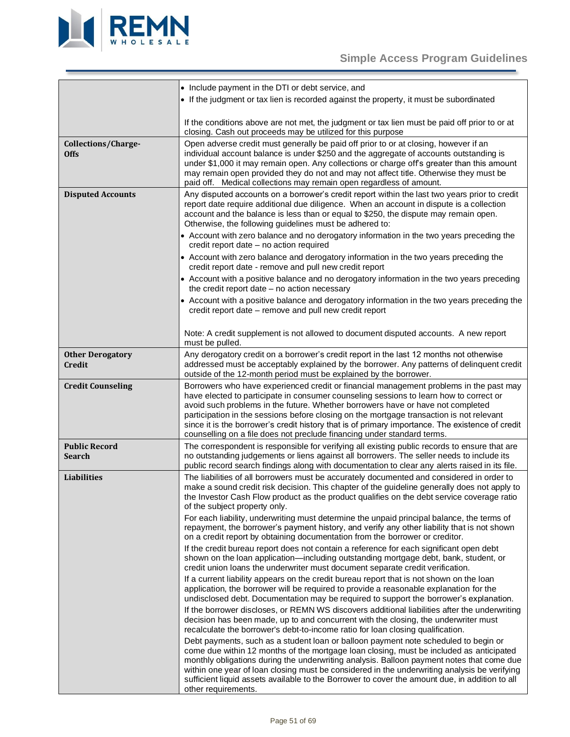

<span id="page-50-5"></span><span id="page-50-4"></span><span id="page-50-3"></span><span id="page-50-2"></span><span id="page-50-1"></span><span id="page-50-0"></span>

|                                          | • Include payment in the DTI or debt service, and                                                                                                                                                                                                                                                                                                                                                                                                                                                                                              |
|------------------------------------------|------------------------------------------------------------------------------------------------------------------------------------------------------------------------------------------------------------------------------------------------------------------------------------------------------------------------------------------------------------------------------------------------------------------------------------------------------------------------------------------------------------------------------------------------|
|                                          | • If the judgment or tax lien is recorded against the property, it must be subordinated                                                                                                                                                                                                                                                                                                                                                                                                                                                        |
|                                          | If the conditions above are not met, the judgment or tax lien must be paid off prior to or at<br>closing. Cash out proceeds may be utilized for this purpose                                                                                                                                                                                                                                                                                                                                                                                   |
| Collections/Charge-<br><b>Offs</b>       | Open adverse credit must generally be paid off prior to or at closing, however if an<br>individual account balance is under \$250 and the aggregate of accounts outstanding is<br>under \$1,000 it may remain open. Any collections or charge offs greater than this amount<br>may remain open provided they do not and may not affect title. Otherwise they must be<br>paid off. Medical collections may remain open regardless of amount.                                                                                                    |
| <b>Disputed Accounts</b>                 | Any disputed accounts on a borrower's credit report within the last two years prior to credit<br>report date require additional due diligence. When an account in dispute is a collection<br>account and the balance is less than or equal to \$250, the dispute may remain open.<br>Otherwise, the following guidelines must be adhered to:                                                                                                                                                                                                   |
|                                          | • Account with zero balance and no derogatory information in the two years preceding the<br>credit report date - no action required                                                                                                                                                                                                                                                                                                                                                                                                            |
|                                          | • Account with zero balance and derogatory information in the two years preceding the<br>credit report date - remove and pull new credit report                                                                                                                                                                                                                                                                                                                                                                                                |
|                                          | • Account with a positive balance and no derogatory information in the two years preceding<br>the credit report date - no action necessary                                                                                                                                                                                                                                                                                                                                                                                                     |
|                                          | • Account with a positive balance and derogatory information in the two years preceding the<br>credit report date - remove and pull new credit report                                                                                                                                                                                                                                                                                                                                                                                          |
|                                          | Note: A credit supplement is not allowed to document disputed accounts. A new report<br>must be pulled.                                                                                                                                                                                                                                                                                                                                                                                                                                        |
| <b>Other Derogatory</b><br><b>Credit</b> | Any derogatory credit on a borrower's credit report in the last 12 months not otherwise<br>addressed must be acceptably explained by the borrower. Any patterns of delinquent credit<br>outside of the 12-month period must be explained by the borrower.                                                                                                                                                                                                                                                                                      |
| <b>Credit Counseling</b>                 | Borrowers who have experienced credit or financial management problems in the past may<br>have elected to participate in consumer counseling sessions to learn how to correct or<br>avoid such problems in the future. Whether borrowers have or have not completed<br>participation in the sessions before closing on the mortgage transaction is not relevant<br>since it is the borrower's credit history that is of primary importance. The existence of credit<br>counselling on a file does not preclude financing under standard terms. |
| <b>Public Record</b><br><b>Search</b>    | The correspondent is responsible for verifying all existing public records to ensure that are<br>no outstanding judgements or liens against all borrowers. The seller needs to include its<br>public record search findings along with documentation to clear any alerts raised in its file.                                                                                                                                                                                                                                                   |
| <b>Liabilities</b>                       | The liabilities of all borrowers must be accurately documented and considered in order to<br>make a sound credit risk decision. This chapter of the guideline generally does not apply to<br>the Investor Cash Flow product as the product qualifies on the debt service coverage ratio<br>of the subject property only.                                                                                                                                                                                                                       |
|                                          | For each liability, underwriting must determine the unpaid principal balance, the terms of<br>repayment, the borrower's payment history, and verify any other liability that is not shown<br>on a credit report by obtaining documentation from the borrower or creditor.                                                                                                                                                                                                                                                                      |
|                                          | If the credit bureau report does not contain a reference for each significant open debt<br>shown on the loan application—including outstanding mortgage debt, bank, student, or<br>credit union loans the underwriter must document separate credit verification.                                                                                                                                                                                                                                                                              |
|                                          | If a current liability appears on the credit bureau report that is not shown on the loan<br>application, the borrower will be required to provide a reasonable explanation for the<br>undisclosed debt. Documentation may be required to support the borrower's explanation.                                                                                                                                                                                                                                                                   |
|                                          | If the borrower discloses, or REMN WS discovers additional liabilities after the underwriting<br>decision has been made, up to and concurrent with the closing, the underwriter must<br>recalculate the borrower's debt-to-income ratio for loan closing qualification.                                                                                                                                                                                                                                                                        |
|                                          | Debt payments, such as a student loan or balloon payment note scheduled to begin or<br>come due within 12 months of the mortgage loan closing, must be included as anticipated<br>monthly obligations during the underwriting analysis. Balloon payment notes that come due<br>within one year of loan closing must be considered in the underwriting analysis be verifying<br>sufficient liquid assets available to the Borrower to cover the amount due, in addition to all<br>other requirements.                                           |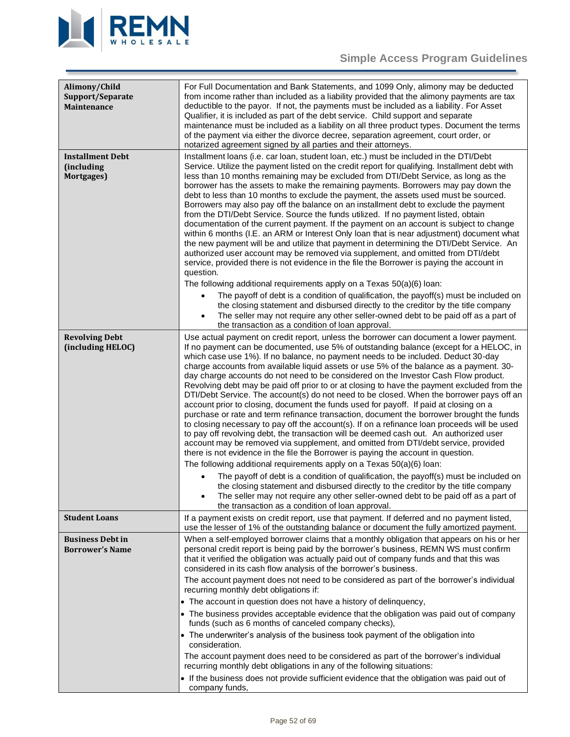

<span id="page-51-4"></span><span id="page-51-3"></span><span id="page-51-2"></span><span id="page-51-1"></span><span id="page-51-0"></span>

| Alimony/Child<br>Support/Separate<br><b>Maintenance</b> | For Full Documentation and Bank Statements, and 1099 Only, alimony may be deducted<br>from income rather than included as a liability provided that the alimony payments are tax<br>deductible to the payor. If not, the payments must be included as a liability. For Asset<br>Qualifier, it is included as part of the debt service. Child support and separate<br>maintenance must be included as a liability on all three product types. Document the terms<br>of the payment via either the divorce decree, separation agreement, court order, or<br>notarized agreement signed by all parties and their attorneys.                                                                                                                                                                                                                                                                                                                                                                                                                                                                                                                                                                                                                                                                                                                                                                                                                                                                                                                                                                                      |
|---------------------------------------------------------|---------------------------------------------------------------------------------------------------------------------------------------------------------------------------------------------------------------------------------------------------------------------------------------------------------------------------------------------------------------------------------------------------------------------------------------------------------------------------------------------------------------------------------------------------------------------------------------------------------------------------------------------------------------------------------------------------------------------------------------------------------------------------------------------------------------------------------------------------------------------------------------------------------------------------------------------------------------------------------------------------------------------------------------------------------------------------------------------------------------------------------------------------------------------------------------------------------------------------------------------------------------------------------------------------------------------------------------------------------------------------------------------------------------------------------------------------------------------------------------------------------------------------------------------------------------------------------------------------------------|
| <b>Installment Debt</b><br>(including<br>Mortgages)     | Installment loans (i.e. car loan, student loan, etc.) must be included in the DTI/Debt<br>Service. Utilize the payment listed on the credit report for qualifying. Installment debt with<br>less than 10 months remaining may be excluded from DTI/Debt Service, as long as the<br>borrower has the assets to make the remaining payments. Borrowers may pay down the<br>debt to less than 10 months to exclude the payment, the assets used must be sourced.<br>Borrowers may also pay off the balance on an installment debt to exclude the payment<br>from the DTI/Debt Service. Source the funds utilized. If no payment listed, obtain<br>documentation of the current payment. If the payment on an account is subject to change<br>within 6 months (I.E. an ARM or Interest Only loan that is near adjustment) document what<br>the new payment will be and utilize that payment in determining the DTI/Debt Service. An<br>authorized user account may be removed via supplement, and omitted from DTI/debt<br>service, provided there is not evidence in the file the Borrower is paying the account in<br>question.<br>The following additional requirements apply on a Texas 50(a)(6) loan:                                                                                                                                                                                                                                                                                                                                                                                                        |
|                                                         | The payoff of debt is a condition of qualification, the payoff(s) must be included on<br>the closing statement and disbursed directly to the creditor by the title company<br>The seller may not require any other seller-owned debt to be paid off as a part of<br>the transaction as a condition of loan approval.                                                                                                                                                                                                                                                                                                                                                                                                                                                                                                                                                                                                                                                                                                                                                                                                                                                                                                                                                                                                                                                                                                                                                                                                                                                                                          |
| <b>Revolving Debt</b><br>(including HELOC)              | Use actual payment on credit report, unless the borrower can document a lower payment.<br>If no payment can be documented, use 5% of outstanding balance (except for a HELOC, in<br>which case use 1%). If no balance, no payment needs to be included. Deduct 30-day<br>charge accounts from available liquid assets or use 5% of the balance as a payment. 30-<br>day charge accounts do not need to be considered on the Investor Cash Flow product.<br>Revolving debt may be paid off prior to or at closing to have the payment excluded from the<br>DTI/Debt Service. The account(s) do not need to be closed. When the borrower pays off an<br>account prior to closing, document the funds used for payoff. If paid at closing on a<br>purchase or rate and term refinance transaction, document the borrower brought the funds<br>to closing necessary to pay off the account(s). If on a refinance loan proceeds will be used<br>to pay off revolving debt, the transaction will be deemed cash out. An authorized user<br>account may be removed via supplement, and omitted from DTI/debt service, provided<br>there is not evidence in the file the Borrower is paying the account in question.<br>The following additional requirements apply on a Texas 50(a)(6) loan:<br>The payoff of debt is a condition of qualification, the payoff(s) must be included on<br>the closing statement and disbursed directly to the creditor by the title company<br>The seller may not require any other seller-owned debt to be paid off as a part of<br>the transaction as a condition of loan approval. |
| <b>Student Loans</b>                                    | If a payment exists on credit report, use that payment. If deferred and no payment listed,<br>use the lesser of 1% of the outstanding balance or document the fully amortized payment.                                                                                                                                                                                                                                                                                                                                                                                                                                                                                                                                                                                                                                                                                                                                                                                                                                                                                                                                                                                                                                                                                                                                                                                                                                                                                                                                                                                                                        |
| <b>Business Debt in</b><br><b>Borrower's Name</b>       | When a self-employed borrower claims that a monthly obligation that appears on his or her<br>personal credit report is being paid by the borrower's business, REMN WS must confirm<br>that it verified the obligation was actually paid out of company funds and that this was<br>considered in its cash flow analysis of the borrower's business.<br>The account payment does not need to be considered as part of the borrower's individual<br>recurring monthly debt obligations if:<br>• The account in question does not have a history of delinquency,<br>• The business provides acceptable evidence that the obligation was paid out of company<br>funds (such as 6 months of canceled company checks),<br>• The underwriter's analysis of the business took payment of the obligation into<br>consideration.<br>The account payment does need to be considered as part of the borrower's individual<br>recurring monthly debt obligations in any of the following situations:<br>• If the business does not provide sufficient evidence that the obligation was paid out of<br>company funds,                                                                                                                                                                                                                                                                                                                                                                                                                                                                                                        |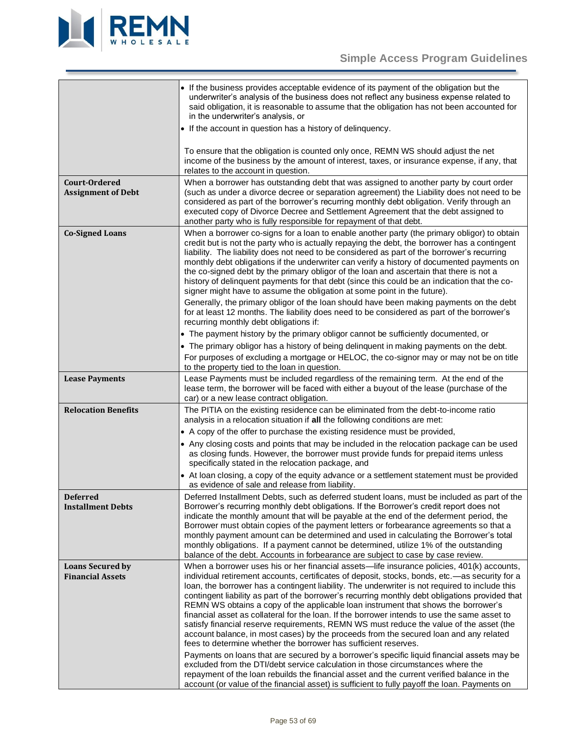

<span id="page-52-5"></span><span id="page-52-4"></span><span id="page-52-3"></span><span id="page-52-2"></span><span id="page-52-1"></span><span id="page-52-0"></span>

|                                                    | • If the business provides acceptable evidence of its payment of the obligation but the<br>underwriter's analysis of the business does not reflect any business expense related to<br>said obligation, it is reasonable to assume that the obligation has not been accounted for<br>in the underwriter's analysis, or                                                                                                                                                                                                                                                                                                                                                                                                                                                                                                                                                                                                                                                                                                                                                                                                                                                                                                          |
|----------------------------------------------------|--------------------------------------------------------------------------------------------------------------------------------------------------------------------------------------------------------------------------------------------------------------------------------------------------------------------------------------------------------------------------------------------------------------------------------------------------------------------------------------------------------------------------------------------------------------------------------------------------------------------------------------------------------------------------------------------------------------------------------------------------------------------------------------------------------------------------------------------------------------------------------------------------------------------------------------------------------------------------------------------------------------------------------------------------------------------------------------------------------------------------------------------------------------------------------------------------------------------------------|
|                                                    | • If the account in question has a history of delinquency.                                                                                                                                                                                                                                                                                                                                                                                                                                                                                                                                                                                                                                                                                                                                                                                                                                                                                                                                                                                                                                                                                                                                                                     |
|                                                    | To ensure that the obligation is counted only once, REMN WS should adjust the net<br>income of the business by the amount of interest, taxes, or insurance expense, if any, that<br>relates to the account in question.                                                                                                                                                                                                                                                                                                                                                                                                                                                                                                                                                                                                                                                                                                                                                                                                                                                                                                                                                                                                        |
| Court-Ordered<br><b>Assignment of Debt</b>         | When a borrower has outstanding debt that was assigned to another party by court order<br>(such as under a divorce decree or separation agreement) the Liability does not need to be<br>considered as part of the borrower's recurring monthly debt obligation. Verify through an<br>executed copy of Divorce Decree and Settlement Agreement that the debt assigned to<br>another party who is fully responsible for repayment of that debt.                                                                                                                                                                                                                                                                                                                                                                                                                                                                                                                                                                                                                                                                                                                                                                                  |
| <b>Co-Signed Loans</b>                             | When a borrower co-signs for a loan to enable another party (the primary obligor) to obtain<br>credit but is not the party who is actually repaying the debt, the borrower has a contingent<br>liability. The liability does not need to be considered as part of the borrower's recurring<br>monthly debt obligations if the underwriter can verify a history of documented payments on<br>the co-signed debt by the primary obligor of the loan and ascertain that there is not a<br>history of delinquent payments for that debt (since this could be an indication that the co-<br>signer might have to assume the obligation at some point in the future).                                                                                                                                                                                                                                                                                                                                                                                                                                                                                                                                                                |
|                                                    | Generally, the primary obligor of the loan should have been making payments on the debt<br>for at least 12 months. The liability does need to be considered as part of the borrower's<br>recurring monthly debt obligations if:                                                                                                                                                                                                                                                                                                                                                                                                                                                                                                                                                                                                                                                                                                                                                                                                                                                                                                                                                                                                |
|                                                    | • The payment history by the primary obligor cannot be sufficiently documented, or                                                                                                                                                                                                                                                                                                                                                                                                                                                                                                                                                                                                                                                                                                                                                                                                                                                                                                                                                                                                                                                                                                                                             |
|                                                    | • The primary obligor has a history of being delinquent in making payments on the debt.                                                                                                                                                                                                                                                                                                                                                                                                                                                                                                                                                                                                                                                                                                                                                                                                                                                                                                                                                                                                                                                                                                                                        |
|                                                    | For purposes of excluding a mortgage or HELOC, the co-signor may or may not be on title<br>to the property tied to the loan in question.                                                                                                                                                                                                                                                                                                                                                                                                                                                                                                                                                                                                                                                                                                                                                                                                                                                                                                                                                                                                                                                                                       |
| <b>Lease Payments</b>                              | Lease Payments must be included regardless of the remaining term. At the end of the<br>lease term, the borrower will be faced with either a buyout of the lease (purchase of the<br>car) or a new lease contract obligation.                                                                                                                                                                                                                                                                                                                                                                                                                                                                                                                                                                                                                                                                                                                                                                                                                                                                                                                                                                                                   |
| <b>Relocation Benefits</b>                         | The PITIA on the existing residence can be eliminated from the debt-to-income ratio<br>analysis in a relocation situation if all the following conditions are met:                                                                                                                                                                                                                                                                                                                                                                                                                                                                                                                                                                                                                                                                                                                                                                                                                                                                                                                                                                                                                                                             |
|                                                    | • A copy of the offer to purchase the existing residence must be provided,                                                                                                                                                                                                                                                                                                                                                                                                                                                                                                                                                                                                                                                                                                                                                                                                                                                                                                                                                                                                                                                                                                                                                     |
|                                                    | • Any closing costs and points that may be included in the relocation package can be used<br>as closing funds. However, the borrower must provide funds for prepaid items unless<br>specifically stated in the relocation package, and                                                                                                                                                                                                                                                                                                                                                                                                                                                                                                                                                                                                                                                                                                                                                                                                                                                                                                                                                                                         |
|                                                    | • At loan closing, a copy of the equity advance or a settlement statement must be provided<br>as evidence of sale and release from liability.                                                                                                                                                                                                                                                                                                                                                                                                                                                                                                                                                                                                                                                                                                                                                                                                                                                                                                                                                                                                                                                                                  |
| Deferred<br><b>Installment Debts</b>               | Deferred Installment Debts, such as deferred student loans, must be included as part of the<br>Borrower's recurring monthly debt obligations. If the Borrower's credit report does not<br>indicate the monthly amount that will be payable at the end of the deferment period, the<br>Borrower must obtain copies of the payment letters or forbearance agreements so that a<br>monthly payment amount can be determined and used in calculating the Borrower's total<br>monthly obligations. If a payment cannot be determined, utilize 1% of the outstanding<br>balance of the debt. Accounts in forbearance are subject to case by case review.                                                                                                                                                                                                                                                                                                                                                                                                                                                                                                                                                                             |
| <b>Loans Secured by</b><br><b>Financial Assets</b> | When a borrower uses his or her financial assets—life insurance policies, 401(k) accounts,<br>individual retirement accounts, certificates of deposit, stocks, bonds, etc.—as security for a<br>loan, the borrower has a contingent liability. The underwriter is not required to include this<br>contingent liability as part of the borrower's recurring monthly debt obligations provided that<br>REMN WS obtains a copy of the applicable loan instrument that shows the borrower's<br>financial asset as collateral for the loan. If the borrower intends to use the same asset to<br>satisfy financial reserve requirements, REMN WS must reduce the value of the asset (the<br>account balance, in most cases) by the proceeds from the secured loan and any related<br>fees to determine whether the borrower has sufficient reserves.<br>Payments on loans that are secured by a borrower's specific liquid financial assets may be<br>excluded from the DTI/debt service calculation in those circumstances where the<br>repayment of the loan rebuilds the financial asset and the current verified balance in the<br>account (or value of the financial asset) is sufficient to fully payoff the loan. Payments on |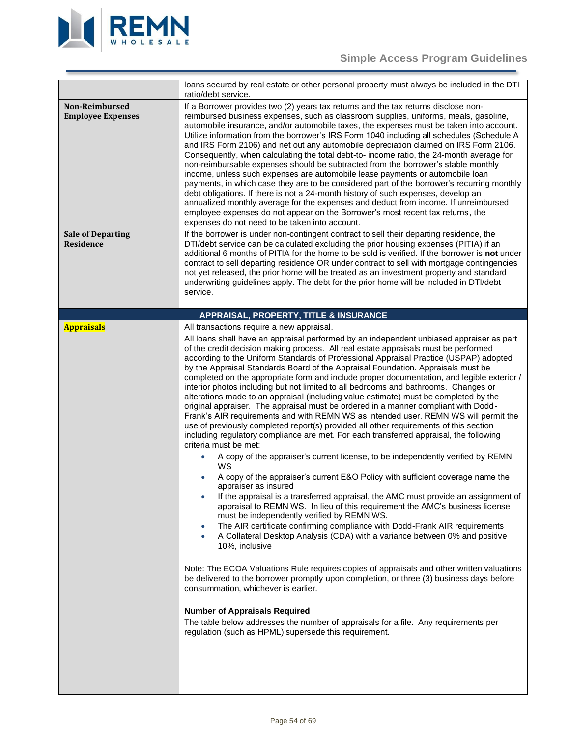

<span id="page-53-3"></span><span id="page-53-2"></span><span id="page-53-1"></span><span id="page-53-0"></span>

|                                              | loans secured by real estate or other personal property must always be included in the DTI<br>ratio/debt service.                                                                                                                                                                                                                                                                                                                                                                                                                                                                                                                                                                                                                                                                                                                                                                                                                                                                                                                                                                                                                                                                                                                                                                                                                                                                                                                                                                                                                                                                                                                                                                                                                                                                                                                                                                                                                                                                                                                                                                                                       |
|----------------------------------------------|-------------------------------------------------------------------------------------------------------------------------------------------------------------------------------------------------------------------------------------------------------------------------------------------------------------------------------------------------------------------------------------------------------------------------------------------------------------------------------------------------------------------------------------------------------------------------------------------------------------------------------------------------------------------------------------------------------------------------------------------------------------------------------------------------------------------------------------------------------------------------------------------------------------------------------------------------------------------------------------------------------------------------------------------------------------------------------------------------------------------------------------------------------------------------------------------------------------------------------------------------------------------------------------------------------------------------------------------------------------------------------------------------------------------------------------------------------------------------------------------------------------------------------------------------------------------------------------------------------------------------------------------------------------------------------------------------------------------------------------------------------------------------------------------------------------------------------------------------------------------------------------------------------------------------------------------------------------------------------------------------------------------------------------------------------------------------------------------------------------------------|
| Non-Reimbursed<br><b>Employee Expenses</b>   | If a Borrower provides two (2) years tax returns and the tax returns disclose non-<br>reimbursed business expenses, such as classroom supplies, uniforms, meals, gasoline,<br>automobile insurance, and/or automobile taxes, the expenses must be taken into account.<br>Utilize information from the borrower's IRS Form 1040 including all schedules (Schedule A<br>and IRS Form 2106) and net out any automobile depreciation claimed on IRS Form 2106.<br>Consequently, when calculating the total debt-to- income ratio, the 24-month average for<br>non-reimbursable expenses should be subtracted from the borrower's stable monthly<br>income, unless such expenses are automobile lease payments or automobile loan<br>payments, in which case they are to be considered part of the borrower's recurring monthly<br>debt obligations. If there is not a 24-month history of such expenses, develop an<br>annualized monthly average for the expenses and deduct from income. If unreimbursed<br>employee expenses do not appear on the Borrower's most recent tax returns, the<br>expenses do not need to be taken into account.                                                                                                                                                                                                                                                                                                                                                                                                                                                                                                                                                                                                                                                                                                                                                                                                                                                                                                                                                                              |
| <b>Sale of Departing</b><br><b>Residence</b> | If the borrower is under non-contingent contract to sell their departing residence, the<br>DTI/debt service can be calculated excluding the prior housing expenses (PITIA) if an<br>additional 6 months of PITIA for the home to be sold is verified. If the borrower is not under<br>contract to sell departing residence OR under contract to sell with mortgage contingencies<br>not yet released, the prior home will be treated as an investment property and standard<br>underwriting guidelines apply. The debt for the prior home will be included in DTI/debt<br>service.                                                                                                                                                                                                                                                                                                                                                                                                                                                                                                                                                                                                                                                                                                                                                                                                                                                                                                                                                                                                                                                                                                                                                                                                                                                                                                                                                                                                                                                                                                                                      |
|                                              | APPRAISAL, PROPERTY, TITLE & INSURANCE                                                                                                                                                                                                                                                                                                                                                                                                                                                                                                                                                                                                                                                                                                                                                                                                                                                                                                                                                                                                                                                                                                                                                                                                                                                                                                                                                                                                                                                                                                                                                                                                                                                                                                                                                                                                                                                                                                                                                                                                                                                                                  |
| <b>Appraisals</b>                            | All transactions require a new appraisal.<br>All loans shall have an appraisal performed by an independent unbiased appraiser as part<br>of the credit decision making process. All real estate appraisals must be performed<br>according to the Uniform Standards of Professional Appraisal Practice (USPAP) adopted<br>by the Appraisal Standards Board of the Appraisal Foundation. Appraisals must be<br>completed on the appropriate form and include proper documentation, and legible exterior /<br>interior photos including but not limited to all bedrooms and bathrooms. Changes or<br>alterations made to an appraisal (including value estimate) must be completed by the<br>original appraiser. The appraisal must be ordered in a manner compliant with Dodd-<br>Frank's AIR requirements and with REMN WS as intended user. REMN WS will permit the<br>use of previously completed report(s) provided all other requirements of this section<br>including regulatory compliance are met. For each transferred appraisal, the following<br>criteria must be met:<br>A copy of the appraiser's current license, to be independently verified by REMN<br>WS<br>A copy of the appraiser's current E&O Policy with sufficient coverage name the<br>appraiser as insured<br>If the appraisal is a transferred appraisal, the AMC must provide an assignment of<br>appraisal to REMN WS. In lieu of this requirement the AMC's business license<br>must be independently verified by REMN WS.<br>The AIR certificate confirming compliance with Dodd-Frank AIR requirements<br>۰<br>A Collateral Desktop Analysis (CDA) with a variance between 0% and positive<br>۰<br>10%, inclusive<br>Note: The ECOA Valuations Rule requires copies of appraisals and other written valuations<br>be delivered to the borrower promptly upon completion, or three (3) business days before<br>consummation, whichever is earlier.<br><b>Number of Appraisals Required</b><br>The table below addresses the number of appraisals for a file. Any requirements per<br>regulation (such as HPML) supersede this requirement. |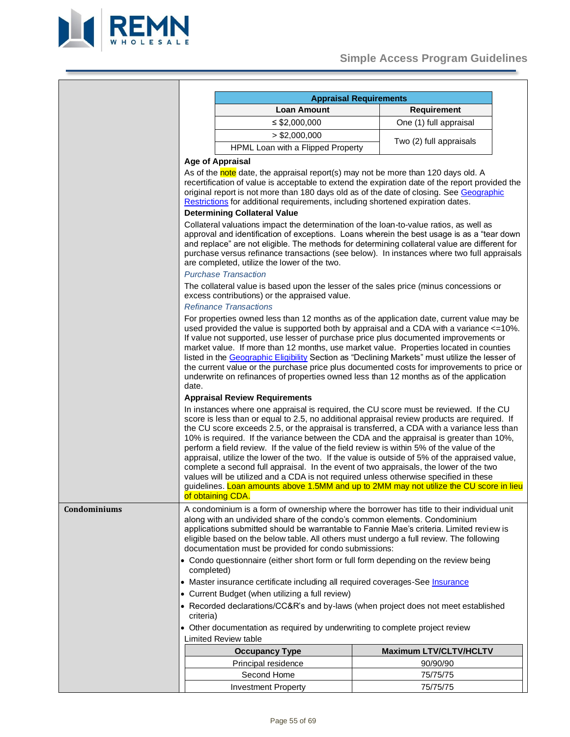

<span id="page-54-0"></span>

|              |            | <b>Appraisal Requirements</b>                                                                                                                                                                                                                                                                                                                                                                                                                                                                                                                                                                                                                                                                                                                                                                                                                                                     |  |                               |  |  |  |
|--------------|------------|-----------------------------------------------------------------------------------------------------------------------------------------------------------------------------------------------------------------------------------------------------------------------------------------------------------------------------------------------------------------------------------------------------------------------------------------------------------------------------------------------------------------------------------------------------------------------------------------------------------------------------------------------------------------------------------------------------------------------------------------------------------------------------------------------------------------------------------------------------------------------------------|--|-------------------------------|--|--|--|
|              |            | <b>Loan Amount</b>                                                                                                                                                                                                                                                                                                                                                                                                                                                                                                                                                                                                                                                                                                                                                                                                                                                                |  | <b>Requirement</b>            |  |  |  |
|              |            | $\leq$ \$2,000,000                                                                                                                                                                                                                                                                                                                                                                                                                                                                                                                                                                                                                                                                                                                                                                                                                                                                |  | One (1) full appraisal        |  |  |  |
|              |            | $>$ \$2,000,000                                                                                                                                                                                                                                                                                                                                                                                                                                                                                                                                                                                                                                                                                                                                                                                                                                                                   |  |                               |  |  |  |
|              |            | HPML Loan with a Flipped Property                                                                                                                                                                                                                                                                                                                                                                                                                                                                                                                                                                                                                                                                                                                                                                                                                                                 |  | Two (2) full appraisals       |  |  |  |
|              |            | <b>Age of Appraisal</b>                                                                                                                                                                                                                                                                                                                                                                                                                                                                                                                                                                                                                                                                                                                                                                                                                                                           |  |                               |  |  |  |
|              |            | As of the note date, the appraisal report(s) may not be more than 120 days old. A                                                                                                                                                                                                                                                                                                                                                                                                                                                                                                                                                                                                                                                                                                                                                                                                 |  |                               |  |  |  |
|              |            | recertification of value is acceptable to extend the expiration date of the report provided the<br>original report is not more than 180 days old as of the date of closing. See Geographic<br>Restrictions for additional requirements, including shortened expiration dates.                                                                                                                                                                                                                                                                                                                                                                                                                                                                                                                                                                                                     |  |                               |  |  |  |
|              |            | <b>Determining Collateral Value</b>                                                                                                                                                                                                                                                                                                                                                                                                                                                                                                                                                                                                                                                                                                                                                                                                                                               |  |                               |  |  |  |
|              |            | Collateral valuations impact the determination of the loan-to-value ratios, as well as<br>approval and identification of exceptions. Loans wherein the best usage is as a "tear down<br>and replace" are not eligible. The methods for determining collateral value are different for<br>purchase versus refinance transactions (see below). In instances where two full appraisals<br>are completed, utilize the lower of the two.<br><b>Purchase Transaction</b>                                                                                                                                                                                                                                                                                                                                                                                                                |  |                               |  |  |  |
|              |            | The collateral value is based upon the lesser of the sales price (minus concessions or<br>excess contributions) or the appraised value.                                                                                                                                                                                                                                                                                                                                                                                                                                                                                                                                                                                                                                                                                                                                           |  |                               |  |  |  |
|              |            | <b>Refinance Transactions</b>                                                                                                                                                                                                                                                                                                                                                                                                                                                                                                                                                                                                                                                                                                                                                                                                                                                     |  |                               |  |  |  |
|              | date.      | For properties owned less than 12 months as of the application date, current value may be<br>used provided the value is supported both by appraisal and a CDA with a variance <= 10%.<br>If value not supported, use lesser of purchase price plus documented improvements or<br>market value. If more than 12 months, use market value. Properties located in counties<br>listed in the Geographic Eligibility Section as "Declining Markets" must utilize the lesser of<br>the current value or the purchase price plus documented costs for improvements to price or<br>underwrite on refinances of properties owned less than 12 months as of the application                                                                                                                                                                                                                 |  |                               |  |  |  |
|              |            | <b>Appraisal Review Requirements</b>                                                                                                                                                                                                                                                                                                                                                                                                                                                                                                                                                                                                                                                                                                                                                                                                                                              |  |                               |  |  |  |
|              |            | In instances where one appraisal is required, the CU score must be reviewed. If the CU<br>score is less than or equal to 2.5, no additional appraisal review products are required. If<br>the CU score exceeds 2.5, or the appraisal is transferred, a CDA with a variance less than<br>10% is required. If the variance between the CDA and the appraisal is greater than 10%,<br>perform a field review. If the value of the field review is within 5% of the value of the<br>appraisal, utilize the lower of the two. If the value is outside of 5% of the appraised value,<br>complete a second full appraisal. In the event of two appraisals, the lower of the two<br>values will be utilized and a CDA is not required unless otherwise specified in these<br>guidelines. Loan amounts above 1.5MM and up to 2MM may not utilize the CU score in lieu<br>of obtaining CDA. |  |                               |  |  |  |
|              |            |                                                                                                                                                                                                                                                                                                                                                                                                                                                                                                                                                                                                                                                                                                                                                                                                                                                                                   |  |                               |  |  |  |
| Condominiums |            | A condominium is a form of ownership where the borrower has title to their individual unit<br>along with an undivided share of the condo's common elements. Condominium<br>applications submitted should be warrantable to Fannie Mae's criteria. Limited review is<br>eligible based on the below table. All others must undergo a full review. The following<br>documentation must be provided for condo submissions:<br>• Condo questionnaire (either short form or full form depending on the review being                                                                                                                                                                                                                                                                                                                                                                    |  |                               |  |  |  |
|              | completed) |                                                                                                                                                                                                                                                                                                                                                                                                                                                                                                                                                                                                                                                                                                                                                                                                                                                                                   |  |                               |  |  |  |
|              |            | • Master insurance certificate including all required coverages-See Insurance                                                                                                                                                                                                                                                                                                                                                                                                                                                                                                                                                                                                                                                                                                                                                                                                     |  |                               |  |  |  |
|              |            | • Current Budget (when utilizing a full review)                                                                                                                                                                                                                                                                                                                                                                                                                                                                                                                                                                                                                                                                                                                                                                                                                                   |  |                               |  |  |  |
|              | criteria)  | • Recorded declarations/CC&R's and by-laws (when project does not meet established                                                                                                                                                                                                                                                                                                                                                                                                                                                                                                                                                                                                                                                                                                                                                                                                |  |                               |  |  |  |
|              |            | • Other documentation as required by underwriting to complete project review<br><b>Limited Review table</b>                                                                                                                                                                                                                                                                                                                                                                                                                                                                                                                                                                                                                                                                                                                                                                       |  |                               |  |  |  |
|              |            | <b>Occupancy Type</b>                                                                                                                                                                                                                                                                                                                                                                                                                                                                                                                                                                                                                                                                                                                                                                                                                                                             |  | <b>Maximum LTV/CLTV/HCLTV</b> |  |  |  |
|              |            | Principal residence                                                                                                                                                                                                                                                                                                                                                                                                                                                                                                                                                                                                                                                                                                                                                                                                                                                               |  | 90/90/90                      |  |  |  |
|              |            | Second Home                                                                                                                                                                                                                                                                                                                                                                                                                                                                                                                                                                                                                                                                                                                                                                                                                                                                       |  | 75/75/75                      |  |  |  |
|              |            | <b>Investment Property</b>                                                                                                                                                                                                                                                                                                                                                                                                                                                                                                                                                                                                                                                                                                                                                                                                                                                        |  | 75/75/75                      |  |  |  |
|              |            |                                                                                                                                                                                                                                                                                                                                                                                                                                                                                                                                                                                                                                                                                                                                                                                                                                                                                   |  |                               |  |  |  |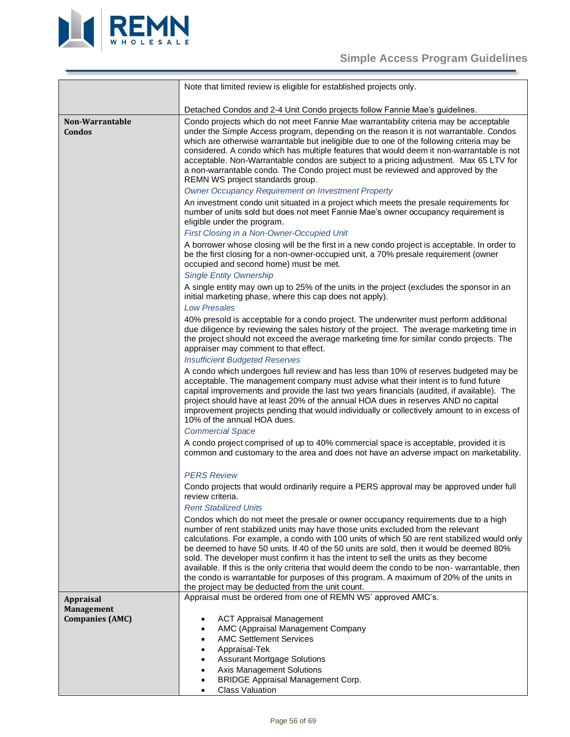

<span id="page-55-1"></span><span id="page-55-0"></span>

|                                             | Note that limited review is eligible for established projects only.                                                                                                                                                                                                                                                                                                                                                                                                                                                                                                                                                                                                                                     |
|---------------------------------------------|---------------------------------------------------------------------------------------------------------------------------------------------------------------------------------------------------------------------------------------------------------------------------------------------------------------------------------------------------------------------------------------------------------------------------------------------------------------------------------------------------------------------------------------------------------------------------------------------------------------------------------------------------------------------------------------------------------|
|                                             | Detached Condos and 2-4 Unit Condo projects follow Fannie Mae's guidelines.                                                                                                                                                                                                                                                                                                                                                                                                                                                                                                                                                                                                                             |
| Non-Warrantable<br>Condos                   | Condo projects which do not meet Fannie Mae warrantability criteria may be acceptable<br>under the Simple Access program, depending on the reason it is not warrantable. Condos<br>which are otherwise warrantable but ineligible due to one of the following criteria may be<br>considered. A condo which has multiple features that would deem it non-warrantable is not<br>acceptable. Non-Warrantable condos are subject to a pricing adjustment. Max 65 LTV for<br>a non-warrantable condo. The Condo project must be reviewed and approved by the<br>REMN WS project standards group.                                                                                                             |
|                                             | <b>Owner Occupancy Requirement on Investment Property</b>                                                                                                                                                                                                                                                                                                                                                                                                                                                                                                                                                                                                                                               |
|                                             | An investment condo unit situated in a project which meets the presale requirements for<br>number of units sold but does not meet Fannie Mae's owner occupancy requirement is<br>eligible under the program.                                                                                                                                                                                                                                                                                                                                                                                                                                                                                            |
|                                             | First Closing in a Non-Owner-Occupied Unit                                                                                                                                                                                                                                                                                                                                                                                                                                                                                                                                                                                                                                                              |
|                                             | A borrower whose closing will be the first in a new condo project is acceptable. In order to<br>be the first closing for a non-owner-occupied unit, a 70% presale requirement (owner<br>occupied and second home) must be met.                                                                                                                                                                                                                                                                                                                                                                                                                                                                          |
|                                             | <b>Single Entity Ownership</b>                                                                                                                                                                                                                                                                                                                                                                                                                                                                                                                                                                                                                                                                          |
|                                             | A single entity may own up to 25% of the units in the project (excludes the sponsor in an<br>initial marketing phase, where this cap does not apply).<br><b>Low Presales</b>                                                                                                                                                                                                                                                                                                                                                                                                                                                                                                                            |
|                                             | 40% presold is acceptable for a condo project. The underwriter must perform additional<br>due diligence by reviewing the sales history of the project. The average marketing time in<br>the project should not exceed the average marketing time for similar condo projects. The<br>appraiser may comment to that effect.                                                                                                                                                                                                                                                                                                                                                                               |
|                                             | <b>Insufficient Budgeted Reserves</b>                                                                                                                                                                                                                                                                                                                                                                                                                                                                                                                                                                                                                                                                   |
|                                             | A condo which undergoes full review and has less than 10% of reserves budgeted may be                                                                                                                                                                                                                                                                                                                                                                                                                                                                                                                                                                                                                   |
|                                             | acceptable. The management company must advise what their intent is to fund future<br>capital improvements and provide the last two years financials (audited, if available). The<br>project should have at least 20% of the annual HOA dues in reserves AND no capital<br>improvement projects pending that would individually or collectively amount to in excess of<br>10% of the annual HOA dues.                                                                                                                                                                                                                                                                                                   |
|                                             | <b>Commercial Space</b>                                                                                                                                                                                                                                                                                                                                                                                                                                                                                                                                                                                                                                                                                 |
|                                             | A condo project comprised of up to 40% commercial space is acceptable, provided it is<br>common and customary to the area and does not have an adverse impact on marketability.                                                                                                                                                                                                                                                                                                                                                                                                                                                                                                                         |
|                                             | <b>PERS Review</b>                                                                                                                                                                                                                                                                                                                                                                                                                                                                                                                                                                                                                                                                                      |
|                                             | Condo projects that would ordinarily require a PERS approval may be approved under full<br>review criteria.                                                                                                                                                                                                                                                                                                                                                                                                                                                                                                                                                                                             |
|                                             | <b>Rent Stabilized Units</b>                                                                                                                                                                                                                                                                                                                                                                                                                                                                                                                                                                                                                                                                            |
|                                             | Condos which do not meet the presale or owner occupancy requirements due to a high<br>number of rent stabilized units may have those units excluded from the relevant<br>calculations. For example, a condo with 100 units of which 50 are rent stabilized would only<br>be deemed to have 50 units. If 40 of the 50 units are sold, then it would be deemed 80%<br>sold. The developer must confirm it has the intent to sell the units as they become<br>available. If this is the only criteria that would deem the condo to be non-warrantable, then<br>the condo is warrantable for purposes of this program. A maximum of 20% of the units in<br>the project may be deducted from the unit count. |
| <b>Appraisal</b>                            | Appraisal must be ordered from one of REMN WS' approved AMC's.                                                                                                                                                                                                                                                                                                                                                                                                                                                                                                                                                                                                                                          |
| <b>Management</b><br><b>Companies (AMC)</b> | <b>ACT Appraisal Management</b><br>$\bullet$<br>AMC (Appraisal Management Company<br>$\bullet$<br><b>AMC Settlement Services</b><br>$\bullet$<br>Appraisal-Tek<br>$\bullet$<br><b>Assurant Mortgage Solutions</b><br>$\bullet$<br>Axis Management Solutions<br>$\bullet$                                                                                                                                                                                                                                                                                                                                                                                                                                |
|                                             | <b>BRIDGE Appraisal Management Corp.</b><br>٠<br><b>Class Valuation</b><br>$\bullet$                                                                                                                                                                                                                                                                                                                                                                                                                                                                                                                                                                                                                    |
|                                             |                                                                                                                                                                                                                                                                                                                                                                                                                                                                                                                                                                                                                                                                                                         |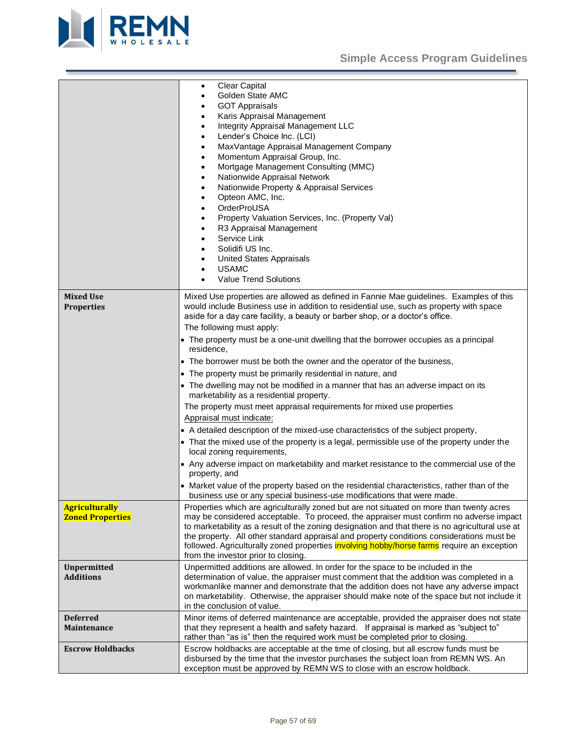

<span id="page-56-4"></span><span id="page-56-3"></span><span id="page-56-2"></span><span id="page-56-1"></span><span id="page-56-0"></span>

|                                                  | <b>Clear Capital</b><br>$\bullet$<br>Golden State AMC<br><b>GOT Appraisals</b><br>Karis Appraisal Management<br>٠<br>Integrity Appraisal Management LLC<br>$\bullet$<br>Lender's Choice Inc. (LCI)<br>$\bullet$<br>MaxVantage Appraisal Management Company<br>$\bullet$<br>Momentum Appraisal Group, Inc.<br>$\bullet$<br>Mortgage Management Consulting (MMC)<br>$\bullet$<br>Nationwide Appraisal Network<br>$\bullet$<br>Nationwide Property & Appraisal Services<br>$\bullet$<br>Opteon AMC, Inc.<br>$\bullet$<br>OrderProUSA<br>$\bullet$<br>Property Valuation Services, Inc. (Property Val)<br>٠<br>R3 Appraisal Management<br>Service Link<br>$\bullet$<br>Solidifi US Inc.<br>٠<br><b>United States Appraisals</b><br><b>USAMC</b><br><b>Value Trend Solutions</b> |
|--------------------------------------------------|-----------------------------------------------------------------------------------------------------------------------------------------------------------------------------------------------------------------------------------------------------------------------------------------------------------------------------------------------------------------------------------------------------------------------------------------------------------------------------------------------------------------------------------------------------------------------------------------------------------------------------------------------------------------------------------------------------------------------------------------------------------------------------|
| <b>Mixed Use</b>                                 | Mixed Use properties are allowed as defined in Fannie Mae guidelines. Examples of this                                                                                                                                                                                                                                                                                                                                                                                                                                                                                                                                                                                                                                                                                      |
| <b>Properties</b>                                | would include Business use in addition to residential use, such as property with space                                                                                                                                                                                                                                                                                                                                                                                                                                                                                                                                                                                                                                                                                      |
|                                                  | aside for a day care facility, a beauty or barber shop, or a doctor's office.                                                                                                                                                                                                                                                                                                                                                                                                                                                                                                                                                                                                                                                                                               |
|                                                  | The following must apply:<br>• The property must be a one-unit dwelling that the borrower occupies as a principal                                                                                                                                                                                                                                                                                                                                                                                                                                                                                                                                                                                                                                                           |
|                                                  | residence,                                                                                                                                                                                                                                                                                                                                                                                                                                                                                                                                                                                                                                                                                                                                                                  |
|                                                  | • The borrower must be both the owner and the operator of the business,                                                                                                                                                                                                                                                                                                                                                                                                                                                                                                                                                                                                                                                                                                     |
|                                                  | • The property must be primarily residential in nature, and                                                                                                                                                                                                                                                                                                                                                                                                                                                                                                                                                                                                                                                                                                                 |
|                                                  | • The dwelling may not be modified in a manner that has an adverse impact on its<br>marketability as a residential property.                                                                                                                                                                                                                                                                                                                                                                                                                                                                                                                                                                                                                                                |
|                                                  | The property must meet appraisal requirements for mixed use properties                                                                                                                                                                                                                                                                                                                                                                                                                                                                                                                                                                                                                                                                                                      |
|                                                  | Appraisal must indicate:                                                                                                                                                                                                                                                                                                                                                                                                                                                                                                                                                                                                                                                                                                                                                    |
|                                                  | • A detailed description of the mixed-use characteristics of the subject property,                                                                                                                                                                                                                                                                                                                                                                                                                                                                                                                                                                                                                                                                                          |
|                                                  | • That the mixed use of the property is a legal, permissible use of the property under the<br>local zoning requirements,                                                                                                                                                                                                                                                                                                                                                                                                                                                                                                                                                                                                                                                    |
|                                                  | • Any adverse impact on marketability and market resistance to the commercial use of the<br>property, and                                                                                                                                                                                                                                                                                                                                                                                                                                                                                                                                                                                                                                                                   |
|                                                  | • Market value of the property based on the residential characteristics, rather than of the<br>business use or any special business-use modifications that were made.                                                                                                                                                                                                                                                                                                                                                                                                                                                                                                                                                                                                       |
| <b>Agriculturally</b><br><b>Zoned Properties</b> | Properties which are agriculturally zoned but are not situated on more than twenty acres<br>may be considered acceptable. To proceed, the appraiser must confirm no adverse impact<br>to marketability as a result of the zoning designation and that there is no agricultural use at<br>the property. All other standard appraisal and property conditions considerations must be<br>followed. Agriculturally zoned properties <b>involving hobby/horse farms</b> require an exception<br>from the investor prior to closing.                                                                                                                                                                                                                                              |
| <b>Unpermitted</b>                               | Unpermitted additions are allowed. In order for the space to be included in the                                                                                                                                                                                                                                                                                                                                                                                                                                                                                                                                                                                                                                                                                             |
| <b>Additions</b>                                 | determination of value, the appraiser must comment that the addition was completed in a                                                                                                                                                                                                                                                                                                                                                                                                                                                                                                                                                                                                                                                                                     |
|                                                  | workmanlike manner and demonstrate that the addition does not have any adverse impact<br>on marketability. Otherwise, the appraiser should make note of the space but not include it                                                                                                                                                                                                                                                                                                                                                                                                                                                                                                                                                                                        |
|                                                  | in the conclusion of value.                                                                                                                                                                                                                                                                                                                                                                                                                                                                                                                                                                                                                                                                                                                                                 |
| <b>Deferred</b>                                  | Minor items of deferred maintenance are acceptable, provided the appraiser does not state                                                                                                                                                                                                                                                                                                                                                                                                                                                                                                                                                                                                                                                                                   |
| Maintenance                                      | that they represent a health and safety hazard. If appraisal is marked as "subject to"                                                                                                                                                                                                                                                                                                                                                                                                                                                                                                                                                                                                                                                                                      |
|                                                  | rather than "as is" then the required work must be completed prior to closing.                                                                                                                                                                                                                                                                                                                                                                                                                                                                                                                                                                                                                                                                                              |
| <b>Escrow Holdbacks</b>                          | Escrow holdbacks are acceptable at the time of closing, but all escrow funds must be<br>disbursed by the time that the investor purchases the subject loan from REMN WS. An                                                                                                                                                                                                                                                                                                                                                                                                                                                                                                                                                                                                 |
|                                                  | exception must be approved by REMN WS to close with an escrow holdback.                                                                                                                                                                                                                                                                                                                                                                                                                                                                                                                                                                                                                                                                                                     |
|                                                  |                                                                                                                                                                                                                                                                                                                                                                                                                                                                                                                                                                                                                                                                                                                                                                             |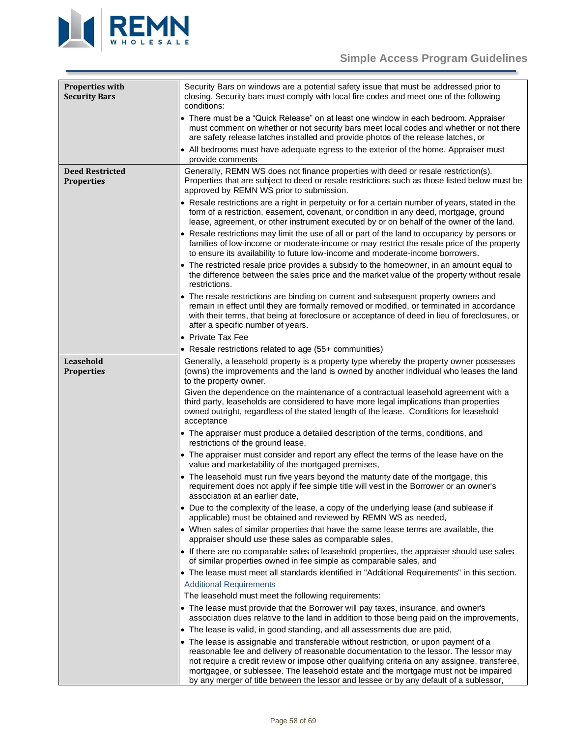

<span id="page-57-2"></span><span id="page-57-1"></span><span id="page-57-0"></span>

| <b>Properties with</b><br><b>Security Bars</b> | Security Bars on windows are a potential safety issue that must be addressed prior to<br>closing. Security bars must comply with local fire codes and meet one of the following<br>conditions:                                                                                                                                                                       |
|------------------------------------------------|----------------------------------------------------------------------------------------------------------------------------------------------------------------------------------------------------------------------------------------------------------------------------------------------------------------------------------------------------------------------|
|                                                | • There must be a "Quick Release" on at least one window in each bedroom. Appraiser<br>must comment on whether or not security bars meet local codes and whether or not there<br>are safety release latches installed and provide photos of the release latches, or                                                                                                  |
|                                                | • All bedrooms must have adequate egress to the exterior of the home. Appraiser must<br>provide comments                                                                                                                                                                                                                                                             |
| <b>Deed Restricted</b><br><b>Properties</b>    | Generally, REMN WS does not finance properties with deed or resale restriction(s).<br>Properties that are subject to deed or resale restrictions such as those listed below must be<br>approved by REMN WS prior to submission.                                                                                                                                      |
|                                                | • Resale restrictions are a right in perpetuity or for a certain number of years, stated in the<br>form of a restriction, easement, covenant, or condition in any deed, mortgage, ground<br>lease, agreement, or other instrument executed by or on behalf of the owner of the land.                                                                                 |
|                                                | • Resale restrictions may limit the use of all or part of the land to occupancy by persons or<br>families of low-income or moderate-income or may restrict the resale price of the property<br>to ensure its availability to future low-income and moderate-income borrowers.                                                                                        |
|                                                | • The restricted resale price provides a subsidy to the homeowner, in an amount equal to<br>the difference between the sales price and the market value of the property without resale<br>restrictions.                                                                                                                                                              |
|                                                | • The resale restrictions are binding on current and subsequent property owners and<br>remain in effect until they are formally removed or modified, or terminated in accordance<br>with their terms, that being at foreclosure or acceptance of deed in lieu of foreclosures, or<br>after a specific number of years.                                               |
|                                                | • Private Tax Fee                                                                                                                                                                                                                                                                                                                                                    |
|                                                | • Resale restrictions related to age (55+ communities)                                                                                                                                                                                                                                                                                                               |
| Leasehold<br><b>Properties</b>                 | Generally, a leasehold property is a property type whereby the property owner possesses<br>(owns) the improvements and the land is owned by another individual who leases the land<br>to the property owner.                                                                                                                                                         |
|                                                | Given the dependence on the maintenance of a contractual leasehold agreement with a<br>third party, leaseholds are considered to have more legal implications than properties<br>owned outright, regardless of the stated length of the lease. Conditions for leasehold<br>acceptance                                                                                |
|                                                | • The appraiser must produce a detailed description of the terms, conditions, and<br>restrictions of the ground lease,                                                                                                                                                                                                                                               |
|                                                | • The appraiser must consider and report any effect the terms of the lease have on the<br>value and marketability of the mortgaged premises,                                                                                                                                                                                                                         |
|                                                | • The leasehold must run five years beyond the maturity date of the mortgage, this<br>requirement does not apply if fee simple title will vest in the Borrower or an owner's<br>association at an earlier date,                                                                                                                                                      |
|                                                | • Due to the complexity of the lease, a copy of the underlying lease (and sublease if<br>applicable) must be obtained and reviewed by REMN WS as needed,                                                                                                                                                                                                             |
|                                                | • When sales of similar properties that have the same lease terms are available, the<br>appraiser should use these sales as comparable sales,                                                                                                                                                                                                                        |
|                                                | • If there are no comparable sales of leasehold properties, the appraiser should use sales<br>of similar properties owned in fee simple as comparable sales, and                                                                                                                                                                                                     |
|                                                | • The lease must meet all standards identified in "Additional Requirements" in this section.                                                                                                                                                                                                                                                                         |
|                                                | <b>Additional Requirements</b>                                                                                                                                                                                                                                                                                                                                       |
|                                                | The leasehold must meet the following requirements:                                                                                                                                                                                                                                                                                                                  |
|                                                | • The lease must provide that the Borrower will pay taxes, insurance, and owner's<br>association dues relative to the land in addition to those being paid on the improvements,                                                                                                                                                                                      |
|                                                | • The lease is valid, in good standing, and all assessments due are paid,                                                                                                                                                                                                                                                                                            |
|                                                | • The lease is assignable and transferable without restriction, or upon payment of a<br>reasonable fee and delivery of reasonable documentation to the lessor. The lessor may<br>not require a credit review or impose other qualifying criteria on any assignee, transferee,<br>mortgagee, or sublessee. The leasehold estate and the mortgage must not be impaired |
|                                                | by any merger of title between the lessor and lessee or by any default of a sublessor,                                                                                                                                                                                                                                                                               |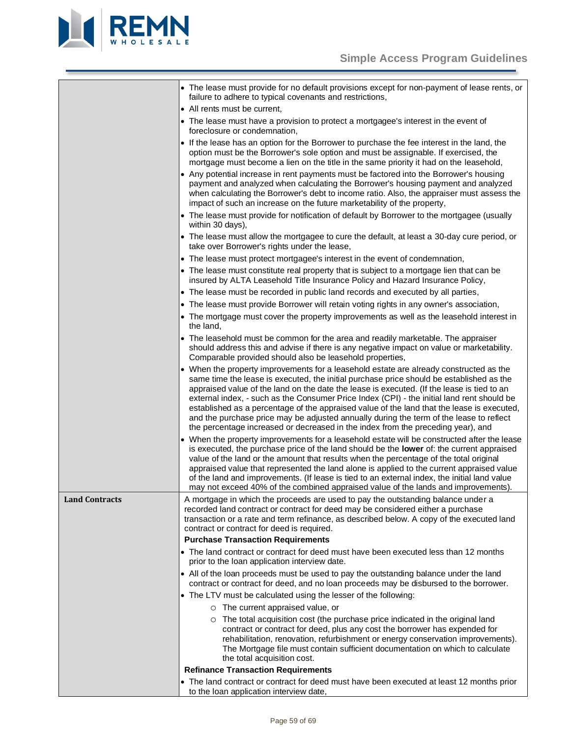

<span id="page-58-0"></span>

|                       | • The lease must provide for no default provisions except for non-payment of lease rents, or<br>failure to adhere to typical covenants and restrictions,                                                                                                                                                                                                                                                                                                                                                                                                                                                                                                    |  |  |  |  |  |
|-----------------------|-------------------------------------------------------------------------------------------------------------------------------------------------------------------------------------------------------------------------------------------------------------------------------------------------------------------------------------------------------------------------------------------------------------------------------------------------------------------------------------------------------------------------------------------------------------------------------------------------------------------------------------------------------------|--|--|--|--|--|
|                       | • All rents must be current,                                                                                                                                                                                                                                                                                                                                                                                                                                                                                                                                                                                                                                |  |  |  |  |  |
|                       | • The lease must have a provision to protect a mortgagee's interest in the event of<br>foreclosure or condemnation,                                                                                                                                                                                                                                                                                                                                                                                                                                                                                                                                         |  |  |  |  |  |
|                       | • If the lease has an option for the Borrower to purchase the fee interest in the land, the<br>option must be the Borrower's sole option and must be assignable. If exercised, the<br>mortgage must become a lien on the title in the same priority it had on the leasehold,                                                                                                                                                                                                                                                                                                                                                                                |  |  |  |  |  |
|                       | • Any potential increase in rent payments must be factored into the Borrower's housing<br>payment and analyzed when calculating the Borrower's housing payment and analyzed<br>when calculating the Borrower's debt to income ratio. Also, the appraiser must assess the<br>impact of such an increase on the future marketability of the property,                                                                                                                                                                                                                                                                                                         |  |  |  |  |  |
|                       | • The lease must provide for notification of default by Borrower to the mortgagee (usually<br>within 30 days),                                                                                                                                                                                                                                                                                                                                                                                                                                                                                                                                              |  |  |  |  |  |
|                       | • The lease must allow the mortgagee to cure the default, at least a 30-day cure period, or<br>take over Borrower's rights under the lease,                                                                                                                                                                                                                                                                                                                                                                                                                                                                                                                 |  |  |  |  |  |
|                       | • The lease must protect mortgagee's interest in the event of condemnation,                                                                                                                                                                                                                                                                                                                                                                                                                                                                                                                                                                                 |  |  |  |  |  |
|                       | • The lease must constitute real property that is subject to a mortgage lien that can be<br>insured by ALTA Leasehold Title Insurance Policy and Hazard Insurance Policy,                                                                                                                                                                                                                                                                                                                                                                                                                                                                                   |  |  |  |  |  |
|                       | • The lease must be recorded in public land records and executed by all parties,                                                                                                                                                                                                                                                                                                                                                                                                                                                                                                                                                                            |  |  |  |  |  |
|                       | • The lease must provide Borrower will retain voting rights in any owner's association,                                                                                                                                                                                                                                                                                                                                                                                                                                                                                                                                                                     |  |  |  |  |  |
|                       | • The mortgage must cover the property improvements as well as the leasehold interest in<br>the land,                                                                                                                                                                                                                                                                                                                                                                                                                                                                                                                                                       |  |  |  |  |  |
|                       | • The leasehold must be common for the area and readily marketable. The appraiser<br>should address this and advise if there is any negative impact on value or marketability.<br>Comparable provided should also be leasehold properties,                                                                                                                                                                                                                                                                                                                                                                                                                  |  |  |  |  |  |
|                       | • When the property improvements for a leasehold estate are already constructed as the<br>same time the lease is executed, the initial purchase price should be established as the<br>appraised value of the land on the date the lease is executed. (If the lease is tied to an<br>external index, - such as the Consumer Price Index (CPI) - the initial land rent should be<br>established as a percentage of the appraised value of the land that the lease is executed,<br>and the purchase price may be adjusted annually during the term of the lease to reflect<br>the percentage increased or decreased in the index from the preceding year), and |  |  |  |  |  |
|                       | • When the property improvements for a leasehold estate will be constructed after the lease<br>is executed, the purchase price of the land should be the lower of: the current appraised<br>value of the land or the amount that results when the percentage of the total original<br>appraised value that represented the land alone is applied to the current appraised value<br>of the land and improvements. (If lease is tied to an external index, the initial land value<br>may not exceed 40% of the combined appraised value of the lands and improvements).                                                                                       |  |  |  |  |  |
| <b>Land Contracts</b> | A mortgage in which the proceeds are used to pay the outstanding balance under a<br>recorded land contract or contract for deed may be considered either a purchase<br>transaction or a rate and term refinance, as described below. A copy of the executed land<br>contract or contract for deed is required.                                                                                                                                                                                                                                                                                                                                              |  |  |  |  |  |
|                       | <b>Purchase Transaction Requirements</b>                                                                                                                                                                                                                                                                                                                                                                                                                                                                                                                                                                                                                    |  |  |  |  |  |
|                       | • The land contract or contract for deed must have been executed less than 12 months<br>prior to the loan application interview date.                                                                                                                                                                                                                                                                                                                                                                                                                                                                                                                       |  |  |  |  |  |
|                       | • All of the loan proceeds must be used to pay the outstanding balance under the land<br>contract or contract for deed, and no loan proceeds may be disbursed to the borrower.                                                                                                                                                                                                                                                                                                                                                                                                                                                                              |  |  |  |  |  |
|                       | • The LTV must be calculated using the lesser of the following:                                                                                                                                                                                                                                                                                                                                                                                                                                                                                                                                                                                             |  |  |  |  |  |
|                       | $\circ$ The current appraised value, or                                                                                                                                                                                                                                                                                                                                                                                                                                                                                                                                                                                                                     |  |  |  |  |  |
|                       | The total acquisition cost (the purchase price indicated in the original land<br>$\circ$<br>contract or contract for deed, plus any cost the borrower has expended for<br>rehabilitation, renovation, refurbishment or energy conservation improvements).<br>The Mortgage file must contain sufficient documentation on which to calculate<br>the total acquisition cost.                                                                                                                                                                                                                                                                                   |  |  |  |  |  |
|                       | <b>Refinance Transaction Requirements</b>                                                                                                                                                                                                                                                                                                                                                                                                                                                                                                                                                                                                                   |  |  |  |  |  |
|                       | • The land contract or contract for deed must have been executed at least 12 months prior<br>to the loan application interview date,                                                                                                                                                                                                                                                                                                                                                                                                                                                                                                                        |  |  |  |  |  |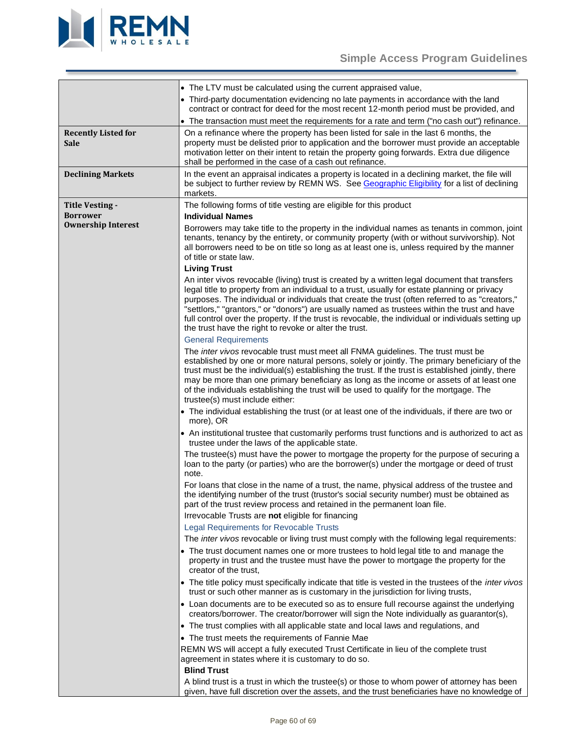

<span id="page-59-2"></span><span id="page-59-1"></span><span id="page-59-0"></span>

|                                           | • The LTV must be calculated using the current appraised value,                                                                                                                                                                                                                                                                                                                                                                                                                                                                                                                                   |
|-------------------------------------------|---------------------------------------------------------------------------------------------------------------------------------------------------------------------------------------------------------------------------------------------------------------------------------------------------------------------------------------------------------------------------------------------------------------------------------------------------------------------------------------------------------------------------------------------------------------------------------------------------|
|                                           | • Third-party documentation evidencing no late payments in accordance with the land<br>contract or contract for deed for the most recent 12-month period must be provided, and                                                                                                                                                                                                                                                                                                                                                                                                                    |
|                                           | • The transaction must meet the requirements for a rate and term ("no cash out") refinance.                                                                                                                                                                                                                                                                                                                                                                                                                                                                                                       |
| <b>Recently Listed for</b><br><b>Sale</b> | On a refinance where the property has been listed for sale in the last 6 months, the<br>property must be delisted prior to application and the borrower must provide an acceptable<br>motivation letter on their intent to retain the property going forwards. Extra due diligence<br>shall be performed in the case of a cash out refinance.                                                                                                                                                                                                                                                     |
| <b>Declining Markets</b>                  | In the event an appraisal indicates a property is located in a declining market, the file will<br>be subject to further review by REMN WS. See Geographic Eligibility for a list of declining<br>markets.                                                                                                                                                                                                                                                                                                                                                                                         |
| <b>Title Vesting -</b><br><b>Borrower</b> | The following forms of title vesting are eligible for this product                                                                                                                                                                                                                                                                                                                                                                                                                                                                                                                                |
| <b>Ownership Interest</b>                 | <b>Individual Names</b>                                                                                                                                                                                                                                                                                                                                                                                                                                                                                                                                                                           |
|                                           | Borrowers may take title to the property in the individual names as tenants in common, joint<br>tenants, tenancy by the entirety, or community property (with or without survivorship). Not<br>all borrowers need to be on title so long as at least one is, unless required by the manner<br>of title or state law.                                                                                                                                                                                                                                                                              |
|                                           | <b>Living Trust</b>                                                                                                                                                                                                                                                                                                                                                                                                                                                                                                                                                                               |
|                                           | An inter vivos revocable (living) trust is created by a written legal document that transfers<br>legal title to property from an individual to a trust, usually for estate planning or privacy<br>purposes. The individual or individuals that create the trust (often referred to as "creators,"<br>"settlors," "grantors," or "donors") are usually named as trustees within the trust and have<br>full control over the property. If the trust is revocable, the individual or individuals setting up<br>the trust have the right to revoke or alter the trust.<br><b>General Requirements</b> |
|                                           | The <i>inter vivos</i> revocable trust must meet all FNMA guidelines. The trust must be                                                                                                                                                                                                                                                                                                                                                                                                                                                                                                           |
|                                           | established by one or more natural persons, solely or jointly. The primary beneficiary of the<br>trust must be the individual(s) establishing the trust. If the trust is established jointly, there<br>may be more than one primary beneficiary as long as the income or assets of at least one<br>of the individuals establishing the trust will be used to qualify for the mortgage. The<br>trustee(s) must include either:                                                                                                                                                                     |
|                                           | • The individual establishing the trust (or at least one of the individuals, if there are two or<br>more), OR                                                                                                                                                                                                                                                                                                                                                                                                                                                                                     |
|                                           | • An institutional trustee that customarily performs trust functions and is authorized to act as<br>trustee under the laws of the applicable state.                                                                                                                                                                                                                                                                                                                                                                                                                                               |
|                                           | The trustee(s) must have the power to mortgage the property for the purpose of securing a<br>loan to the party (or parties) who are the borrower(s) under the mortgage or deed of trust<br>note.                                                                                                                                                                                                                                                                                                                                                                                                  |
|                                           | For loans that close in the name of a trust, the name, physical address of the trustee and<br>the identifying number of the trust (trustor's social security number) must be obtained as<br>part of the trust review process and retained in the permanent loan file.                                                                                                                                                                                                                                                                                                                             |
|                                           | Irrevocable Trusts are not eligible for financing                                                                                                                                                                                                                                                                                                                                                                                                                                                                                                                                                 |
|                                           | <b>Legal Requirements for Revocable Trusts</b>                                                                                                                                                                                                                                                                                                                                                                                                                                                                                                                                                    |
|                                           | The inter vivos revocable or living trust must comply with the following legal requirements:                                                                                                                                                                                                                                                                                                                                                                                                                                                                                                      |
|                                           | • The trust document names one or more trustees to hold legal title to and manage the<br>property in trust and the trustee must have the power to mortgage the property for the<br>creator of the trust.                                                                                                                                                                                                                                                                                                                                                                                          |
|                                           | • The title policy must specifically indicate that title is vested in the trustees of the inter vivos<br>trust or such other manner as is customary in the jurisdiction for living trusts,                                                                                                                                                                                                                                                                                                                                                                                                        |
|                                           | • Loan documents are to be executed so as to ensure full recourse against the underlying<br>creators/borrower. The creator/borrower will sign the Note individually as guarantor(s),                                                                                                                                                                                                                                                                                                                                                                                                              |
|                                           | • The trust complies with all applicable state and local laws and regulations, and                                                                                                                                                                                                                                                                                                                                                                                                                                                                                                                |
|                                           | • The trust meets the requirements of Fannie Mae                                                                                                                                                                                                                                                                                                                                                                                                                                                                                                                                                  |
|                                           | REMN WS will accept a fully executed Trust Certificate in lieu of the complete trust<br>agreement in states where it is customary to do so.<br><b>Blind Trust</b>                                                                                                                                                                                                                                                                                                                                                                                                                                 |
|                                           | A blind trust is a trust in which the trustee(s) or those to whom power of attorney has been<br>given, have full discretion over the assets, and the trust beneficiaries have no knowledge of                                                                                                                                                                                                                                                                                                                                                                                                     |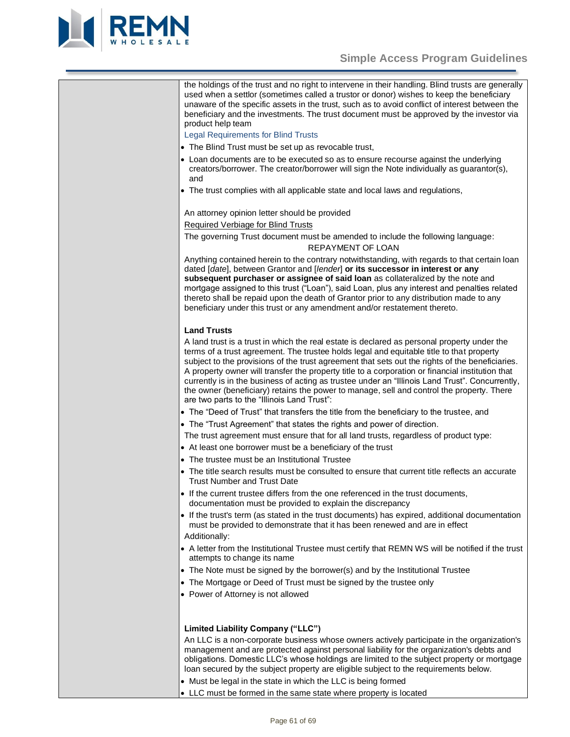

# **Simple Access Program Guidelines**

the holdings of the trust and no right to intervene in their handling. Blind trusts are generally used when a settlor (sometimes called a trustor or donor) wishes to keep the beneficiary unaware of the specific assets in the trust, such as to avoid conflict of interest between the beneficiary and the investments. The trust document must be approved by the investor via product help team

Legal Requirements for Blind Trusts

- The Blind Trust must be set up as revocable trust,
- Loan documents are to be executed so as to ensure recourse against the underlying creators/borrower. The creator/borrower will sign the Note individually as guarantor(s), and
- The trust complies with all applicable state and local laws and regulations,

An attorney opinion letter should be provided

Required Verbiage for Blind Trusts

The governing Trust document must be amended to include the following language: REPAYMENT OF LOAN

Anything contained herein to the contrary notwithstanding, with regards to that certain loan dated [*date*], between Grantor and [*lender*] **or its successor in interest or any subsequent purchaser or assignee of said loan** as collateralized by the note and mortgage assigned to this trust ("Loan"), said Loan, plus any interest and penalties related thereto shall be repaid upon the death of Grantor prior to any distribution made to any beneficiary under this trust or any amendment and/or restatement thereto.

# **Land Trusts**

A land trust is a trust in which the real estate is declared as personal property under the terms of a trust agreement. The trustee holds legal and equitable title to that property subject to the provisions of the trust agreement that sets out the rights of the beneficiaries. A property owner will transfer the property title to a corporation or financial institution that currently is in the business of acting as trustee under an "Illinois Land Trust". Concurrently, the owner (beneficiary) retains the power to manage, sell and control the property. There are two parts to the "Illinois Land Trust":

- The "Deed of Trust" that transfers the title from the beneficiary to the trustee, and
- The "Trust Agreement" that states the rights and power of direction.

The trust agreement must ensure that for all land trusts, regardless of product type:

- At least one borrower must be a beneficiary of the trust
- The trustee must be an Institutional Trustee
- The title search results must be consulted to ensure that current title reflects an accurate Trust Number and Trust Date
- If the current trustee differs from the one referenced in the trust documents, documentation must be provided to explain the discrepancy
- If the trust's term (as stated in the trust documents) has expired, additional documentation must be provided to demonstrate that it has been renewed and are in effect Additionally:
- A letter from the Institutional Trustee must certify that REMN WS will be notified if the trust attempts to change its name
- The Note must be signed by the borrower(s) and by the Institutional Trustee
- The Mortgage or Deed of Trust must be signed by the trustee only
- Power of Attorney is not allowed

# **Limited Liability Company ("LLC")**

An LLC is a non-corporate business whose owners actively participate in the organization's management and are protected against personal liability for the organization's debts and obligations. Domestic LLC's whose holdings are limited to the subject property or mortgage loan secured by the subject property are eligible subject to the requirements below.

- Must be legal in the state in which the LLC is being formed
- LLC must be formed in the same state where property is located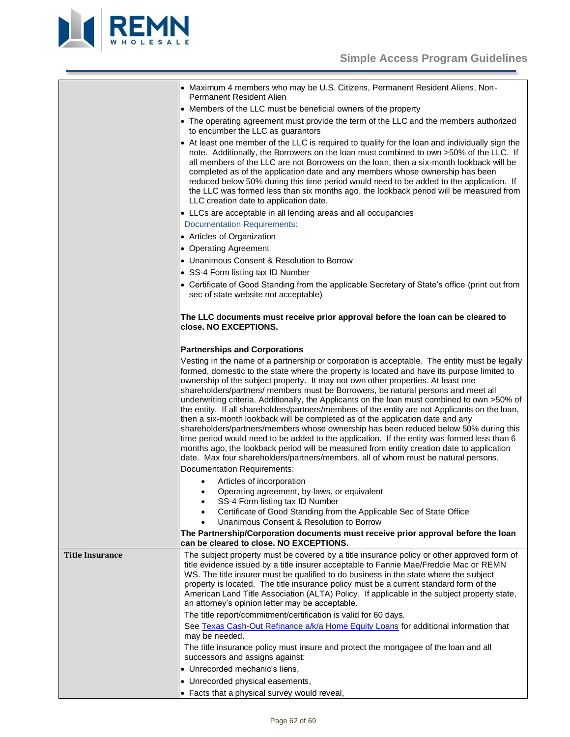

<span id="page-61-0"></span>

|                        | • Maximum 4 members who may be U.S. Citizens, Permanent Resident Aliens, Non-<br><b>Permanent Resident Alien</b>                                                                                                                                                                                                                                                                                                                                                                                                                                                                                                                                                                                                                                                                                                                                                                                                                                                                                                                                                                                                                                                                                                                                                                                                                                                                                                                                   |
|------------------------|----------------------------------------------------------------------------------------------------------------------------------------------------------------------------------------------------------------------------------------------------------------------------------------------------------------------------------------------------------------------------------------------------------------------------------------------------------------------------------------------------------------------------------------------------------------------------------------------------------------------------------------------------------------------------------------------------------------------------------------------------------------------------------------------------------------------------------------------------------------------------------------------------------------------------------------------------------------------------------------------------------------------------------------------------------------------------------------------------------------------------------------------------------------------------------------------------------------------------------------------------------------------------------------------------------------------------------------------------------------------------------------------------------------------------------------------------|
|                        | • Members of the LLC must be beneficial owners of the property                                                                                                                                                                                                                                                                                                                                                                                                                                                                                                                                                                                                                                                                                                                                                                                                                                                                                                                                                                                                                                                                                                                                                                                                                                                                                                                                                                                     |
|                        | • The operating agreement must provide the term of the LLC and the members authorized<br>to encumber the LLC as guarantors                                                                                                                                                                                                                                                                                                                                                                                                                                                                                                                                                                                                                                                                                                                                                                                                                                                                                                                                                                                                                                                                                                                                                                                                                                                                                                                         |
|                        | • At least one member of the LLC is required to qualify for the loan and individually sign the<br>note. Additionally, the Borrowers on the loan must combined to own >50% of the LLC. If<br>all members of the LLC are not Borrowers on the loan, then a six-month lookback will be<br>completed as of the application date and any members whose ownership has been<br>reduced below 50% during this time period would need to be added to the application. If<br>the LLC was formed less than six months ago, the lookback period will be measured from<br>LLC creation date to application date.                                                                                                                                                                                                                                                                                                                                                                                                                                                                                                                                                                                                                                                                                                                                                                                                                                                |
|                        | • LLCs are acceptable in all lending areas and all occupancies                                                                                                                                                                                                                                                                                                                                                                                                                                                                                                                                                                                                                                                                                                                                                                                                                                                                                                                                                                                                                                                                                                                                                                                                                                                                                                                                                                                     |
|                        | <b>Documentation Requirements:</b>                                                                                                                                                                                                                                                                                                                                                                                                                                                                                                                                                                                                                                                                                                                                                                                                                                                                                                                                                                                                                                                                                                                                                                                                                                                                                                                                                                                                                 |
|                        | • Articles of Organization                                                                                                                                                                                                                                                                                                                                                                                                                                                                                                                                                                                                                                                                                                                                                                                                                                                                                                                                                                                                                                                                                                                                                                                                                                                                                                                                                                                                                         |
|                        | • Operating Agreement                                                                                                                                                                                                                                                                                                                                                                                                                                                                                                                                                                                                                                                                                                                                                                                                                                                                                                                                                                                                                                                                                                                                                                                                                                                                                                                                                                                                                              |
|                        | • Unanimous Consent & Resolution to Borrow                                                                                                                                                                                                                                                                                                                                                                                                                                                                                                                                                                                                                                                                                                                                                                                                                                                                                                                                                                                                                                                                                                                                                                                                                                                                                                                                                                                                         |
|                        | • SS-4 Form listing tax ID Number                                                                                                                                                                                                                                                                                                                                                                                                                                                                                                                                                                                                                                                                                                                                                                                                                                                                                                                                                                                                                                                                                                                                                                                                                                                                                                                                                                                                                  |
|                        | • Certificate of Good Standing from the applicable Secretary of State's office (print out from<br>sec of state website not acceptable)                                                                                                                                                                                                                                                                                                                                                                                                                                                                                                                                                                                                                                                                                                                                                                                                                                                                                                                                                                                                                                                                                                                                                                                                                                                                                                             |
|                        | The LLC documents must receive prior approval before the loan can be cleared to<br>close. NO EXCEPTIONS.                                                                                                                                                                                                                                                                                                                                                                                                                                                                                                                                                                                                                                                                                                                                                                                                                                                                                                                                                                                                                                                                                                                                                                                                                                                                                                                                           |
|                        | <b>Partnerships and Corporations</b>                                                                                                                                                                                                                                                                                                                                                                                                                                                                                                                                                                                                                                                                                                                                                                                                                                                                                                                                                                                                                                                                                                                                                                                                                                                                                                                                                                                                               |
|                        | Vesting in the name of a partnership or corporation is acceptable. The entity must be legally<br>formed, domestic to the state where the property is located and have its purpose limited to<br>ownership of the subject property. It may not own other properties. At least one<br>shareholders/partners/ members must be Borrowers, be natural persons and meet all<br>underwriting criteria. Additionally, the Applicants on the loan must combined to own >50% of<br>the entity. If all shareholders/partners/members of the entity are not Applicants on the loan,<br>then a six-month lookback will be completed as of the application date and any<br>shareholders/partners/members whose ownership has been reduced below 50% during this<br>time period would need to be added to the application. If the entity was formed less than 6<br>months ago, the lookback period will be measured from entity creation date to application<br>date. Max four shareholders/partners/members, all of whom must be natural persons.<br>Documentation Requirements:<br>Articles of incorporation<br>Operating agreement, by-laws, or equivalent<br>$\bullet$<br>SS-4 Form listing tax ID Number<br>Certificate of Good Standing from the Applicable Sec of State Office<br>Unanimous Consent & Resolution to Borrow<br>The Partnership/Corporation documents must receive prior approval before the loan<br>can be cleared to close. NO EXCEPTIONS. |
|                        |                                                                                                                                                                                                                                                                                                                                                                                                                                                                                                                                                                                                                                                                                                                                                                                                                                                                                                                                                                                                                                                                                                                                                                                                                                                                                                                                                                                                                                                    |
| <b>Title Insurance</b> | The subject property must be covered by a title insurance policy or other approved form of<br>title evidence issued by a title insurer acceptable to Fannie Mae/Freddie Mac or REMN<br>WS. The title insurer must be qualified to do business in the state where the subject<br>property is located. The title insurance policy must be a current standard form of the<br>American Land Title Association (ALTA) Policy. If applicable in the subject property state,<br>an attorney's opinion letter may be acceptable.<br>The title report/commitment/certification is valid for 60 days.                                                                                                                                                                                                                                                                                                                                                                                                                                                                                                                                                                                                                                                                                                                                                                                                                                                        |
|                        | See Texas Cash-Out Refinance a/k/a Home Equity Loans for additional information that                                                                                                                                                                                                                                                                                                                                                                                                                                                                                                                                                                                                                                                                                                                                                                                                                                                                                                                                                                                                                                                                                                                                                                                                                                                                                                                                                               |
|                        | may be needed.                                                                                                                                                                                                                                                                                                                                                                                                                                                                                                                                                                                                                                                                                                                                                                                                                                                                                                                                                                                                                                                                                                                                                                                                                                                                                                                                                                                                                                     |
|                        | The title insurance policy must insure and protect the mortgagee of the loan and all                                                                                                                                                                                                                                                                                                                                                                                                                                                                                                                                                                                                                                                                                                                                                                                                                                                                                                                                                                                                                                                                                                                                                                                                                                                                                                                                                               |
|                        | successors and assigns against:                                                                                                                                                                                                                                                                                                                                                                                                                                                                                                                                                                                                                                                                                                                                                                                                                                                                                                                                                                                                                                                                                                                                                                                                                                                                                                                                                                                                                    |
|                        | • Unrecorded mechanic's liens,                                                                                                                                                                                                                                                                                                                                                                                                                                                                                                                                                                                                                                                                                                                                                                                                                                                                                                                                                                                                                                                                                                                                                                                                                                                                                                                                                                                                                     |
|                        | • Unrecorded physical easements,                                                                                                                                                                                                                                                                                                                                                                                                                                                                                                                                                                                                                                                                                                                                                                                                                                                                                                                                                                                                                                                                                                                                                                                                                                                                                                                                                                                                                   |
|                        | • Facts that a physical survey would reveal,                                                                                                                                                                                                                                                                                                                                                                                                                                                                                                                                                                                                                                                                                                                                                                                                                                                                                                                                                                                                                                                                                                                                                                                                                                                                                                                                                                                                       |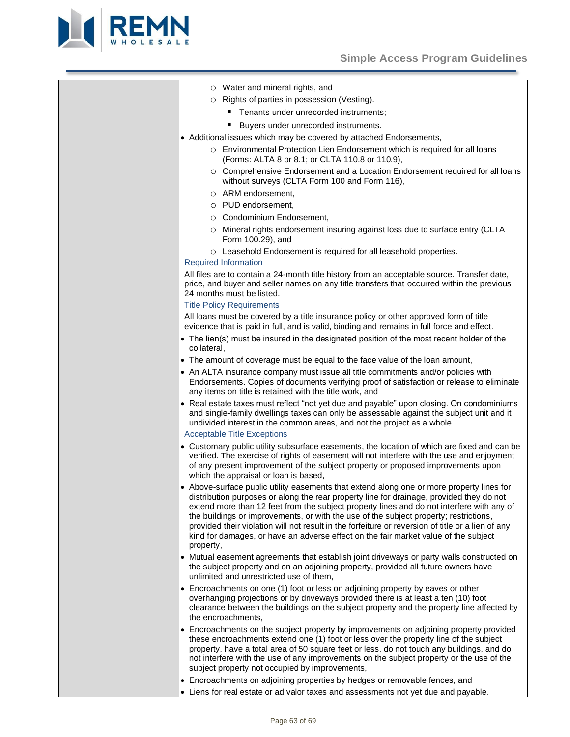

|  |  |  | O Water and mineral rights, and |  |  |
|--|--|--|---------------------------------|--|--|
|--|--|--|---------------------------------|--|--|

- o Rights of parties in possession (Vesting).
	- **Tenants under unrecorded instruments;**
	- Buvers under unrecorded instruments.
- Additional issues which may be covered by attached Endorsements,
	- o Environmental Protection Lien Endorsement which is required for all loans (Forms: ALTA 8 or 8.1; or CLTA 110.8 or 110.9),
	- o Comprehensive Endorsement and a Location Endorsement required for all loans without surveys (CLTA Form 100 and Form 116),
	- o ARM endorsement,
	- o PUD endorsement,
	- o Condominium Endorsement,
	- o Mineral rights endorsement insuring against loss due to surface entry (CLTA Form 100.29), and
	- o Leasehold Endorsement is required for all leasehold properties.

#### Required Information

All files are to contain a 24-month title history from an acceptable source. Transfer date, price, and buyer and seller names on any title transfers that occurred within the previous 24 months must be listed.

# Title Policy Requirements

All loans must be covered by a title insurance policy or other approved form of title evidence that is paid in full, and is valid, binding and remains in full force and effect.

- The lien(s) must be insured in the designated position of the most recent holder of the collateral,
- The amount of coverage must be equal to the face value of the loan amount,
- An ALTA insurance company must issue all title commitments and/or policies with Endorsements. Copies of documents verifying proof of satisfaction or release to eliminate any items on title is retained with the title work, and
- Real estate taxes must reflect "not yet due and payable" upon closing. On condominiums and single-family dwellings taxes can only be assessable against the subject unit and it undivided interest in the common areas, and not the project as a whole.

# Acceptable Title Exceptions

- Customary public utility subsurface easements, the location of which are fixed and can be verified. The exercise of rights of easement will not interfere with the use and enjoyment of any present improvement of the subject property or proposed improvements upon which the appraisal or loan is based,
- Above-surface public utility easements that extend along one or more property lines for distribution purposes or along the rear property line for drainage, provided they do not extend more than 12 feet from the subject property lines and do not interfere with any of the buildings or improvements, or with the use of the subject property; restrictions, provided their violation will not result in the forfeiture or reversion of title or a lien of any kind for damages, or have an adverse effect on the fair market value of the subject property,
- Mutual easement agreements that establish joint driveways or party walls constructed on the subject property and on an adjoining property, provided all future owners have unlimited and unrestricted use of them,
- Encroachments on one (1) foot or less on adjoining property by eaves or other overhanging projections or by driveways provided there is at least a ten (10) foot clearance between the buildings on the subject property and the property line affected by the encroachments,
- Encroachments on the subject property by improvements on adjoining property provided these encroachments extend one (1) foot or less over the property line of the subject property, have a total area of 50 square feet or less, do not touch any buildings, and do not interfere with the use of any improvements on the subject property or the use of the subject property not occupied by improvements,

• Encroachments on adjoining properties by hedges or removable fences, and • Liens for real estate or ad valor taxes and assessments not yet due and payable.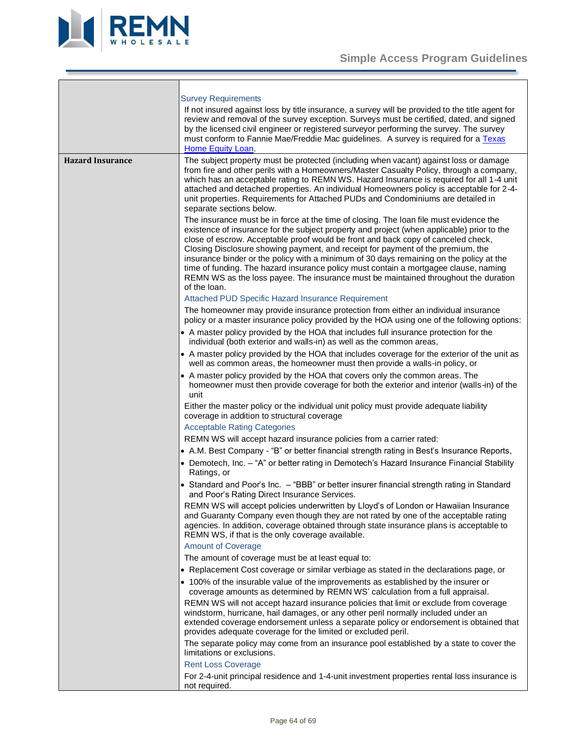

<span id="page-63-0"></span>

|                         | <b>Survey Requirements</b><br>If not insured against loss by title insurance, a survey will be provided to the title agent for<br>review and removal of the survey exception. Surveys must be certified, dated, and signed<br>by the licensed civil engineer or registered surveyor performing the survey. The survey<br>must conform to Fannie Mae/Freddie Mac guidelines. A survey is required for a Texas<br>Home Equity Loan.                                                                                                                                                                                                                      |
|-------------------------|--------------------------------------------------------------------------------------------------------------------------------------------------------------------------------------------------------------------------------------------------------------------------------------------------------------------------------------------------------------------------------------------------------------------------------------------------------------------------------------------------------------------------------------------------------------------------------------------------------------------------------------------------------|
| <b>Hazard Insurance</b> | The subject property must be protected (including when vacant) against loss or damage<br>from fire and other perils with a Homeowners/Master Casualty Policy, through a company,<br>which has an acceptable rating to REMN WS. Hazard Insurance is required for all 1-4 unit<br>attached and detached properties. An individual Homeowners policy is acceptable for 2-4-<br>unit properties. Requirements for Attached PUDs and Condominiums are detailed in<br>separate sections below.                                                                                                                                                               |
|                         | The insurance must be in force at the time of closing. The loan file must evidence the<br>existence of insurance for the subject property and project (when applicable) prior to the<br>close of escrow. Acceptable proof would be front and back copy of canceled check,<br>Closing Disclosure showing payment, and receipt for payment of the premium, the<br>insurance binder or the policy with a minimum of 30 days remaining on the policy at the<br>time of funding. The hazard insurance policy must contain a mortgagee clause, naming<br>REMN WS as the loss payee. The insurance must be maintained throughout the duration<br>of the loan. |
|                         | Attached PUD Specific Hazard Insurance Requirement                                                                                                                                                                                                                                                                                                                                                                                                                                                                                                                                                                                                     |
|                         | The homeowner may provide insurance protection from either an individual insurance<br>policy or a master insurance policy provided by the HOA using one of the following options:                                                                                                                                                                                                                                                                                                                                                                                                                                                                      |
|                         | • A master policy provided by the HOA that includes full insurance protection for the<br>individual (both exterior and walls-in) as well as the common areas,                                                                                                                                                                                                                                                                                                                                                                                                                                                                                          |
|                         | • A master policy provided by the HOA that includes coverage for the exterior of the unit as<br>well as common areas, the homeowner must then provide a walls-in policy, or                                                                                                                                                                                                                                                                                                                                                                                                                                                                            |
|                         | • A master policy provided by the HOA that covers only the common areas. The<br>homeowner must then provide coverage for both the exterior and interior (walls-in) of the<br>unit                                                                                                                                                                                                                                                                                                                                                                                                                                                                      |
|                         | Either the master policy or the individual unit policy must provide adequate liability<br>coverage in addition to structural coverage<br><b>Acceptable Rating Categories</b>                                                                                                                                                                                                                                                                                                                                                                                                                                                                           |
|                         | REMN WS will accept hazard insurance policies from a carrier rated:                                                                                                                                                                                                                                                                                                                                                                                                                                                                                                                                                                                    |
|                         | • A.M. Best Company - "B" or better financial strength rating in Best's Insurance Reports,                                                                                                                                                                                                                                                                                                                                                                                                                                                                                                                                                             |
|                         | • Demotech, Inc. - "A" or better rating in Demotech's Hazard Insurance Financial Stability<br>Ratings, or                                                                                                                                                                                                                                                                                                                                                                                                                                                                                                                                              |
|                         | • Standard and Poor's Inc. - "BBB" or better insurer financial strength rating in Standard<br>and Poor's Rating Direct Insurance Services.                                                                                                                                                                                                                                                                                                                                                                                                                                                                                                             |
|                         | REMN WS will accept policies underwritten by Lloyd's of London or Hawaiian Insurance<br>and Guaranty Company even though they are not rated by one of the acceptable rating<br>agencies. In addition, coverage obtained through state insurance plans is acceptable to<br>REMN WS, if that is the only coverage available.                                                                                                                                                                                                                                                                                                                             |
|                         | <b>Amount of Coverage</b>                                                                                                                                                                                                                                                                                                                                                                                                                                                                                                                                                                                                                              |
|                         | The amount of coverage must be at least equal to:                                                                                                                                                                                                                                                                                                                                                                                                                                                                                                                                                                                                      |
|                         | • Replacement Cost coverage or similar verbiage as stated in the declarations page, or                                                                                                                                                                                                                                                                                                                                                                                                                                                                                                                                                                 |
|                         | • 100% of the insurable value of the improvements as established by the insurer or<br>coverage amounts as determined by REMN WS' calculation from a full appraisal.                                                                                                                                                                                                                                                                                                                                                                                                                                                                                    |
|                         | REMN WS will not accept hazard insurance policies that limit or exclude from coverage<br>windstorm, hurricane, hail damages, or any other peril normally included under an<br>extended coverage endorsement unless a separate policy or endorsement is obtained that<br>provides adequate coverage for the limited or excluded peril.                                                                                                                                                                                                                                                                                                                  |
|                         | The separate policy may come from an insurance pool established by a state to cover the<br>limitations or exclusions.                                                                                                                                                                                                                                                                                                                                                                                                                                                                                                                                  |
|                         | <b>Rent Loss Coverage</b>                                                                                                                                                                                                                                                                                                                                                                                                                                                                                                                                                                                                                              |
|                         | For 2-4-unit principal residence and 1-4-unit investment properties rental loss insurance is<br>not required.                                                                                                                                                                                                                                                                                                                                                                                                                                                                                                                                          |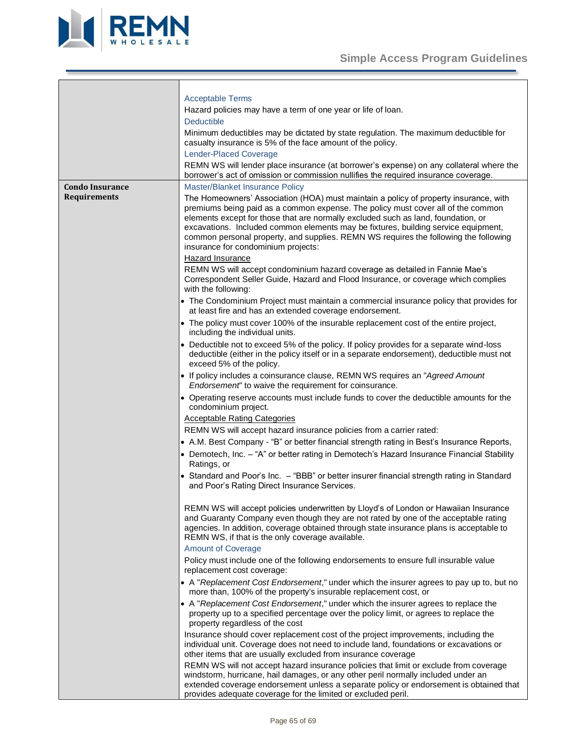

<span id="page-64-0"></span>

|                        | <b>Acceptable Terms</b>                                                                                                                                                                                                                                                                                                                                                                                                                                                            |
|------------------------|------------------------------------------------------------------------------------------------------------------------------------------------------------------------------------------------------------------------------------------------------------------------------------------------------------------------------------------------------------------------------------------------------------------------------------------------------------------------------------|
|                        | Hazard policies may have a term of one year or life of loan.                                                                                                                                                                                                                                                                                                                                                                                                                       |
|                        | <b>Deductible</b>                                                                                                                                                                                                                                                                                                                                                                                                                                                                  |
|                        | Minimum deductibles may be dictated by state regulation. The maximum deductible for                                                                                                                                                                                                                                                                                                                                                                                                |
|                        | casualty insurance is 5% of the face amount of the policy.                                                                                                                                                                                                                                                                                                                                                                                                                         |
|                        | <b>Lender-Placed Coverage</b>                                                                                                                                                                                                                                                                                                                                                                                                                                                      |
|                        | REMN WS will lender place insurance (at borrower's expense) on any collateral where the<br>borrower's act of omission or commission nullifies the required insurance coverage.                                                                                                                                                                                                                                                                                                     |
| <b>Condo Insurance</b> | Master/Blanket Insurance Policy                                                                                                                                                                                                                                                                                                                                                                                                                                                    |
| Requirements           | The Homeowners' Association (HOA) must maintain a policy of property insurance, with<br>premiums being paid as a common expense. The policy must cover all of the common<br>elements except for those that are normally excluded such as land, foundation, or<br>excavations. Included common elements may be fixtures, building service equipment,<br>common personal property, and supplies. REMN WS requires the following the following<br>insurance for condominium projects: |
|                        | Hazard Insurance                                                                                                                                                                                                                                                                                                                                                                                                                                                                   |
|                        | REMN WS will accept condominium hazard coverage as detailed in Fannie Mae's<br>Correspondent Seller Guide, Hazard and Flood Insurance, or coverage which complies<br>with the following:                                                                                                                                                                                                                                                                                           |
|                        | • The Condominium Project must maintain a commercial insurance policy that provides for<br>at least fire and has an extended coverage endorsement.                                                                                                                                                                                                                                                                                                                                 |
|                        | • The policy must cover 100% of the insurable replacement cost of the entire project,<br>including the individual units.                                                                                                                                                                                                                                                                                                                                                           |
|                        | • Deductible not to exceed 5% of the policy. If policy provides for a separate wind-loss<br>deductible (either in the policy itself or in a separate endorsement), deductible must not<br>exceed 5% of the policy.                                                                                                                                                                                                                                                                 |
|                        | • If policy includes a coinsurance clause, REMN WS requires an "Agreed Amount<br>Endorsement" to waive the requirement for coinsurance.                                                                                                                                                                                                                                                                                                                                            |
|                        | • Operating reserve accounts must include funds to cover the deductible amounts for the<br>condominium project.                                                                                                                                                                                                                                                                                                                                                                    |
|                        | <b>Acceptable Rating Categories</b>                                                                                                                                                                                                                                                                                                                                                                                                                                                |
|                        | REMN WS will accept hazard insurance policies from a carrier rated:                                                                                                                                                                                                                                                                                                                                                                                                                |
|                        | • A.M. Best Company - "B" or better financial strength rating in Best's Insurance Reports,                                                                                                                                                                                                                                                                                                                                                                                         |
|                        | • Demotech, Inc. - "A" or better rating in Demotech's Hazard Insurance Financial Stability<br>Ratings, or                                                                                                                                                                                                                                                                                                                                                                          |
|                        | • Standard and Poor's Inc. - "BBB" or better insurer financial strength rating in Standard<br>and Poor's Rating Direct Insurance Services.                                                                                                                                                                                                                                                                                                                                         |
|                        | REMN WS will accept policies underwritten by Lloyd's of London or Hawaiian Insurance<br>and Guaranty Company even though they are not rated by one of the acceptable rating<br>agencies. In addition, coverage obtained through state insurance plans is acceptable to<br>REMN WS, if that is the only coverage available.                                                                                                                                                         |
|                        | <b>Amount of Coverage</b>                                                                                                                                                                                                                                                                                                                                                                                                                                                          |
|                        | Policy must include one of the following endorsements to ensure full insurable value<br>replacement cost coverage:                                                                                                                                                                                                                                                                                                                                                                 |
|                        | • A "Replacement Cost Endorsement," under which the insurer agrees to pay up to, but no<br>more than, 100% of the property's insurable replacement cost, or                                                                                                                                                                                                                                                                                                                        |
|                        | A "Replacement Cost Endorsement," under which the insurer agrees to replace the<br>property up to a specified percentage over the policy limit, or agrees to replace the<br>property regardless of the cost                                                                                                                                                                                                                                                                        |
|                        | Insurance should cover replacement cost of the project improvements, including the<br>individual unit. Coverage does not need to include land, foundations or excavations or<br>other items that are usually excluded from insurance coverage                                                                                                                                                                                                                                      |
|                        | REMN WS will not accept hazard insurance policies that limit or exclude from coverage<br>windstorm, hurricane, hail damages, or any other peril normally included under an<br>extended coverage endorsement unless a separate policy or endorsement is obtained that                                                                                                                                                                                                               |

provides adequate coverage for the limited or excluded peril.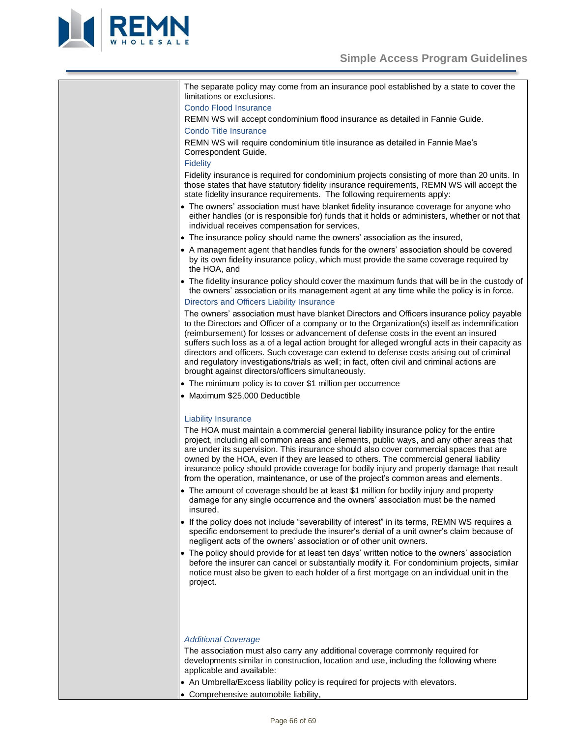

| The separate policy may come from an insurance pool established by a state to cover the<br>limitations or exclusions.                                                                                                                                                                                                                                                                                                                                                                                                                                                                                                                 |
|---------------------------------------------------------------------------------------------------------------------------------------------------------------------------------------------------------------------------------------------------------------------------------------------------------------------------------------------------------------------------------------------------------------------------------------------------------------------------------------------------------------------------------------------------------------------------------------------------------------------------------------|
| <b>Condo Flood Insurance</b>                                                                                                                                                                                                                                                                                                                                                                                                                                                                                                                                                                                                          |
| REMN WS will accept condominium flood insurance as detailed in Fannie Guide.                                                                                                                                                                                                                                                                                                                                                                                                                                                                                                                                                          |
| Condo Title Insurance                                                                                                                                                                                                                                                                                                                                                                                                                                                                                                                                                                                                                 |
| REMN WS will require condominium title insurance as detailed in Fannie Mae's                                                                                                                                                                                                                                                                                                                                                                                                                                                                                                                                                          |
| Correspondent Guide.                                                                                                                                                                                                                                                                                                                                                                                                                                                                                                                                                                                                                  |
| <b>Fidelity</b>                                                                                                                                                                                                                                                                                                                                                                                                                                                                                                                                                                                                                       |
| Fidelity insurance is required for condominium projects consisting of more than 20 units. In<br>those states that have statutory fidelity insurance requirements, REMN WS will accept the<br>state fidelity insurance requirements. The following requirements apply:                                                                                                                                                                                                                                                                                                                                                                 |
| • The owners' association must have blanket fidelity insurance coverage for anyone who<br>either handles (or is responsible for) funds that it holds or administers, whether or not that<br>individual receives compensation for services,                                                                                                                                                                                                                                                                                                                                                                                            |
| • The insurance policy should name the owners' association as the insured,                                                                                                                                                                                                                                                                                                                                                                                                                                                                                                                                                            |
| • A management agent that handles funds for the owners' association should be covered                                                                                                                                                                                                                                                                                                                                                                                                                                                                                                                                                 |
| by its own fidelity insurance policy, which must provide the same coverage required by<br>the HOA, and                                                                                                                                                                                                                                                                                                                                                                                                                                                                                                                                |
| • The fidelity insurance policy should cover the maximum funds that will be in the custody of<br>the owners' association or its management agent at any time while the policy is in force.                                                                                                                                                                                                                                                                                                                                                                                                                                            |
| Directors and Officers Liability Insurance                                                                                                                                                                                                                                                                                                                                                                                                                                                                                                                                                                                            |
| The owners' association must have blanket Directors and Officers insurance policy payable<br>to the Directors and Officer of a company or to the Organization(s) itself as indemnification<br>(reimbursement) for losses or advancement of defense costs in the event an insured<br>suffers such loss as a of a legal action brought for alleged wrongful acts in their capacity as<br>directors and officers. Such coverage can extend to defense costs arising out of criminal<br>and regulatory investigations/trials as well; in fact, often civil and criminal actions are<br>brought against directors/officers simultaneously. |
| • The minimum policy is to cover \$1 million per occurrence                                                                                                                                                                                                                                                                                                                                                                                                                                                                                                                                                                           |
| · Maximum \$25,000 Deductible                                                                                                                                                                                                                                                                                                                                                                                                                                                                                                                                                                                                         |
|                                                                                                                                                                                                                                                                                                                                                                                                                                                                                                                                                                                                                                       |
| <b>Liability Insurance</b>                                                                                                                                                                                                                                                                                                                                                                                                                                                                                                                                                                                                            |
| The HOA must maintain a commercial general liability insurance policy for the entire<br>project, including all common areas and elements, public ways, and any other areas that<br>are under its supervision. This insurance should also cover commercial spaces that are<br>owned by the HOA, even if they are leased to others. The commercial general liability<br>insurance policy should provide coverage for bodily injury and property damage that result<br>from the operation, maintenance, or use of the project's common areas and elements.                                                                               |
| • The amount of coverage should be at least \$1 million for bodily injury and property<br>damage for any single occurrence and the owners' association must be the named<br>insured.                                                                                                                                                                                                                                                                                                                                                                                                                                                  |
| • If the policy does not include "severability of interest" in its terms, REMN WS requires a<br>specific endorsement to preclude the insurer's denial of a unit owner's claim because of<br>negligent acts of the owners' association or of other unit owners.                                                                                                                                                                                                                                                                                                                                                                        |
| • The policy should provide for at least ten days' written notice to the owners' association<br>before the insurer can cancel or substantially modify it. For condominium projects, similar<br>notice must also be given to each holder of a first mortgage on an individual unit in the<br>project.                                                                                                                                                                                                                                                                                                                                  |
|                                                                                                                                                                                                                                                                                                                                                                                                                                                                                                                                                                                                                                       |
| <b>Additional Coverage</b>                                                                                                                                                                                                                                                                                                                                                                                                                                                                                                                                                                                                            |
| The association must also carry any additional coverage commonly required for                                                                                                                                                                                                                                                                                                                                                                                                                                                                                                                                                         |
| developments similar in construction, location and use, including the following where                                                                                                                                                                                                                                                                                                                                                                                                                                                                                                                                                 |

- An Umbrella/Excess liability policy is required for projects with elevators.
- Comprehensive automobile liability,

applicable and available: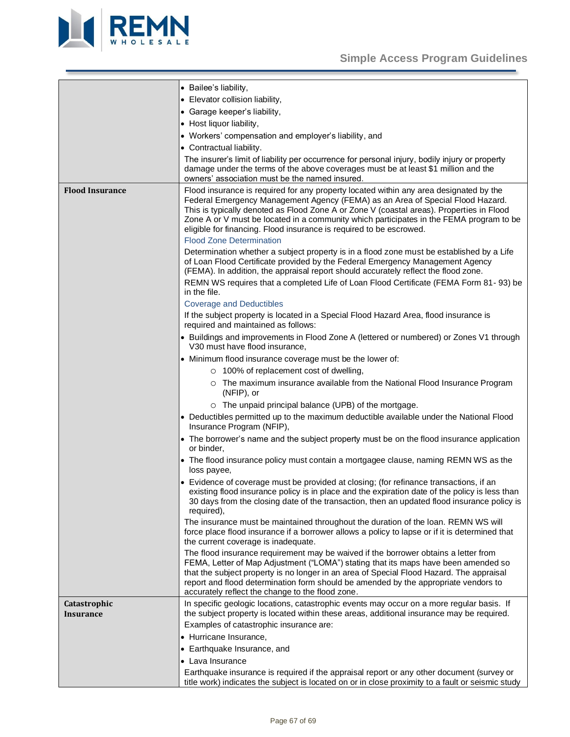

<span id="page-66-1"></span><span id="page-66-0"></span>

|                           | • Bailee's liability,                                                                                                                                                                                                                                                                                                                                                                                                                                                                                                                                                  |
|---------------------------|------------------------------------------------------------------------------------------------------------------------------------------------------------------------------------------------------------------------------------------------------------------------------------------------------------------------------------------------------------------------------------------------------------------------------------------------------------------------------------------------------------------------------------------------------------------------|
|                           | • Elevator collision liability,                                                                                                                                                                                                                                                                                                                                                                                                                                                                                                                                        |
|                           | • Garage keeper's liability,                                                                                                                                                                                                                                                                                                                                                                                                                                                                                                                                           |
|                           | • Host liquor liability,                                                                                                                                                                                                                                                                                                                                                                                                                                                                                                                                               |
|                           | • Workers' compensation and employer's liability, and                                                                                                                                                                                                                                                                                                                                                                                                                                                                                                                  |
|                           | • Contractual liability.                                                                                                                                                                                                                                                                                                                                                                                                                                                                                                                                               |
|                           | The insurer's limit of liability per occurrence for personal injury, bodily injury or property<br>damage under the terms of the above coverages must be at least \$1 million and the<br>owners' association must be the named insured.                                                                                                                                                                                                                                                                                                                                 |
| <b>Flood Insurance</b>    | Flood insurance is required for any property located within any area designated by the<br>Federal Emergency Management Agency (FEMA) as an Area of Special Flood Hazard.<br>This is typically denoted as Flood Zone A or Zone V (coastal areas). Properties in Flood<br>Zone A or V must be located in a community which participates in the FEMA program to be<br>eligible for financing. Flood insurance is required to be escrowed.<br><b>Flood Zone Determination</b><br>Determination whether a subject property is in a flood zone must be established by a Life |
|                           | of Loan Flood Certificate provided by the Federal Emergency Management Agency<br>(FEMA). In addition, the appraisal report should accurately reflect the flood zone.                                                                                                                                                                                                                                                                                                                                                                                                   |
|                           | REMN WS requires that a completed Life of Loan Flood Certificate (FEMA Form 81-93) be<br>in the file.                                                                                                                                                                                                                                                                                                                                                                                                                                                                  |
|                           | <b>Coverage and Deductibles</b>                                                                                                                                                                                                                                                                                                                                                                                                                                                                                                                                        |
|                           | If the subject property is located in a Special Flood Hazard Area, flood insurance is<br>required and maintained as follows:                                                                                                                                                                                                                                                                                                                                                                                                                                           |
|                           | • Buildings and improvements in Flood Zone A (lettered or numbered) or Zones V1 through<br>V30 must have flood insurance,                                                                                                                                                                                                                                                                                                                                                                                                                                              |
|                           | • Minimum flood insurance coverage must be the lower of:                                                                                                                                                                                                                                                                                                                                                                                                                                                                                                               |
|                           | $\circ$ 100% of replacement cost of dwelling,                                                                                                                                                                                                                                                                                                                                                                                                                                                                                                                          |
|                           | ○ The maximum insurance available from the National Flood Insurance Program<br>(NFIP), or                                                                                                                                                                                                                                                                                                                                                                                                                                                                              |
|                           | o The unpaid principal balance (UPB) of the mortgage.                                                                                                                                                                                                                                                                                                                                                                                                                                                                                                                  |
|                           | • Deductibles permitted up to the maximum deductible available under the National Flood<br>Insurance Program (NFIP),                                                                                                                                                                                                                                                                                                                                                                                                                                                   |
|                           | • The borrower's name and the subject property must be on the flood insurance application<br>or binder,                                                                                                                                                                                                                                                                                                                                                                                                                                                                |
|                           | • The flood insurance policy must contain a mortgagee clause, naming REMN WS as the<br>loss payee,                                                                                                                                                                                                                                                                                                                                                                                                                                                                     |
|                           | • Evidence of coverage must be provided at closing; (for refinance transactions, if an<br>existing flood insurance policy is in place and the expiration date of the policy is less than<br>30 days from the closing date of the transaction, then an updated flood insurance policy is<br>required),                                                                                                                                                                                                                                                                  |
|                           | The insurance must be maintained throughout the duration of the loan. REMN WS will<br>force place flood insurance if a borrower allows a policy to lapse or if it is determined that<br>the current coverage is inadequate.                                                                                                                                                                                                                                                                                                                                            |
|                           | The flood insurance requirement may be waived if the borrower obtains a letter from<br>FEMA, Letter of Map Adjustment ("LOMA") stating that its maps have been amended so<br>that the subject property is no longer in an area of Special Flood Hazard. The appraisal<br>report and flood determination form should be amended by the appropriate vendors to<br>accurately reflect the change to the flood zone.                                                                                                                                                       |
| Catastrophic<br>Insurance | In specific geologic locations, catastrophic events may occur on a more regular basis. If<br>the subject property is located within these areas, additional insurance may be required.                                                                                                                                                                                                                                                                                                                                                                                 |
|                           | Examples of catastrophic insurance are:                                                                                                                                                                                                                                                                                                                                                                                                                                                                                                                                |
|                           | • Hurricane Insurance,                                                                                                                                                                                                                                                                                                                                                                                                                                                                                                                                                 |
|                           | • Earthquake Insurance, and                                                                                                                                                                                                                                                                                                                                                                                                                                                                                                                                            |
|                           | • Lava Insurance                                                                                                                                                                                                                                                                                                                                                                                                                                                                                                                                                       |
|                           | Earthquake insurance is required if the appraisal report or any other document (survey or<br>title work) indicates the subject is located on or in close proximity to a fault or seismic study                                                                                                                                                                                                                                                                                                                                                                         |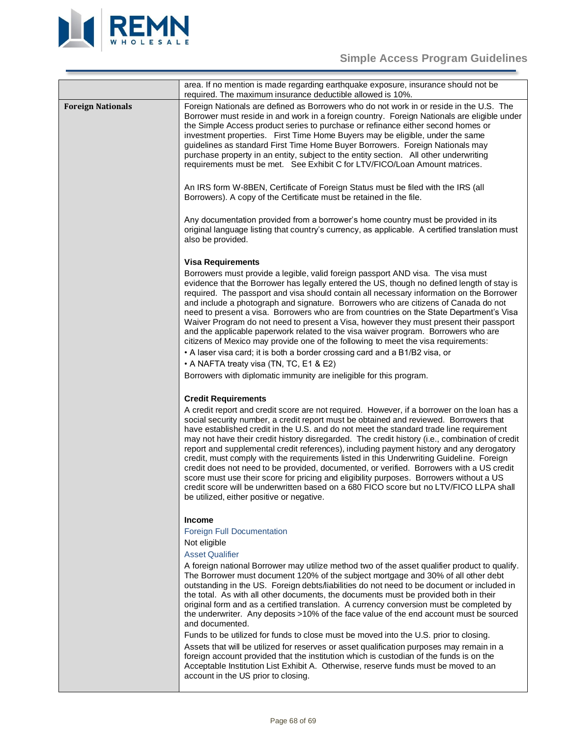

<span id="page-67-0"></span>

|                          | area. If no mention is made regarding earthquake exposure, insurance should not be<br>required. The maximum insurance deductible allowed is 10%.                                                                                                                                                                                                                                                                                                                                                                                                                                                                                                                                                                                                                                                                                                                                                                                      |
|--------------------------|---------------------------------------------------------------------------------------------------------------------------------------------------------------------------------------------------------------------------------------------------------------------------------------------------------------------------------------------------------------------------------------------------------------------------------------------------------------------------------------------------------------------------------------------------------------------------------------------------------------------------------------------------------------------------------------------------------------------------------------------------------------------------------------------------------------------------------------------------------------------------------------------------------------------------------------|
| <b>Foreign Nationals</b> | Foreign Nationals are defined as Borrowers who do not work in or reside in the U.S. The<br>Borrower must reside in and work in a foreign country. Foreign Nationals are eligible under<br>the Simple Access product series to purchase or refinance either second homes or<br>investment properties. First Time Home Buyers may be eligible, under the same<br>guidelines as standard First Time Home Buyer Borrowers. Foreign Nationals may<br>purchase property in an entity, subject to the entity section. All other underwriting<br>requirements must be met. See Exhibit C for LTV/FICO/Loan Amount matrices.                                                                                                                                                                                                                                                                                                                   |
|                          | An IRS form W-8BEN, Certificate of Foreign Status must be filed with the IRS (all<br>Borrowers). A copy of the Certificate must be retained in the file.                                                                                                                                                                                                                                                                                                                                                                                                                                                                                                                                                                                                                                                                                                                                                                              |
|                          | Any documentation provided from a borrower's home country must be provided in its<br>original language listing that country's currency, as applicable. A certified translation must<br>also be provided.                                                                                                                                                                                                                                                                                                                                                                                                                                                                                                                                                                                                                                                                                                                              |
|                          | <b>Visa Requirements</b>                                                                                                                                                                                                                                                                                                                                                                                                                                                                                                                                                                                                                                                                                                                                                                                                                                                                                                              |
|                          | Borrowers must provide a legible, valid foreign passport AND visa. The visa must<br>evidence that the Borrower has legally entered the US, though no defined length of stay is<br>required. The passport and visa should contain all necessary information on the Borrower<br>and include a photograph and signature. Borrowers who are citizens of Canada do not<br>need to present a visa. Borrowers who are from countries on the State Department's Visa<br>Waiver Program do not need to present a Visa, however they must present their passport<br>and the applicable paperwork related to the visa waiver program. Borrowers who are<br>citizens of Mexico may provide one of the following to meet the visa requirements:<br>• A laser visa card; it is both a border crossing card and a B1/B2 visa, or<br>• A NAFTA treaty visa (TN, TC, E1 & E2)                                                                          |
|                          | Borrowers with diplomatic immunity are ineligible for this program.                                                                                                                                                                                                                                                                                                                                                                                                                                                                                                                                                                                                                                                                                                                                                                                                                                                                   |
|                          |                                                                                                                                                                                                                                                                                                                                                                                                                                                                                                                                                                                                                                                                                                                                                                                                                                                                                                                                       |
|                          | <b>Credit Requirements</b><br>A credit report and credit score are not required. However, if a borrower on the loan has a<br>social security number, a credit report must be obtained and reviewed. Borrowers that<br>have established credit in the U.S. and do not meet the standard trade line requirement<br>may not have their credit history disregarded. The credit history (i.e., combination of credit<br>report and supplemental credit references), including payment history and any derogatory<br>credit, must comply with the requirements listed in this Underwriting Guideline. Foreign<br>credit does not need to be provided, documented, or verified. Borrowers with a US credit<br>score must use their score for pricing and eligibility purposes. Borrowers without a US<br>credit score will be underwritten based on a 680 FICO score but no LTV/FICO LLPA shall<br>be utilized, either positive or negative. |
|                          | <b>Income</b>                                                                                                                                                                                                                                                                                                                                                                                                                                                                                                                                                                                                                                                                                                                                                                                                                                                                                                                         |
|                          | <b>Foreign Full Documentation</b><br>Not eligible<br><b>Asset Qualifier</b>                                                                                                                                                                                                                                                                                                                                                                                                                                                                                                                                                                                                                                                                                                                                                                                                                                                           |
|                          | A foreign national Borrower may utilize method two of the asset qualifier product to qualify.<br>The Borrower must document 120% of the subject mortgage and 30% of all other debt<br>outstanding in the US. Foreign debts/liabilities do not need to be document or included in<br>the total. As with all other documents, the documents must be provided both in their<br>original form and as a certified translation. A currency conversion must be completed by<br>the underwriter. Any deposits >10% of the face value of the end account must be sourced<br>and documented.                                                                                                                                                                                                                                                                                                                                                    |
|                          | Funds to be utilized for funds to close must be moved into the U.S. prior to closing.                                                                                                                                                                                                                                                                                                                                                                                                                                                                                                                                                                                                                                                                                                                                                                                                                                                 |
|                          | Assets that will be utilized for reserves or asset qualification purposes may remain in a<br>foreign account provided that the institution which is custodian of the funds is on the<br>Acceptable Institution List Exhibit A. Otherwise, reserve funds must be moved to an<br>account in the US prior to closing.                                                                                                                                                                                                                                                                                                                                                                                                                                                                                                                                                                                                                    |